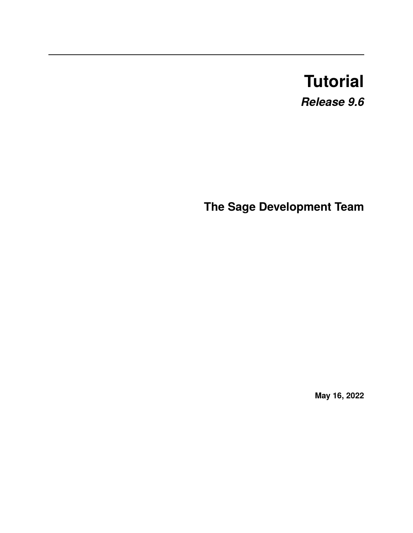# **Tutorial**

*Release 9.6*

**The Sage Development Team**

**May 16, 2022**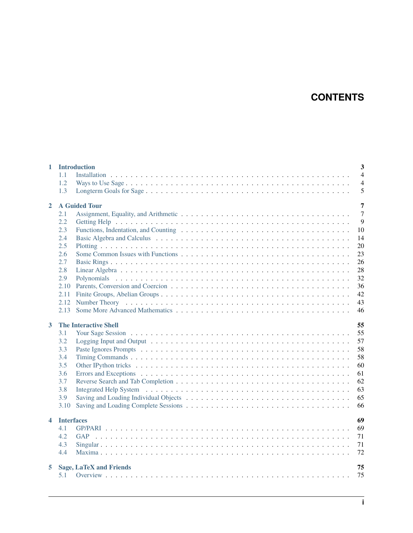# **CONTENTS**

| $\mathbf{1}$         |                                    | <b>Introduction</b>                  | 3              |  |  |  |  |  |
|----------------------|------------------------------------|--------------------------------------|----------------|--|--|--|--|--|
|                      | 1.1                                |                                      | $\overline{4}$ |  |  |  |  |  |
|                      | 1.2                                |                                      | $\overline{4}$ |  |  |  |  |  |
|                      | 1.3                                |                                      | 5              |  |  |  |  |  |
| $\mathbf{2}$         | <b>A Guided Tour</b>               |                                      |                |  |  |  |  |  |
|                      | 2.1                                |                                      | $\overline{7}$ |  |  |  |  |  |
|                      | 2.2                                |                                      | 9              |  |  |  |  |  |
|                      | 2.3                                | 10                                   |                |  |  |  |  |  |
|                      | 2.4                                | 14                                   |                |  |  |  |  |  |
|                      | 2.5                                | 20                                   |                |  |  |  |  |  |
|                      | 2.6                                | 23                                   |                |  |  |  |  |  |
|                      | 2.7                                | 26                                   |                |  |  |  |  |  |
|                      | 2.8                                | 28                                   |                |  |  |  |  |  |
|                      | 2.9                                | 32                                   |                |  |  |  |  |  |
|                      | 2.10                               | 36                                   |                |  |  |  |  |  |
|                      | 2.11                               | 42                                   |                |  |  |  |  |  |
|                      | 2.12                               | 43                                   |                |  |  |  |  |  |
|                      | 2.13                               | 46                                   |                |  |  |  |  |  |
| $\mathbf{3}$         | 55<br><b>The Interactive Shell</b> |                                      |                |  |  |  |  |  |
|                      | 3.1                                | 55                                   |                |  |  |  |  |  |
|                      | 3.2                                | 57                                   |                |  |  |  |  |  |
|                      | 3.3                                | 58                                   |                |  |  |  |  |  |
|                      | 3.4                                | 58                                   |                |  |  |  |  |  |
|                      | 3.5                                | 60                                   |                |  |  |  |  |  |
|                      | 3.6                                | 61                                   |                |  |  |  |  |  |
|                      | 3.7                                | 62                                   |                |  |  |  |  |  |
|                      | 3.8                                | 63                                   |                |  |  |  |  |  |
|                      | 3.9                                | 65                                   |                |  |  |  |  |  |
|                      | 3.10                               | 66                                   |                |  |  |  |  |  |
| $\blacktriangleleft$ | <b>Interfaces</b>                  | 69                                   |                |  |  |  |  |  |
|                      | 4.1                                | 69                                   |                |  |  |  |  |  |
|                      | 4.2                                | 71<br><b>GAP</b>                     |                |  |  |  |  |  |
|                      | 4.3                                | 71                                   |                |  |  |  |  |  |
|                      | 4.4                                | 72                                   |                |  |  |  |  |  |
| 5                    |                                    | <b>Sage, LaTeX and Friends</b><br>75 |                |  |  |  |  |  |
|                      | 5.1                                | 75                                   |                |  |  |  |  |  |
|                      |                                    |                                      |                |  |  |  |  |  |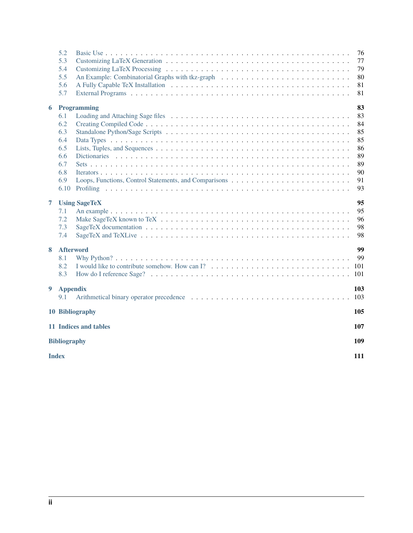|   | 5.2<br>5.3<br>5.4<br>5.5<br>5.6<br>5.7                              |                      | 76<br>77<br>79<br>80<br>81<br>81                               |  |  |  |  |  |
|---|---------------------------------------------------------------------|----------------------|----------------------------------------------------------------|--|--|--|--|--|
| 6 | 6.1<br>6.2<br>6.3<br>6.4<br>6.5<br>6.6<br>6.7<br>6.8<br>6.9<br>6.10 | <b>Programming</b>   | 83<br>83<br>84<br>85<br>85<br>86<br>89<br>89<br>90<br>91<br>93 |  |  |  |  |  |
| 7 | 7.1<br>7.2<br>7.3<br>7.4                                            | <b>Using SageTeX</b> | 95<br>95<br>96<br>98<br>98                                     |  |  |  |  |  |
| 8 | <b>Afterword</b><br>8.1<br>8.2<br>8.3                               |                      | 99<br>99<br>101<br>101                                         |  |  |  |  |  |
| 9 | <b>Appendix</b><br>9.1                                              |                      | 103<br>103                                                     |  |  |  |  |  |
|   | 10 Bibliography                                                     |                      |                                                                |  |  |  |  |  |
|   | 11 Indices and tables                                               |                      |                                                                |  |  |  |  |  |
|   | <b>Bibliography</b>                                                 |                      |                                                                |  |  |  |  |  |
|   | <b>Index</b>                                                        |                      |                                                                |  |  |  |  |  |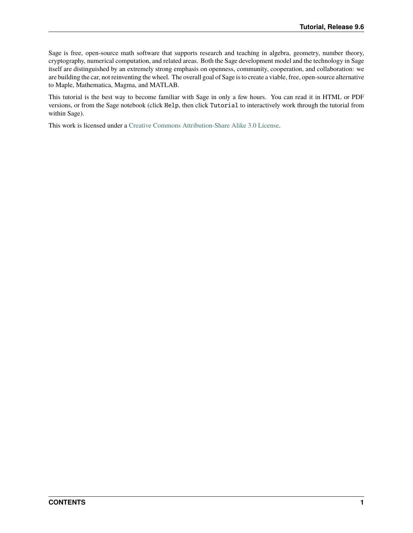Sage is free, open-source math software that supports research and teaching in algebra, geometry, number theory, cryptography, numerical computation, and related areas. Both the Sage development model and the technology in Sage itself are distinguished by an extremely strong emphasis on openness, community, cooperation, and collaboration: we are building the car, not reinventing the wheel. The overall goal of Sage is to create a viable, free, open-source alternative to Maple, Mathematica, Magma, and MATLAB.

This tutorial is the best way to become familiar with Sage in only a few hours. You can read it in HTML or PDF versions, or from the Sage notebook (click Help, then click Tutorial to interactively work through the tutorial from within Sage).

This work is licensed under a [Creative Commons Attribution-Share Alike 3.0 License.](http://creativecommons.org/licenses/by-sa/3.0/)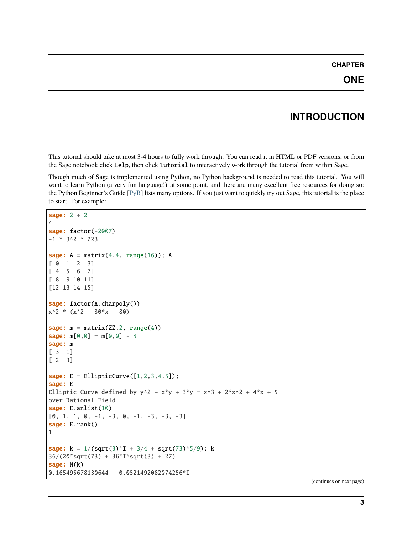#### **CHAPTER**

# **INTRODUCTION**

<span id="page-6-0"></span>This tutorial should take at most 3-4 hours to fully work through. You can read it in HTML or PDF versions, or from the Sage notebook click Help, then click Tutorial to interactively work through the tutorial from within Sage.

Though much of Sage is implemented using Python, no Python background is needed to read this tutorial. You will want to learn Python (a very fun language!) at some point, and there are many excellent free resources for doing so: the Python Beginner's Guide [\[PyB\]](#page-112-1) lists many options. If you just want to quickly try out Sage, this tutorial is the place to start. For example:

```
sage: 2 + 24
sage: factor(-2007)
-1 * 3^2 * 223
sage: A = matrix(4, 4, range(16)); A
[ 0 1 2 3]
[ 4 5 6 7]
[ 8 9 10 11]
[12 13 14 15]
sage: factor(A.charpoly())
x^2 * (x^2 - 30*x - 80)sage: m = matrix(ZZ, 2, range(4))sage: m[0,0] = m[0,0] - 3sage: m
[-3 1]
[ 2 3]
sage: E = EllipticCurve([1, 2, 3, 4, 5]);
sage: E
Elliptic Curve defined by y^2 + x^*y + 3^*y = x^3 + 2^*x^2 + 4^*x + 5over Rational Field
sage: E.anlist(10)
[0, 1, 1, 0, -1, -3, 0, -1, -3, -3, -3]sage: E.rank()
1
sage: k = 1/(sqrt(3)*I + 3/4 + sqrt(73)*5/9); k
36/(20*sqrt(73) + 36*I*sqrt(3) + 27)
sage: N(k)
0.165495678130644 - 0.0521492082074256*I
```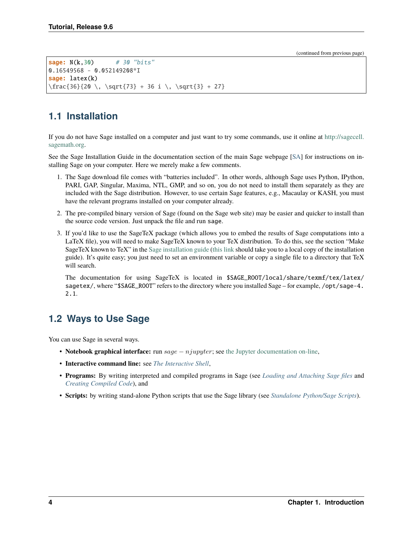```
sage: N(k, 30) # 30 "bits"
0.16549568 - 0.052149208*I
sage: latex(k)
\frac{36}{20} \, \sqrt{73} + 36 i \, \sqrt{3} + 27}
```
# <span id="page-7-0"></span>**1.1 Installation**

If you do not have Sage installed on a computer and just want to try some commands, use it online at [http://sagecell.](http://sagecell.sagemath.org) [sagemath.org.](http://sagecell.sagemath.org)

See the Sage Installation Guide in the documentation section of the main Sage webpage [\[SA\]](#page-112-2) for instructions on installing Sage on your computer. Here we merely make a few comments.

- 1. The Sage download file comes with "batteries included". In other words, although Sage uses Python, IPython, PARI, GAP, Singular, Maxima, NTL, GMP, and so on, you do not need to install them separately as they are included with the Sage distribution. However, to use certain Sage features, e.g., Macaulay or KASH, you must have the relevant programs installed on your computer already.
- 2. The pre-compiled binary version of Sage (found on the Sage web site) may be easier and quicker to install than the source code version. Just unpack the file and run sage.
- 3. If you'd like to use the SageTeX package (which allows you to embed the results of Sage computations into a LaTeX file), you will need to make SageTeX known to your TeX distribution. To do this, see the section "Make SageTeX known to TeX" in the [Sage installation guide](http://doc.sagemath.org/html/en/) [\(this link](../installation/index.html) should take you to a local copy of the installation guide). It's quite easy; you just need to set an environment variable or copy a single file to a directory that TeX will search.

The documentation for using SageTeX is located in \$SAGE\_ROOT/local/share/texmf/tex/latex/ sagetex/, where "\$SAGE\_ROOT" refers to the directory where you installed Sage – for example, /opt/sage-4. 2.1.

# <span id="page-7-1"></span>**1.2 Ways to Use Sage**

You can use Sage in several ways.

- **Notebook graphical interface:** run sage njupyter; see [the Jupyter documentation on-line,](https://jupyter-notebook.readthedocs.io/en/latest/notebook.html)
- **Interactive command line:** see *[The Interactive Shell](#page-58-0)*,
- **Programs:** By writing interpreted and compiled programs in Sage (see *[Loading and Attaching Sage files](#page-86-1)* and *[Creating Compiled Code](#page-87-0)*), and
- **Scripts:** by writing stand-alone Python scripts that use the Sage library (see *[Standalone Python/Sage Scripts](#page-88-0)*).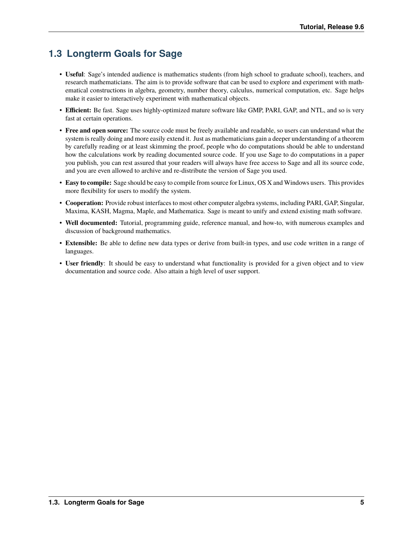# <span id="page-8-0"></span>**1.3 Longterm Goals for Sage**

- **Useful**: Sage's intended audience is mathematics students (from high school to graduate school), teachers, and research mathematicians. The aim is to provide software that can be used to explore and experiment with mathematical constructions in algebra, geometry, number theory, calculus, numerical computation, etc. Sage helps make it easier to interactively experiment with mathematical objects.
- **Efficient:** Be fast. Sage uses highly-optimized mature software like GMP, PARI, GAP, and NTL, and so is very fast at certain operations.
- **Free and open source:** The source code must be freely available and readable, so users can understand what the system is really doing and more easily extend it. Just as mathematicians gain a deeper understanding of a theorem by carefully reading or at least skimming the proof, people who do computations should be able to understand how the calculations work by reading documented source code. If you use Sage to do computations in a paper you publish, you can rest assured that your readers will always have free access to Sage and all its source code, and you are even allowed to archive and re-distribute the version of Sage you used.
- **Easy to compile:** Sage should be easy to compile from source for Linux, OS X and Windows users. This provides more flexibility for users to modify the system.
- **Cooperation:** Provide robust interfaces to most other computer algebra systems, including PARI, GAP, Singular, Maxima, KASH, Magma, Maple, and Mathematica. Sage is meant to unify and extend existing math software.
- **Well documented:** Tutorial, programming guide, reference manual, and how-to, with numerous examples and discussion of background mathematics.
- **Extensible:** Be able to define new data types or derive from built-in types, and use code written in a range of languages.
- **User friendly**: It should be easy to understand what functionality is provided for a given object and to view documentation and source code. Also attain a high level of user support.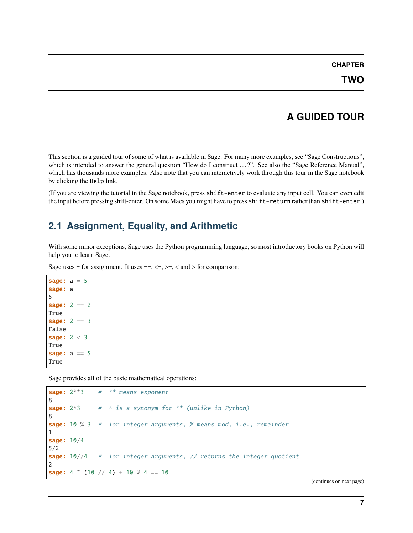#### **CHAPTER**

## **A GUIDED TOUR**

<span id="page-10-0"></span>This section is a guided tour of some of what is available in Sage. For many more examples, see "Sage Constructions", which is intended to answer the general question "How do I construct ...?". See also the "Sage Reference Manual", which has thousands more examples. Also note that you can interactively work through this tour in the Sage notebook by clicking the Help link.

(If you are viewing the tutorial in the Sage notebook, press shift-enter to evaluate any input cell. You can even edit the input before pressing shift-enter. On some Macs you might have to press shift-return rather than shift-enter.)

## <span id="page-10-1"></span>**2.1 Assignment, Equality, and Arithmetic**

With some minor exceptions, Sage uses the Python programming language, so most introductory books on Python will help you to learn Sage.

Sage uses = for assignment. It uses ==,  $\leq$ ,  $\geq$ ,  $\leq$  and  $\geq$  for comparison:

```
sage: a = 5sage: a
5
sage: 2 == 2True
sage: 2 == 3False
sage: 2 < 3
True
sage: a == 5True
```
Sage provides all of the basic mathematical operations:

```
sage: 2**3 # ** means exponent
8
sage: 2^3 # \land is a synonym for ** (unlike in Python)
8
sage: 10 % 3 # for integer arguments, % means mod, i.e., remainder
1
sage: 10/4
5/2
sage: 10//4 # for integer arguments, // returns the integer quotient
2
sage: 4 * (10 // 4) + 10 % 4 = 10
```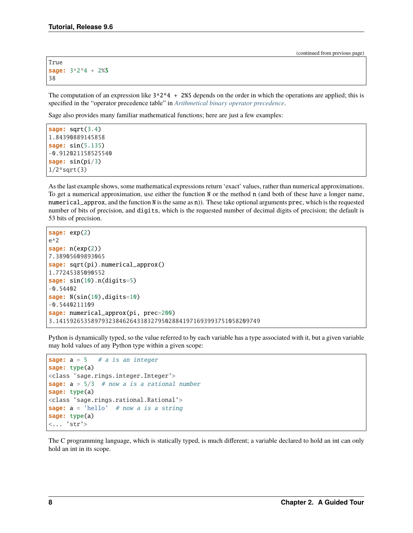```
True
sage: 3^{x}2^{x}4 + 28538
```
The computation of an expression like  $3^2*4 + 2*5$  depends on the order in which the operations are applied; this is specified in the "operator precedence table" in *[Arithmetical binary operator precedence](#page-106-1)*.

Sage also provides many familiar mathematical functions; here are just a few examples:

```
sage: sqrt(3.4)
1.84390889145858
sage: sin(5.135)
-0.912021158525540
sage: sin(pi/3)1/2*sqrt(3)
```
As the last example shows, some mathematical expressions return 'exact' values, rather than numerical approximations. To get a numerical approximation, use either the function N or the method n (and both of these have a longer name, numerical\_approx, and the function N is the same as n)). These take optional arguments prec, which is the requested number of bits of precision, and digits, which is the requested number of decimal digits of precision; the default is 53 bits of precision.

```
sage: exp(2)
e^2
sage: n(exp(2))
7.38905609893065
sage: sqrt(pi).numerical_approx()
1.77245385090552
sage: sin(10).n(digits=5)
-0.54402
sage: N(sin(10), digits=10)-0.5440211109
sage: numerical_approx(pi, prec=200)
3.1415926535897932384626433832795028841971693993751058209749
```
Python is dynamically typed, so the value referred to by each variable has a type associated with it, but a given variable may hold values of any Python type within a given scope:

```
sage: a = 5 # a is an integer
sage: type(a)
<class 'sage.rings.integer.Integer'>
sage: a = 5/3 # now a is a rational number
sage: type(a)
<class 'sage.rings.rational.Rational'>
sage: a = 'hello' # now a is a string
sage: type(a)
<... 'str'>
```
The C programming language, which is statically typed, is much different; a variable declared to hold an int can only hold an int in its scope.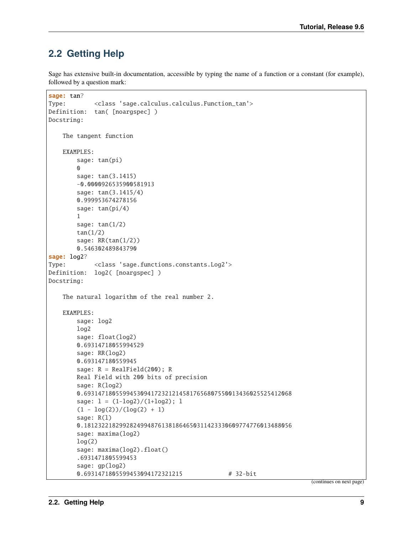# <span id="page-12-0"></span>**2.2 Getting Help**

Sage has extensive built-in documentation, accessible by typing the name of a function or a constant (for example), followed by a question mark:

```
sage: tan?
Type: <class 'sage.calculus.calculus.Function_tan'>
Definition: tan( [noargspec] )
Docstring:
   The tangent function
   EXAMPLES:
        sage: tan(pi)
        0
       sage: tan(3.1415)
        -0.0000926535900581913
        sage: tan(3.1415/4)
        0.999953674278156
       sage: tan(pi/4)
        1
       sage: tan(1/2)tan(1/2)
        sage: RR(tan(1/2))
       0.546302489843790
sage: log2?
Type: <class 'sage.functions.constants.Log2'>
Definition: log2( [noargspec] )
Docstring:
   The natural logarithm of the real number 2.
   EXAMPLES:
       sage: log2
       log2
        sage: float(log2)
        0.69314718055994529
        sage: RR(log2)
        0.693147180559945
        sage: R = RealField(200); RReal Field with 200 bits of precision
        sage: R(log2)
        0.69314718055994530941723212145817656807550013436025525412068
        sage: 1 = (1-\log 2)/(1+\log 2); 1
        (1 - \log(2)) / (\log(2) + 1)sage: R(l)
        0.18123221829928249948761381864650311423330609774776013488056
        sage: maxima(log2)
        log(2)sage: maxima(log2).float()
        .6931471805599453
        sage: gp(log2)
        0.6931471805599453094172321215 # 32-bit
```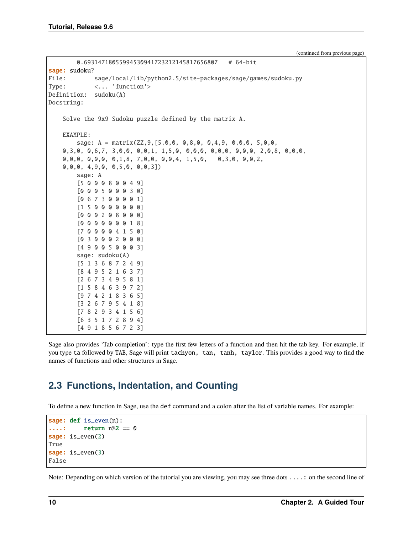```
0.69314718055994530941723212145817656807 # 64-bit
sage: sudoku?
File: sage/local/lib/python2.5/site-packages/sage/games/sudoku.py
Type: <... 'function'>
Definition: sudoku(A)
Docstring:
    Solve the 9x9 Sudoku puzzle defined by the matrix A.
   EXAMPLE:
       sage: A = matrix(ZZ,9,[5,0,0, 0,8,0, 0,4,9, 0,0,0, 5,0,0,
   0,3,0, 0,6,7, 3,0,0, 0,0,1, 1,5,0, 0,0,0, 0,0,0, 0,0,0, 2,0,8, 0,0,0,
   0,0,0, 0,0,0, 0,1,8, 7,0,0, 0,0,4, 1,5,0, 0,3,0, 0,0,2,
   0,0,0, 4,9,0, 0,5,0, 0,0,3])
        sage: A
        [5 0 0 0 8 0 0 4 9]
        [0 0 0 5 0 0 0 3 0]
        [0 6 7 3 0 0 0 0 1]
        [1 5 0 0 0 0 0 0 0]
        [0 0 0 2 0 8 0 0 0]
        [0 0 0 0 0 0 0 1 8]
        [7 0 0 0 0 4 1 5 0]
        [0 3 0 0 0 2 0 0 0]
        [4 9 0 0 5 0 0 0 3]
        sage: sudoku(A)
        [5 1 3 6 8 7 2 4 9]
        [8 4 9 5 2 1 6 3 7]
        [2 6 7 3 4 9 5 8 1]
        [1 5 8 4 6 3 9 7 2]
        [9 7 4 2 1 8 3 6 5]
        [3 2 6 7 9 5 4 1 8]
        [7 8 2 9 3 4 1 5 6]
        [6 3 5 1 7 2 8 9 4]
        [4 9 1 8 5 6 7 2 3]
```
Sage also provides 'Tab completion': type the first few letters of a function and then hit the tab key. For example, if you type ta followed by TAB, Sage will print tachyon, tan, tanh, taylor. This provides a good way to find the names of functions and other structures in Sage.

## <span id="page-13-0"></span>**2.3 Functions, Indentation, and Counting**

To define a new function in Sage, use the def command and a colon after the list of variable names. For example:

```
sage: def is_even(n):
\dots: return n\%2 == 0sage: is_even(2)
True
sage: is_even(3)
False
```
Note: Depending on which version of the tutorial you are viewing, you may see three dots ....: on the second line of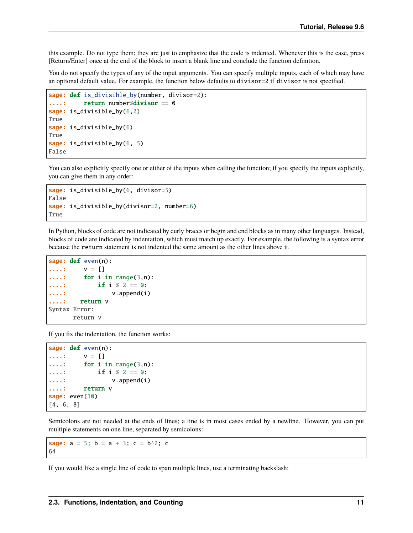this example. Do not type them; they are just to emphasize that the code is indented. Whenever this is the case, press [Return/Enter] once at the end of the block to insert a blank line and conclude the function definition.

You do not specify the types of any of the input arguments. You can specify multiple inputs, each of which may have an optional default value. For example, the function below defaults to divisor=2 if divisor is not specified.

```
sage: def is_divisible_by(number, divisor=2):
....: return number%divisor == 0
sage: is_divisible_by(6,2)
True
sage: is_divisible_by(6)
True
sage: is_divisible_by(6, 5)
False
```
You can also explicitly specify one or either of the inputs when calling the function; if you specify the inputs explicitly, you can give them in any order:

```
sage: is_divisible_by(6, divisor=5)
False
sage: is_divisible_by(divisor=2, number=6)
True
```
In Python, blocks of code are not indicated by curly braces or begin and end blocks as in many other languages. Instead, blocks of code are indicated by indentation, which must match up exactly. For example, the following is a syntax error because the return statement is not indented the same amount as the other lines above it.

```
sage: def even(n):
....: v = []\dots: for i in range(3,n):
....: if i \frac{1}{2} = 0:
....: v.append(i)
....: return v
Syntax Error:
      return v
```
If you fix the indentation, the function works:

```
sage: def even(n):
\cdots: \mathbf{v} = []
\dots: for i in range(3,n):
....: if i % 2 == 0:....: v.append(i)
....: return v
sage: even(10)
[4, 6, 8]
```
Semicolons are not needed at the ends of lines; a line is in most cases ended by a newline. However, you can put multiple statements on one line, separated by semicolons:

sage:  $a = 5$ ;  $b = a + 3$ ;  $c = b^2$ ; c 64

If you would like a single line of code to span multiple lines, use a terminating backslash: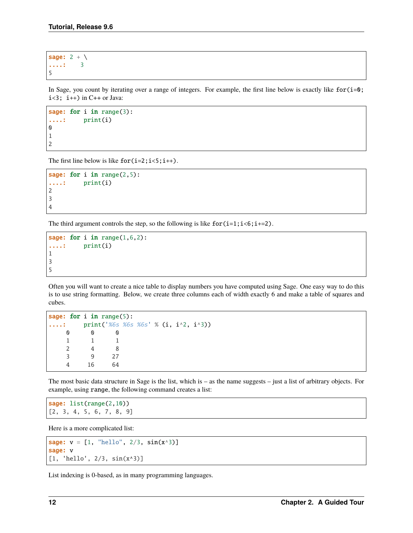sage:  $2 + \sqrt{ }$ ....: 3 5

In Sage, you count by iterating over a range of integers. For example, the first line below is exactly like  $for(i=0;$  $i<3$ ;  $i++$ ) in C++ or Java:

```
sage: for i in range(3):
....: print(i)
0
1
2
```
The first line below is like  $for(i=2; i<5; i++)$ .

```
sage: for i in range(2,5):
....: print(i)
2
3
4
```
The third argument controls the step, so the following is like  $for(i=1; i<6; i+=2)$ .

```
sage: for i in range(1,6,2):
....: print(i)
1
3
5
```
Often you will want to create a nice table to display numbers you have computed using Sage. One easy way to do this is to use string formatting. Below, we create three columns each of width exactly 6 and make a table of squares and cubes.

```
sage: for i in range(5):
....: print('%6s %6s %6s' % (i, i^2, i^3))
   0 0 0
   1 1 1
   2 4 8
   3 9 27
   4 16 64
```
The most basic data structure in Sage is the list, which is – as the name suggests – just a list of arbitrary objects. For example, using range, the following command creates a list:

```
sage: list(range(2,10))
[2, 3, 4, 5, 6, 7, 8, 9]
```
Here is a more complicated list:

```
sage: v = [1, "hello", 2/3, sin(x^3)]sage: v
[1, 'hello', 2/3, sin(x^3)]
```
List indexing is 0-based, as in many programming languages.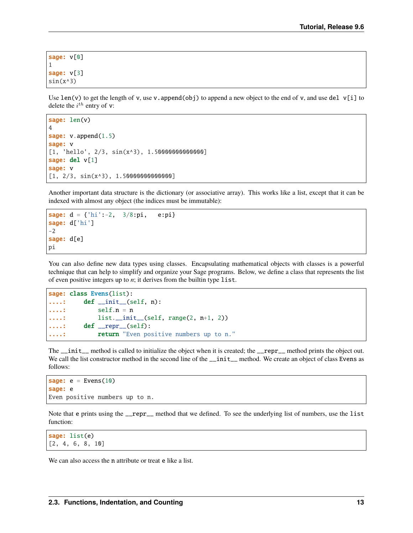sage:  $v[0]$ 1 sage: v[3] sin(x^3)

Use len(v) to get the length of v, use v. append(obj) to append a new object to the end of v, and use del v[i] to delete the  $i^{th}$  entry of v:

```
sage: len(v)
4
sage: v.append(1.5)
sage: v
[1, 'hello', 2/3, sin(x<sup>2</sup>), 1.50000000000000]sage: del v[1]
sage: v
[1, 2/3, sin(x<sup>1</sup>3), 1.50000000000000]
```
Another important data structure is the dictionary (or associative array). This works like a list, except that it can be indexed with almost any object (the indices must be immutable):

```
sage: d = {'hi':-2, 3/8:pi, e:pi}
sage: d['hi']
-2
sage: d[e]
pi
```
You can also define new data types using classes. Encapsulating mathematical objects with classes is a powerful technique that can help to simplify and organize your Sage programs. Below, we define a class that represents the list of even positive integers up to *n*; it derives from the builtin type list.

```
sage: class Evens(list):
\dots: def \_init_(self, n):
\dots: self.n = n
....: list.__init__(self, range(2, n+1, 2))
....: def __repr__(self):
....: return "Even positive numbers up to n."
```
The  $\text{__init}\text{__}$  method is called to initialize the object when it is created; the  $\text{__repr}\text{__}$  method prints the object out. We call the list constructor method in the second line of the \_\_init\_\_ method. We create an object of class Evens as follows:

```
sage: e = Evens(10)
sage: e
Even positive numbers up to n.
```
Note that e prints using the \_\_repr\_\_ method that we defined. To see the underlying list of numbers, use the list function:

sage: list(e) [2, 4, 6, 8, 10]

We can also access the **n** attribute or treat **e** like a list.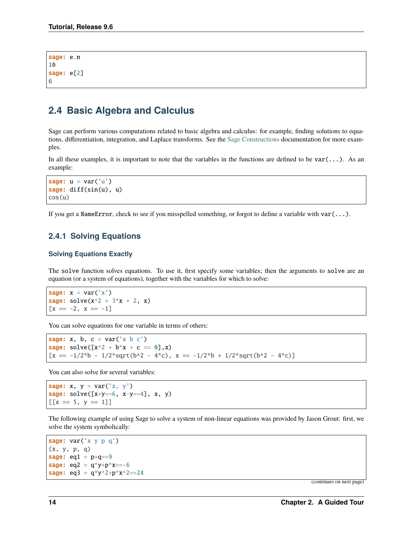```
sage: e.n
10
sage: e[2]
6
```
# <span id="page-17-0"></span>**2.4 Basic Algebra and Calculus**

Sage can perform various computations related to basic algebra and calculus: for example, finding solutions to equations, differentiation, integration, and Laplace transforms. See the [Sage Constructions](http://doc.sagemath.org/html/en/constructions/) documentation for more examples.

In all these examples, it is important to note that the variables in the functions are defined to be  $var(...)$ . As an example:

```
sage: u = var('u')sage: diff(sin(u), u)
cos(u)
```
If you get a NameError, check to see if you misspelled something, or forgot to define a variable with var(...).

#### **2.4.1 Solving Equations**

#### **Solving Equations Exactly**

The solve function solves equations. To use it, first specify some variables; then the arguments to solve are an equation (or a system of equations), together with the variables for which to solve:

sage:  $x = var('x')$ sage:  $solve(x^2 + 3*x + 2, x)$  $[x == -2, x == -1]$ 

You can solve equations for one variable in terms of others:

```
sage: x, b, c = var('x b c')sage: solve([x^2 + b^*x + c == 0],x)
[x == -1/2*b - 1/2*sqrt(b^2 - 4*c), x == -1/2*b + 1/2*sqrt(b^2 - 4*c)]
```
You can also solve for several variables:

sage:  $x, y = var('x, y')$ sage: solve( $[x+y==6, x-y==4]$ , x, y)  $[[x == 5, y == 1]]$ 

The following example of using Sage to solve a system of non-linear equations was provided by Jason Grout: first, we solve the system symbolically:

```
sage: var('x y p q')
(x, y, p, q)
sage: eq1 = p+q == 9sage: eq2 = q * y + p * x == -6sage: eq3 = q*y^2+p*x^2==24
```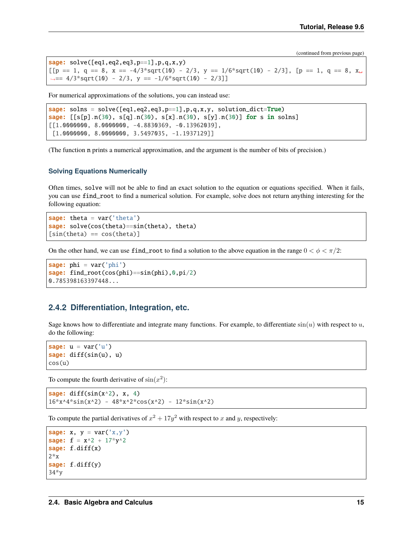sage:  $solve([eq1, eq2, eq3, p==1], p, q, x, y)$  $[[p = 1, q = 8, x = -4/3*sqrt(10) - 2/3, y = 1/6*sqrt(10) - 2/3], [p = 1, q = 8, x]$  $\Rightarrow$  = 4/3\*sqrt(10) - 2/3, y = -1/6\*sqrt(10) - 2/3]]

For numerical approximations of the solutions, you can instead use:

```
sage: solns = solve([eq1, eq2, eq3, p==1], p, q, x, y, solution_dict=True)
sage: [ [S[p] \n, n(30), S[q] \n, n(30), S[x] \n, n(30), S[y] \n, n(30)] for s in solns]
[[1.0000000, 8.0000000, -4.8830369, -0.13962039],
[1.0000000, 8.0000000, 3.5497035, -1.1937129]]
```
(The function n prints a numerical approximation, and the argument is the number of bits of precision.)

#### **Solving Equations Numerically**

Often times, solve will not be able to find an exact solution to the equation or equations specified. When it fails, you can use find\_root to find a numerical solution. For example, solve does not return anything interesting for the following equation:

```
sage: theta = var('theta')sage: solve(cos(theta)==sin(theta), theta)
[sin(theta) == cos(theta)]
```
On the other hand, we can use find\_root to find a solution to the above equation in the range  $0 < \phi < \pi/2$ :

```
sage: phi = var('phi')sage: find_root(cos(phi)==sin(phi),0,pi/2)
0.785398163397448...
```
#### **2.4.2 Differentiation, Integration, etc.**

Sage knows how to differentiate and integrate many functions. For example, to differentiate  $sin(u)$  with respect to u, do the following:

```
sage: u = var('u')sage: diff(sin(u), u)
cos(u)
```
To compute the fourth derivative of  $sin(x^2)$ :

```
sage: diff(sin(x^2), x, 4)
16*x^4*sin(x^2) - 48*x^2*cos(x^2) - 12*sin(x^2)
```
To compute the partial derivatives of  $x^2 + 17y^2$  with respect to x and y, respectively:

```
sage: x, y = var('x, y')sage: f = x^2 + 17^*y^2sage: f.diff(x)
2 \cdot xsage: f.diff(y)
34*y
```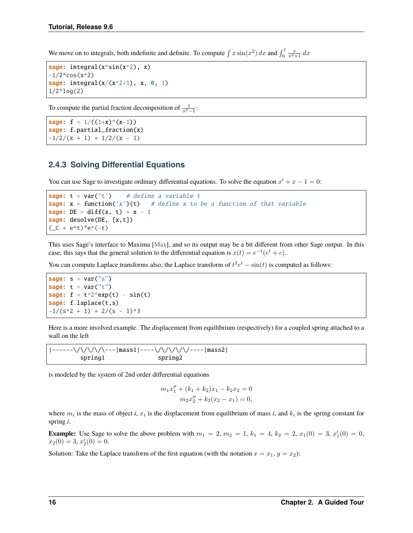We move on to integrals, both indefinite and definite. To compute  $\int x \sin(x^2) dx$  and  $\int_0^1 \frac{x}{x^2+1} dx$ 

```
sage: integral(x * sin(x^2), x)-1/2*cos(x^2)
sage: integral(x/(x^2+1), x, 0, 1)
1/2 * log(2)
```
To compute the partial fraction decomposition of  $\frac{1}{x^2-1}$ :

sage:  $f = 1/((1+x)*(x-1))$ sage: f.partial\_fraction(x)  $-1/2/(x + 1) + 1/2/(x - 1)$ 

## <span id="page-19-0"></span>**2.4.3 Solving Differential Equations**

You can use Sage to investigate ordinary differential equations. To solve the equation  $x' + x - 1 = 0$ :

```
sage: t = var('t') # define a variable t
sage: x = function('x')(t) # define x to be a function of that variable
sage: DE = diff(x, t) + x - 1sage: desolve(DE, [x,t])
(-C + e^{\lambda t}) * e^{\lambda (-t)}
```
This uses Sage's interface to Maxima [\[Max\]](#page-112-3), and so its output may be a bit different from other Sage output. In this case, this says that the general solution to the differential equation is  $x(t) = e^{-t}(e^{t} + c)$ .

You can compute Laplace transforms also; the Laplace transform of  $t^2e^t - \sin(t)$  is computed as follows:

```
sage: s = var("s")sage: t = var("t")sage: f = t^2*exp(t) - sin(t)sage: f.laplace(t,s)
-1/(s^2 + 1) + 2/(s - 1)^3
```
Here is a more involved example. The displacement from equilibrium (respectively) for a coupled spring attached to a wall on the left

 $|---\rangle/\rangle/\rangle/\rangle/---|mass1|---\rangle/\rangle/\rangle/---|mass2|$ spring1 spring2

is modeled by the system of 2nd order differential equations

$$
m_1x_1'' + (k_1 + k_2)x_1 - k_2x_2 = 0
$$
  

$$
m_2x_2'' + k_2(x_2 - x_1) = 0,
$$

where  $m_i$  is the mass of object *i*,  $x_i$  is the displacement from equilibrium of mass *i*, and  $k_i$  is the spring constant for spring *i*.

**Example:** Use Sage to solve the above problem with  $m_1 = 2$ ,  $m_2 = 1$ ,  $k_1 = 4$ ,  $k_2 = 2$ ,  $x_1(0) = 3$ ,  $x'_1(0) = 0$ ,  $x_2(0) = 3, x'_2(0) = 0.$ 

Solution: Take the Laplace transform of the first equation (with the notation  $x = x_1, y = x_2$ ):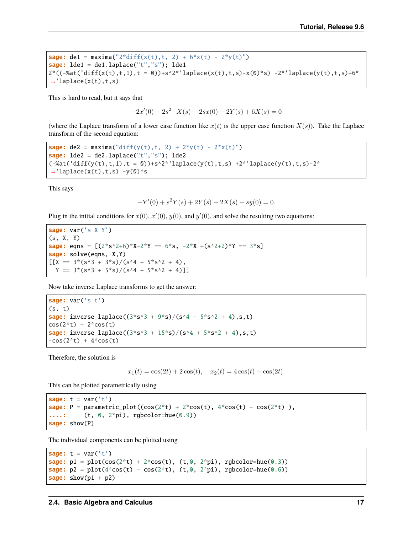sage: de1 = maxima("2\*diff(x(t),t, 2) +  $6*x(t) - 2*y(t)$ ") sage:  $1de1 = de1u1aplace("t", "s")$ ;  $1de1$  $2^*((-\%at('diff(x(t),t,1),t = 0))+s^2*'laplace(x(t),t,s)-x(0)*s) -2*'laplace(y(t),t,s)+6*$  $\rightarrow$ 'laplace(x(t),t,s)

This is hard to read, but it says that

$$
-2x'(0) + 2s^{2} \cdot X(s) - 2sx(0) - 2Y(s) + 6X(s) = 0
$$

(where the Laplace transform of a lower case function like  $x(t)$  is the upper case function  $X(s)$ ). Take the Laplace transform of the second equation:

sage: de2 = maxima("diff(y(t), t, 2) +  $2*y(t) - 2*x(t)$ ") sage:  $lde2 = de2.laplace("t", "s")$ ;  $lde2$  $(-%at('diff(y(t), t, 1), t = 0)) + s^2*'laplace(y(t), t, s) +2*'laplace(y(t), t, s) -2*$  $\rightarrow$ 'laplace(x(t),t,s) -y(0)\*s

This says

$$
-Y'(0) + s2Y(s) + 2Y(s) - 2X(s) - sy(0) = 0.
$$

Plug in the initial conditions for  $x(0), x'(0), y(0)$ , and  $y'(0)$ , and solve the resulting two equations:

sage: var('s X Y') (s, X, Y) sage: eqns =  $[(2*s \land 2+6) * X - 2 * Y == 6*s, -2 * X + (s \land 2+2) * Y == 3*s]$ sage: solve(eqns, X,Y)  $[[X = 3*(s^3 + 3*s)/(s^4 + 5*s^4)]$  $Y = 3*(s^3 + 5*s)/(s^4 + 5*s^2 + 4)]$ 

Now take inverse Laplace transforms to get the answer:

```
sage: var('s t')
(s, t)
sage: inverse_laplace((3*s^*s + 9*s)/(s^4 + 5*s^2 + 4),s,t)
cos(2*t) + 2*cos(t)sage: inverse_laplace((3*s^3 + 15*s)/(s^4 + 5*s^2 + 4),s,t)-cos(2*t) + 4*cos(t)
```
Therefore, the solution is

$$
x_1(t) = \cos(2t) + 2\cos(t), \quad x_2(t) = 4\cos(t) - \cos(2t).
$$

This can be plotted parametrically using

```
sage: t = var('t')sage: P = parameteric_plot((cos(2*t) + 2*cos(t), 4*cos(t) - cos(2*t)),\dots: (t, 0, 2*pi), rgbcolor=hue(0.9))
sage: show(P)
```
The individual components can be plotted using

```
sage: t = var('t')sage: p1 = plot(cos(2*t) + 2*cos(t), (t, 0, 2*pi), rybcolor=blue(0.3))sage: p2 = plot(4 * cos(t) - cos(2 * t)), (t, 0, 2 * pi), rgbcolor=hue(0.6))
sage: show(p1 + p2)
```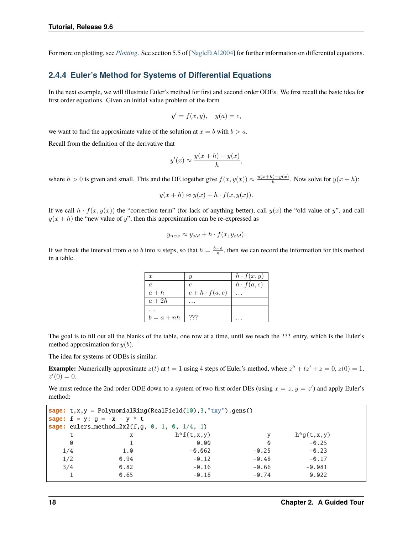For more on plotting, see *[Plotting](#page-23-0)*. See section 5.5 of [\[NagleEtAl2004\]](#page-112-4) for further information on differential equations.

#### **2.4.4 Euler's Method for Systems of Differential Equations**

In the next example, we will illustrate Euler's method for first and second order ODEs. We first recall the basic idea for first order equations. Given an initial value problem of the form

$$
y' = f(x, y), \quad y(a) = c,
$$

we want to find the approximate value of the solution at  $x = b$  with  $b > a$ .

Recall from the definition of the derivative that

$$
y'(x) \approx \frac{y(x+h) - y(x)}{h},
$$

where  $h > 0$  is given and small. This and the DE together give  $f(x, y(x)) \approx \frac{y(x+h)-y(x)}{h}$  $\frac{h(y-y(x))}{h}$ . Now solve for  $y(x+h)$ :

$$
y(x+h) \approx y(x) + h \cdot f(x, y(x)).
$$

If we call  $h \cdot f(x, y(x))$  the "correction term" (for lack of anything better), call  $y(x)$  the "old value of y", and call  $y(x + h)$  the "new value of y", then this approximation can be re-expressed as

$$
y_{new} \approx y_{old} + h \cdot f(x, y_{old}).
$$

If we break the interval from a to b into n steps, so that  $h = \frac{b-a}{n}$ , then we can record the information for this method in a table.

| $\boldsymbol{x}$ | и                 | $h \cdot f(x, y)$      |
|------------------|-------------------|------------------------|
| a.               | $\epsilon$        | $\bar{h} \cdot f(a,c)$ |
| $a + h$          | $c+h\cdot f(a,c)$ |                        |
| $a+2h$           |                   |                        |
|                  |                   |                        |
| $b=a+nh$         | ???               |                        |

The goal is to fill out all the blanks of the table, one row at a time, until we reach the ??? entry, which is the Euler's method approximation for  $y(b)$ .

The idea for systems of ODEs is similar.

**Example:** Numerically approximate  $z(t)$  at  $t = 1$  using 4 steps of Euler's method, where  $z'' + tz' + z = 0$ ,  $z(0) = 1$ ,  $z'(0) = 0.$ 

We must reduce the 2nd order ODE down to a system of two first order DEs (using  $x = z$ ,  $y = z'$ ) and apply Euler's method:

```
sage: t, x, y = \text{PolynomialRing}(\text{RealField}(10), 3, "txy") \cdot \text{gens}()sage: f = y; g = -x - y * t
sage: eulers_method_2x2(f,g, \theta, 1, \theta, 1/4, 1)
   t x h^*f(t,x,y) y h^*g(t,x,y)0 0.00 0 -0.25
  1/4 1.0 -0.062 -0.25 -0.231/2 0.94 -0.12 -0.48 -0.17
  3/4 0.82 -0.16 -0.66 -0.081
   1 0.65 -0.18 -0.74 0.022
```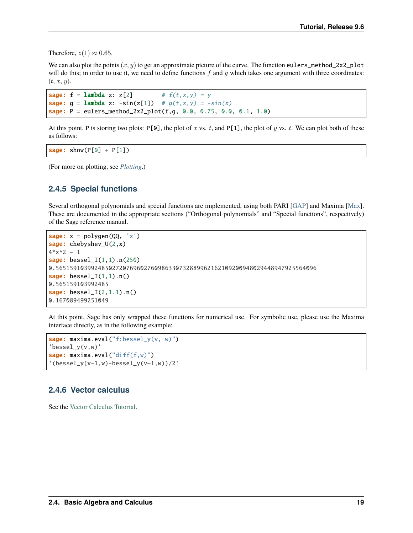Therefore,  $z(1) \approx 0.65$ .

We can also plot the points  $(x, y)$  to get an approximate picture of the curve. The function eulers\_method\_2x2\_plot will do this; in order to use it, we need to define functions  $f$  and  $g$  which takes one argument with three coordinates:  $(t, x, y).$ 

```
sage: f =lambda z: z[2] # f(t, x, y) = ysage: g = lambda z: -sin(z[1]) # g(t, x, y) = -sin(x)sage: P = \text{eulers\_method_2x2\_plot}(f,g, 0.0, 0.75, 0.0, 0.1, 1.0)
```
At this point, P is storing two plots: P[0], the plot of x vs. t, and P[1], the plot of y vs. t. We can plot both of these as follows:

sage:  $show(P[0] + P[1])$ 

(For more on plotting, see *[Plotting](#page-23-0)*.)

## **2.4.5 Special functions**

Several orthogonal polynomials and special functions are implemented, using both PARI [\[GAP\]](#page-112-5) and Maxima [\[Max\]](#page-112-3). These are documented in the appropriate sections ("Orthogonal polynomials" and "Special functions", respectively) of the Sage reference manual.

```
sage: x = polygen(QQ, 'x')sage: chebyshev_U(2,x)
4*x^2 - 1sage: bessel_I(1,1).n(250)
0.56515910399248502720769602760986330732889962162109200948029448947925564096
sage: bessel_I(1,1).n()0.565159103992485
sage: bessel_I(2,1.1).n()0.167089499251049
```
At this point, Sage has only wrapped these functions for numerical use. For symbolic use, please use the Maxima interface directly, as in the following example:

```
sage: maxima.eval("f:bessel_y(v, w)")
'bessel_y(v,w)'
sage: maxima.eval("diff(f,w)")
'(bessel_y(v-1,w)-bessel_y(v+1,w))/2'
```
## **2.4.6 Vector calculus**

See the [Vector Calculus Tutorial.](http://doc.sagemath.org/html/en/thematic_tutorials/vector_calculus.html)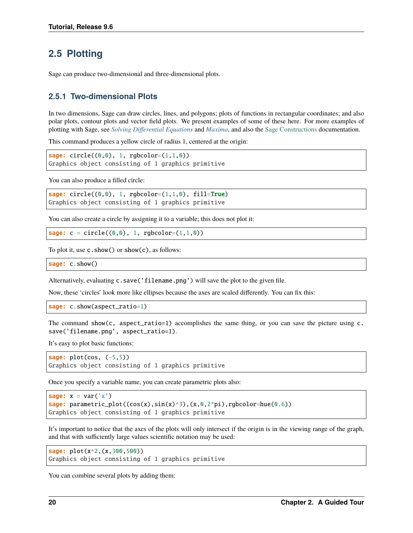## <span id="page-23-0"></span>**2.5 Plotting**

Sage can produce two-dimensional and three-dimensional plots.

## **2.5.1 Two-dimensional Plots**

In two dimensions, Sage can draw circles, lines, and polygons; plots of functions in rectangular coordinates; and also polar plots, contour plots and vector field plots. We present examples of some of these here. For more examples of plotting with Sage, see *[Solving Differential Equations](#page-19-0)* and *[Maxima](#page-75-0)*, and also the [Sage Constructions](http://doc.sagemath.org/html/en/constructions/) documentation.

This command produces a yellow circle of radius 1, centered at the origin:

```
sage: circle((0,0), 1, replace[1,1,0))Graphics object consisting of 1 graphics primitive
```
You can also produce a filled circle:

```
sage: circle((0,0), 1, rgbcolor=(1,1,0), fill=True)
Graphics object consisting of 1 graphics primitive
```
You can also create a circle by assigning it to a variable; this does not plot it:

```
sage: c = circle((0,0), 1,U, c) rgbcolor=(1,1,0))
```
To plot it, use  $c$ . show() or show(c), as follows:

sage: c.show()

Alternatively, evaluating c.save('filename.png') will save the plot to the given file.

Now, these 'circles' look more like ellipses because the axes are scaled differently. You can fix this:

sage: c.show(aspect\_ratio=1)

The command  $show(c, aspect\_ratio=1)$  accomplishes the same thing, or you can save the picture using c. save('filename.png', aspect\_ratio=1).

It's easy to plot basic functions:

```
sage: plot(cos, (-5,5))
Graphics object consisting of 1 graphics primitive
```
Once you specify a variable name, you can create parametric plots also:

```
sage: x = var('x')sage: parametric_plot((cos(x),sin(x)^3),(x,0,2*pi),rgbcolor=hue(0.6))
Graphics object consisting of 1 graphics primitive
```
It's important to notice that the axes of the plots will only intersect if the origin is in the viewing range of the graph, and that with sufficiently large values scientific notation may be used:

```
sage: plot(x^2,(x,300,500))
Graphics object consisting of 1 graphics primitive
```
You can combine several plots by adding them: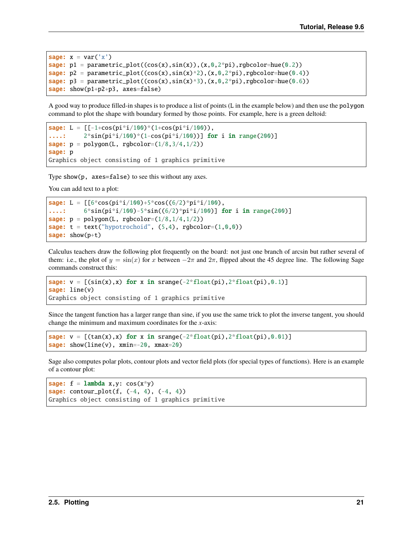```
sage: x = var('x')sage: p1 = parametric\_plot((cos(x),sin(x)),(x,0,2*pi),rgbcolor=blue(0.2))sage: p2 = parametric.plot((cos(x),sin(x)^2), (x,0,2*pi),rgbcolor=blue(0.4))sage: p3 = parametric.plot((cos(x),sin(x)^3), (x,0,2*pi),rgbcolor=blue(0.6))sage: show(p1+p2+p3, axes=false)
```
A good way to produce filled-in shapes is to produce a list of points (L in the example below) and then use the polygon command to plot the shape with boundary formed by those points. For example, here is a green deltoid:

```
sage: L = [[-1 + \cos(\pi/100) * (1 + \cos(\pi/100))],....: 2 * sin(p i * i / 100) * (1 - cos(p i * i / 100)) for i in range(200)]
sage: p = polygon(L, rybcolor=(1/8,3/4,1/2))sage: p
Graphics object consisting of 1 graphics primitive
```
Type show(p, axes=false) to see this without any axes.

You can add text to a plot:

```
sage: L = [[6*cos(pi*1/100)+5*cos((6/2)*pi*1/100),....: 6*sin(pi'i/100)-5*sin((6/2)*pi'i/100)] for i in range(200)]
sage: p = polygon(L, rybcolor=(1/8,1/4,1/2))sage: t = text("hypotrochoid", (5,4), rgbcolor=(1,0,0))sage: show(p+t)
```
Calculus teachers draw the following plot frequently on the board: not just one branch of arcsin but rather several of them: i.e., the plot of  $y = sin(x)$  for x between  $-2\pi$  and  $2\pi$ , flipped about the 45 degree line. The following Sage commands construct this:

```
sage: v = [(\sin(x), x) for x in srange(-2*float(pi),2*float(pi),0.1)]
sage: line(v)
Graphics object consisting of 1 graphics primitive
```
Since the tangent function has a larger range than sine, if you use the same trick to plot the inverse tangent, you should change the minimum and maximum coordinates for the *x*-axis:

```
sage: v = [(\tan(x), x) \text{ for } x \text{ in } \text{range}(-2^* \text{float}(pi), 2^* \text{float}(pi), 0.01)]sage: show(line(v), xmin=-20, xmax=20)
```
Sage also computes polar plots, contour plots and vector field plots (for special types of functions). Here is an example of a contour plot:

```
sage: f = lambda x, y: cos(x*y)sage: contour_plot(f, (-4, 4), (-4, 4))
Graphics object consisting of 1 graphics primitive
```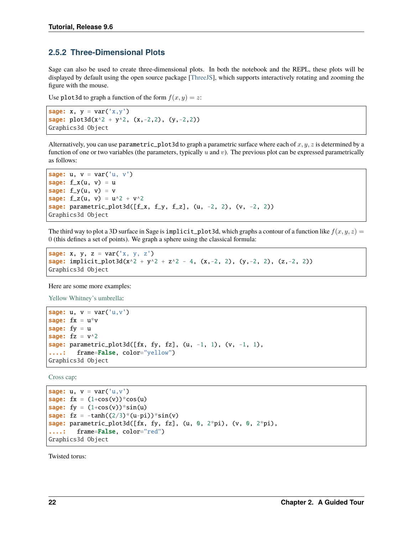## **2.5.2 Three-Dimensional Plots**

Sage can also be used to create three-dimensional plots. In both the notebook and the REPL, these plots will be displayed by default using the open source package [\[ThreeJS\]](#page-112-6), which supports interactively rotating and zooming the figure with the mouse.

Use plot3d to graph a function of the form  $f(x, y) = z$ :

```
sage: x, y = var('x,y')sage: plot3d(x^2 + y^2, (x,-2,2), (y,-2,2))Graphics3d Object
```
Alternatively, you can use parametric\_plot3d to graph a parametric surface where each of  $x, y, z$  is determined by a function of one or two variables (the parameters, typically  $u$  and  $v$ ). The previous plot can be expressed parametrically as follows:

```
sage: u, v = var('u, v')sage: f_x(u, v) = usage: f_y(u, v) = vsage: f_z(u, v) = u^2 + v^2sage: parametric_plot3d([f_x, f_y, f_z], (u, -2, 2), (v, -2, 2))Graphics3d Object
```
The third way to plot a 3D surface in Sage is implicit\_plot3d, which graphs a contour of a function like  $f(x, y, z) =$ 0 (this defines a set of points). We graph a sphere using the classical formula:

sage: x, y,  $z = var('x, y, z')$ sage: implicit\_plot3d( $x^2 + y^2 + z^2 - 4$ , (x,-2, 2), (y,-2, 2), (z,-2, 2)) Graphics3d Object

Here are some more examples:

[Yellow Whitney's umbrella:](http://en.wikipedia.org/wiki/Whitney_umbrella)

```
sage: u, v = var('u, v')sage: fx = u * vsage: fy = usage: fz = v^2sage: parametric_plot3d([fx, fy, fz], (u, -1, 1), (v, -1, 1),
....: frame=False, color="yellow")
Graphics3d Object
```
[Cross cap:](http://en.wikipedia.org/wiki/Cross-cap)

```
sage: u, v = var('u, v')sage: fx = (1 + cos(v))^*cos(u)sage: fy = (1+cos(v))*sin(u)sage: fz = -tanh((2/3)*(u-pi))*sin(v)sage: parametric_plot3d([fx, fy, fz], (u, 0, 2*pi), (v, 0, 2*pi),
....: frame=False, color="red")
Graphics3d Object
```
Twisted torus: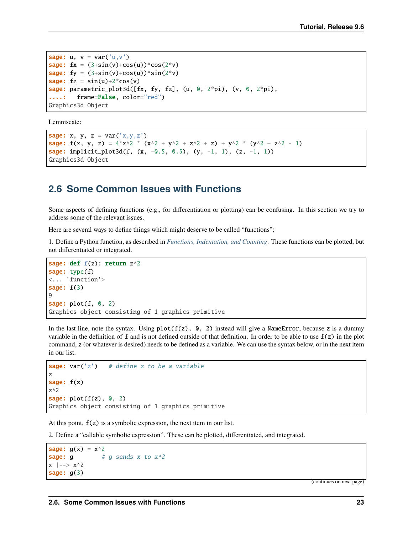```
sage: u, v = var('u, v')sage: fx = (3+sin(v)+cos(u))*cos(2*v)sage: fy = (3+sin(v)+cos(u))*sin(2*v)
sage: fz = sin(u) + 2 * cos(v)sage: parametric_plot3d([fx, fy, fz], (u, 0, 2*pi), (v, 0, 2*pi),
....: frame=False, color="red")
Graphics3d Object
```
Lemniscate:

```
sage: x, y, z = var('x,y,z')sage: f(x, y, z) = 4*x^2 * (x^2 + y^2 + z^2 + z) + y^2 * (y^2 + z^2 - 1)
sage: implicit_plot3d(f, (x, -0.5, 0.5), (y, -1, 1), (z, -1, 1))
Graphics3d Object
```
## <span id="page-26-0"></span>**2.6 Some Common Issues with Functions**

Some aspects of defining functions (e.g., for differentiation or plotting) can be confusing. In this section we try to address some of the relevant issues.

Here are several ways to define things which might deserve to be called "functions":

1. Define a Python function, as described in *[Functions, Indentation, and Counting](#page-13-0)*. These functions can be plotted, but not differentiated or integrated.

```
sage: def f(z): return z^2sage: type(f)
<... 'function'>
sage: f(3)9
sage: plot(f, 0, 2)Graphics object consisting of 1 graphics primitive
```
In the last line, note the syntax. Using  $plot(f(z), 0, 2)$  instead will give a NameError, because z is a dummy variable in the definition of  $f$  and is not defined outside of that definition. In order to be able to use  $f(z)$  in the plot command, z (or whatever is desired) needs to be defined as a variable. We can use the syntax below, or in the next item in our list.

```
sage: var('z') # define z to be a variable
z
sage: f(z)
z^2
sage: plot(f(z), 0, 2)Graphics object consisting of 1 graphics primitive
```
At this point,  $f(z)$  is a symbolic expression, the next item in our list.

2. Define a "callable symbolic expression". These can be plotted, differentiated, and integrated.

sage:  $q(x) = x^2$ sage: q  $# q$  sends x to  $x^2$  $x$   $\vert --\rangle$   $x^{\wedge}2$ sage: g(3)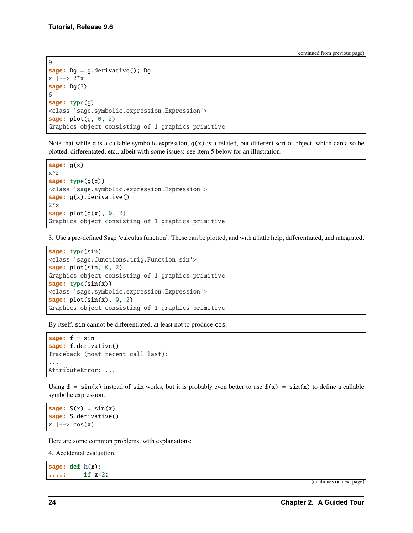```
9
sage: Dg = g. derivative(); Dg
x | --> 2*xsage: Dg(3)6
sage: type(g)
<class 'sage.symbolic.expression.Expression'>
sage: plot(g, 0, 2)Graphics object consisting of 1 graphics primitive
```
Note that while g is a callable symbolic expression,  $g(x)$  is a related, but different sort of object, which can also be plotted, differentated, etc., albeit with some issues: see item 5 below for an illustration.

```
sage: g(x)x^2
sage: type(g(x))<class 'sage.symbolic.expression.Expression'>
sage: g(x).derivative()
2 \times xsage: plot(g(x), 0, 2)Graphics object consisting of 1 graphics primitive
```
3. Use a pre-defined Sage 'calculus function'. These can be plotted, and with a little help, differentiated, and integrated.

```
sage: type(sin)
<class 'sage.functions.trig.Function_sin'>
sage: plot(sin, 0, 2)
Graphics object consisting of 1 graphics primitive
sage: type(sin(x))
<class 'sage.symbolic.expression.Expression'>
sage: plot(sin(x), 0, 2)Graphics object consisting of 1 graphics primitive
```
By itself, sin cannot be differentiated, at least not to produce cos.

```
sage: f = \sinsage: f.derivative()
Traceback (most recent call last):
...
AttributeError: ...
```
Using  $f = \sin(x)$  instead of sin works, but it is probably even better to use  $f(x) = \sin(x)$  to define a callable symbolic expression.

```
sage: S(x) = sin(x)sage: S.derivative()
x \left| \rightarrow \right> \cos(x)
```
Here are some common problems, with explanations:

4. Accidental evaluation.

```
sage: def h(x):
....: if x < 2:
```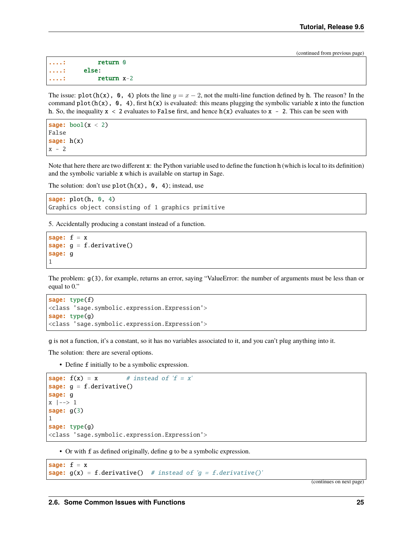| return $\mathbb{N}$ |
|---------------------|
| else:               |
| return $x-2$        |

The issue:  $plot(h(x), 0, 4)$  plots the line  $y = x - 2$ , not the multi-line function defined by h. The reason? In the command plot( $h(x)$ , 0, 4), first  $h(x)$  is evaluated: this means plugging the symbolic variable x into the function h. So, the inequality  $x < 2$  evaluates to False first, and hence  $h(x)$  evaluates to  $x - 2$ . This can be seen with

```
sage: bool(x < 2)False
sage: h(x)x - 2
```
Note that here there are two different x: the Python variable used to define the function h (which is local to its definition) and the symbolic variable x which is available on startup in Sage.

The solution: don't use  $plot(h(x), 0, 4)$ ; instead, use

```
sage: plot(h, 0, 4)Graphics object consisting of 1 graphics primitive
```
5. Accidentally producing a constant instead of a function.

```
sage: f = xsage: g = f. derivative()
sage: g
1
```
The problem: g(3), for example, returns an error, saying "ValueError: the number of arguments must be less than or equal to 0."

```
sage: type(f)
<class 'sage.symbolic.expression.Expression'>
sage: type(g)
<class 'sage.symbolic.expression.Expression'>
```
g is not a function, it's a constant, so it has no variables associated to it, and you can't plug anything into it.

The solution: there are several options.

• Define f initially to be a symbolic expression.

```
sage: f(x) = x # instead of 'f = x'
sage: g = f. derivative()
sage: g
x \mid --> 1sage: g(3)
1
sage: type(g)
<class 'sage.symbolic.expression.Expression'>
```
• Or with f as defined originally, define g to be a symbolic expression.

```
sage: f = xsage: g(x) = f. derivative() # instead of 'g = f. derivative()'
```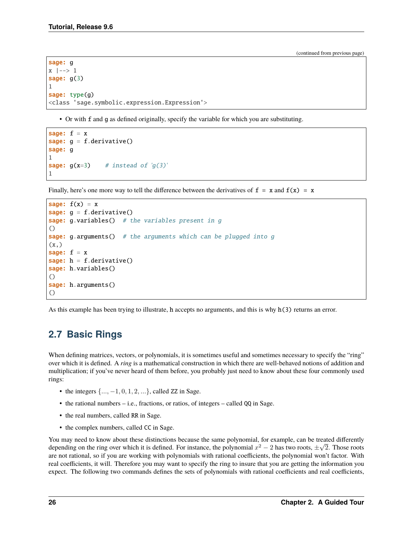sage: g  $x$   $| \rightarrow \rangle 1$ sage: g(3) 1 sage: type(g) <class 'sage.symbolic.expression.Expression'>

• Or with f and g as defined originally, specify the variable for which you are substituting.

```
sage: f = xsage: g = f. derivative()
sage: g
1
sage: g(x=3) # instead of 'g(3)'
1
```
Finally, here's one more way to tell the difference between the derivatives of  $f = x$  and  $f(x) = x$ 

```
sage: f(x) = xsage: g = f. derivative()
sage: g.variables() # the variables present in g()
sage: g.arguments() # the arguments which can be plugged into g
(x,)
sage: f = xsage: h = f. derivative()
sage: h.variables()
\bigcapsage: h.arguments()
()
```
As this example has been trying to illustrate, h accepts no arguments, and this is why h(3) returns an error.

# <span id="page-29-0"></span>**2.7 Basic Rings**

When defining matrices, vectors, or polynomials, it is sometimes useful and sometimes necessary to specify the "ring" over which it is defined. A *ring* is a mathematical construction in which there are well-behaved notions of addition and multiplication; if you've never heard of them before, you probably just need to know about these four commonly used rings:

- the integers  $\{..., -1, 0, 1, 2, ...\}$ , called ZZ in Sage.
- the rational numbers i.e., fractions, or ratios, of integers called QQ in Sage.
- the real numbers, called RR in Sage.
- the complex numbers, called CC in Sage.

You may need to know about these distinctions because the same polynomial, for example, can be treated differently depending on the ring over which it is defined. For instance, the polynomial  $x^2 - 2$  has two roots,  $\pm \sqrt{2}$ . Those roots are not rational, so if you are working with polynomials with rational coefficients, the polynomial won't factor. With real coefficients, it will. Therefore you may want to specify the ring to insure that you are getting the information you expect. The following two commands defines the sets of polynomials with rational coefficients and real coefficients,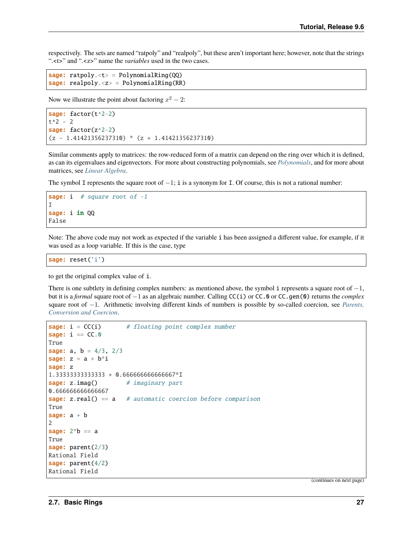respectively. The sets are named "ratpoly" and "realpoly", but these aren't important here; however, note that the strings ".<t>" and ".<z>" name the *variables* used in the two cases.

```
sage: ratpoly. <t = PolynomialRing(QQ)
sage: realpoly.\langle z \rangle = PolynomialRing(RR)
```
Now we illustrate the point about factoring  $x^2 - 2$ :

```
sage: factor(t^2-2)
t^2 - 2sage: factor(z^2-2)
(z - 1.41421356237310) * (z + 1.41421356237310)
```
Similar comments apply to matrices: the row-reduced form of a matrix can depend on the ring over which it is defined, as can its eigenvalues and eigenvectors. For more about constructing polynomials, see *[Polynomials](#page-35-0)*, and for more about matrices, see *[Linear Algebra](#page-31-0)*.

The symbol I represents the square root of  $-1$ ; i is a synonym for I. Of course, this is not a rational number:

```
sage: i # square root of -1I
sage: i in QQ
False
```
Note: The above code may not work as expected if the variable i has been assigned a different value, for example, if it was used as a loop variable. If this is the case, type

sage: reset('i')

to get the original complex value of i.

There is one subtlety in defining complex numbers: as mentioned above, the symbol i represents a square root of  $-1$ , but it is a *formal* square root of −1 as an algebraic number. Calling CC(i) or CC.0 or CC.gen(0) returns the *complex* square root of −1. Arithmetic involving different kinds of numbers is possible by so-called coercion, see *[Parents,](#page-39-0) [Conversion and Coercion](#page-39-0)*.

```
sage: i = CC(i) # floating point complex number
sage: i == CC.0True
sage: a, b = 4/3, 2/3sage: z = a + b^*isage: z
1.33333333333333 + 0.666666666666667*I
sage: z.inag() # imaginary part
0.666666666666667
sage: z.read() == a # automatic coercion before comparisonTrue
sage: a + b2
sage: 2 * b == aTrue
sage: parent(2/3)
Rational Field
sage: parent(4/2)
Rational Field
```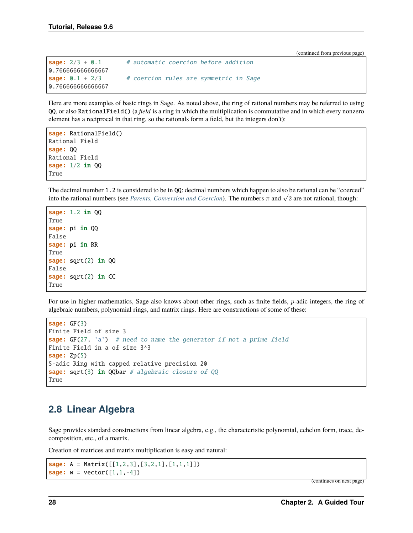| <b>sage:</b> $2/3 + 0.1$ | # automatic coercion before addition   |  |  |  |
|--------------------------|----------------------------------------|--|--|--|
| 0.76666666666667         |                                        |  |  |  |
| <b>sage:</b> $0.1 + 2/3$ | # coercion rules are symmetric in Sage |  |  |  |
| 0.76666666666667         |                                        |  |  |  |

Here are more examples of basic rings in Sage. As noted above, the ring of rational numbers may be referred to using QQ, or also RationalField() (a *field* is a ring in which the multiplication is commutative and in which every nonzero element has a reciprocal in that ring, so the rationals form a field, but the integers don't):

```
sage: RationalField()
Rational Field
sage: 00
Rational Field
sage: 1/2 in QQ
True
```
The decimal number 1.2 is considered to be in QQ: decimal numbers which happen to also be rational can be "coerced" I ne decimal number 1.2 is considered to be in QQ: decimal numbers which happen to also be rational can be "coerce<br>into the rational numbers (see *[Parents, Conversion and Coercion](#page-39-0)*). The numbers π and √2 are not rationa

```
sage: 1.2 in QQ
True
sage: pi in QQ
False
sage: pi in RR
True
sage: sqrt(2) in QQ
False
sage: sqrt(2) in CC
True
```
For use in higher mathematics, Sage also knows about other rings, such as finite fields,  $p$ -adic integers, the ring of algebraic numbers, polynomial rings, and matrix rings. Here are constructions of some of these:

```
sage: GF(3)Finite Field of size 3
sage: GF(27, 'a') # need to name the generator if not a prime field
Finite Field in a of size 3^3
sage: Zp(5)
5-adic Ring with capped relative precision 20
sage: sqrt(3) in QQbar # algebraic closure of QQTrue
```
## <span id="page-31-0"></span>**2.8 Linear Algebra**

Sage provides standard constructions from linear algebra, e.g., the characteristic polynomial, echelon form, trace, decomposition, etc., of a matrix.

Creation of matrices and matrix multiplication is easy and natural:

```
sage: A = Matrix([1, 2, 3], [3, 2, 1], [1, 1, 1]])sage: w = vector([1, 1, -4])
```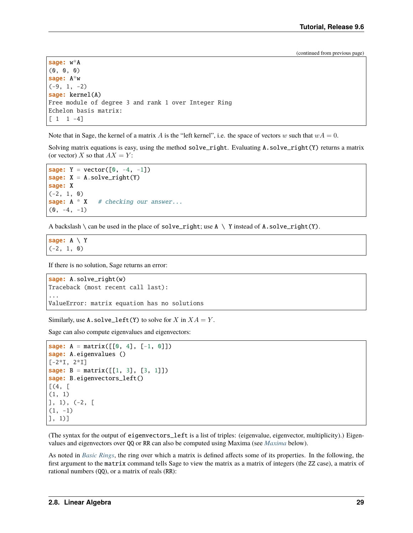```
sage: w*A
(0, 0, 0)
sage: A*w
(-9, 1, -2)sage: kernel(A)
Free module of degree 3 and rank 1 over Integer Ring
Echelon basis matrix:
\lceil 1 \ 1 \ -4 \rceil
```
Note that in Sage, the kernel of a matrix A is the "left kernel", i.e. the space of vectors w such that  $wA = 0$ .

Solving matrix equations is easy, using the method solve\_right. Evaluating A.solve\_right(Y) returns a matrix (or vector) X so that  $AX = Y$ :

```
sage: Y = vector([0, -4, -1])sage: X = A.solve_right(Y)
sage: X
(-2, 1, 0)sage: A * X # checking our answer...
(0, -4, -1)
```
A backslash  $\ \ can$  be used in the place of solve\_right; use A  $\ Y$  instead of A.solve\_right(Y).

sage:  $A \setminus Y$  $(-2, 1, 0)$ 

If there is no solution, Sage returns an error:

```
sage: A.solve_right(w)
Traceback (most recent call last):
...
ValueError: matrix equation has no solutions
```
Similarly, use A.solve\_left(Y) to solve for  $X$  in  $XA = Y$ .

Sage can also compute eigenvalues and eigenvectors:

```
sage: A = matrix([0, 4], [-1, 0]])sage: A.eigenvalues ()
[-2*I, 2*I]
sage: B = matrix([1, 3], [3, 1]])sage: B.eigenvectors_left()
[(4, [
(1, 1)
], 1), (-2, [
(1, -1)], 1)]
```
(The syntax for the output of eigenvectors\_left is a list of triples: (eigenvalue, eigenvector, multiplicity).) Eigenvalues and eigenvectors over QQ or RR can also be computed using Maxima (see *[Maxima](#page-75-0)* below).

As noted in *[Basic Rings](#page-29-0)*, the ring over which a matrix is defined affects some of its properties. In the following, the first argument to the matrix command tells Sage to view the matrix as a matrix of integers (the ZZ case), a matrix of rational numbers (QQ), or a matrix of reals (RR):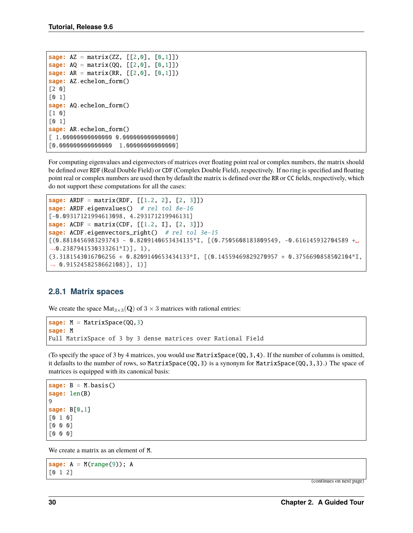```
sage: AZ = matrix(ZZ, [2,0], [0,1])
sage: AQ = matrix(QQ, [[2,0], [0,1]])sage: AR = matrix(RR, [2,0], [0,1]])
sage: AZ.echelon_form()
[2 0]
[0 1]
sage: AQ.echelon_form()
[1 0]
[0 1]
sage: AR.echelon_form()
[ 1.00000000000000 0.000000000000000]
[0.000000000000000 1.00000000000000]
```
For computing eigenvalues and eigenvectors of matrices over floating point real or complex numbers, the matrix should be defined over RDF (Real Double Field) or CDF (Complex Double Field), respectively. If no ring is specified and floating point real or complex numbers are used then by default the matrix is defined over the RR or CC fields, respectively, which do not support these computations for all the cases:

```
sage: ARDF = matrix(RDF, [1.2, 2], [2, 3])
sage: ARDF.eigenvalues() # rel tol 8e-16
[-0.09317121994613098, 4.293171219946131]
sage: ACDF = matrix(CDF, [1.2, I], [2, 3]])sage: ACDF.eigenvectors_right() # rel tol 3e-15
[(0.8818456983293743 - 0.8209140653434135*1, [(0.7505608183809549, -0.616145932704589 +<br>0.616145932704589]˓→0.2387941530333261*I)], 1),
(3.3181543016706256 + 0.8209140653434133*I, [(0.14559469829270957 + 0.3756690858502104*I,
\rightarrow 0.9152458258662108)], 1)]
```
#### **2.8.1 Matrix spaces**

We create the space  $Mat_{3\times 3}(\mathbf{Q})$  of  $3\times 3$  matrices with rational entries:

```
sage: M = MatrixSpace(QQ, 3)sage: M
Full MatrixSpace of 3 by 3 dense matrices over Rational Field
```
(To specify the space of 3 by 4 matrices, you would use MatrixSpace(QQ,3,4). If the number of columns is omitted, it defaults to the number of rows, so MatrixSpace(QQ,3) is a synonym for MatrixSpace(QQ,3,3).) The space of matrices is equipped with its canonical basis:

```
sage: B = M.basis()sage: len(B)
9
sage: B[0,1]
[0 1 0]
[0 0 0]
[0 0 0]
```
We create a matrix as an element of M.

```
sage: A = M(range(9)); A
[0 1 2]
```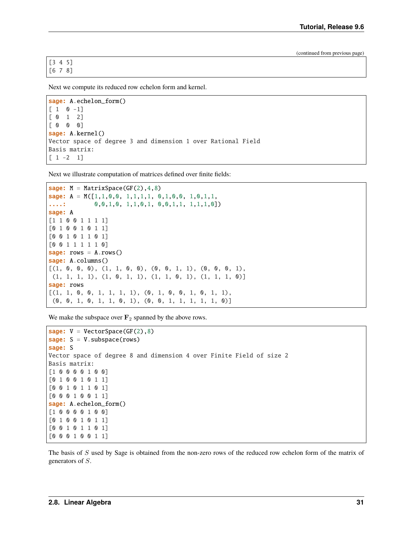[3 4 5] [6 7 8]

Next we compute its reduced row echelon form and kernel.

```
sage: A.echelon_form()
\begin{bmatrix} 1 & 0 & -1 \end{bmatrix}[ 0 1 2]
[ 0 0 0]
sage: A.kernel()
Vector space of degree 3 and dimension 1 over Rational Field
Basis matrix:
[1 -2 1]
```
Next we illustrate computation of matrices defined over finite fields:

```
sage: M = MatrixSpace(GF(2), 4, 8)sage: A = M([1,1,0,0, 1,1,1,1, 0,1,0,0, 1,0,1,1,
\dots: 0,0,1,0, 1,1,0,1, 0,0,1,1, 1,1,1,0])
sage: A
[1 1 0 0 1 1 1 1]
[0 1 0 0 1 0 1 1]
[0 0 1 0 1 1 0 1]
[0 0 1 1 1 1 1 0]
sage: rows = A.rows()sage: A.columns()
[(1, 0, 0, 0), (1, 1, 0, 0), (0, 0, 1, 1), (0, 0, 0, 1),(1, 1, 1, 1), (1, 0, 1, 1), (1, 1, 0, 1), (1, 1, 1, 0)]
sage: rows
[(1, 1, 0, 0, 1, 1, 1, 1), (0, 1, 0, 0, 1, 0, 1, 1),(0, 0, 1, 0, 1, 1, 0, 1), (0, 0, 1, 1, 1, 1, 1, 0)]
```
We make the subspace over  $\mathbf{F}_2$  spanned by the above rows.

```
sage: V = VectorSpace(GF(2), 8)sage: S = V. subspace(rows)
sage: S
Vector space of degree 8 and dimension 4 over Finite Field of size 2
Basis matrix:
[1 0 0 0 0 1 0 0]
[0 1 0 0 1 0 1 1]
[0 0 1 0 1 1 0 1]
[0 0 0 1 0 0 1 1]
sage: A.echelon_form()
[1 0 0 0 0 1 0 0]
[0 1 0 0 1 0 1 1]
[0 0 1 0 1 1 0 1]
[0 0 0 1 0 0 1 1]
```
The basis of  $S$  used by Sage is obtained from the non-zero rows of the reduced row echelon form of the matrix of generators of  $S$ .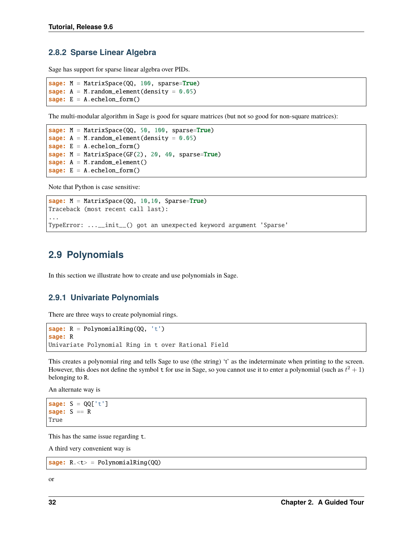## **2.8.2 Sparse Linear Algebra**

Sage has support for sparse linear algebra over PIDs.

```
sage: M = MatrixSpace(QQ, 100, sparse=True)sage: A = M.random-element(density = 0.05)sage: E = A.echelon_form()
```
The multi-modular algorithm in Sage is good for square matrices (but not so good for non-square matrices):

```
sage: M = MatrixSpace(QQ, 50, 100, sparse=True)sage: A = M.random-element(density = 0.05)sage: E = A.echelon_form()
sage: M = MatrixSpace(GF(2), 20, 40, sparse=True)
sage: A = M.random\_element()sage: E = A.echelon_form()
```
Note that Python is case sensitive:

```
sage: M = MatrixSpace(QQ, 10, 10, Somspace=True)Traceback (most recent call last):
...
TypeError: ...__init__() got an unexpected keyword argument 'Sparse'
```
## <span id="page-35-0"></span>**2.9 Polynomials**

In this section we illustrate how to create and use polynomials in Sage.

#### **2.9.1 Univariate Polynomials**

There are three ways to create polynomial rings.

```
sage: R = PolynomialRing(QQ, 't')sage: R
Univariate Polynomial Ring in t over Rational Field
```
This creates a polynomial ring and tells Sage to use (the string) 't' as the indeterminate when printing to the screen. However, this does not define the symbol  $t$  for use in Sage, so you cannot use it to enter a polynomial (such as  $t^2+1$ ) belonging to R.

An alternate way is

```
sage: S = QQ['t']sage: S == RTrue
```
This has the same issue regarding t.

A third very convenient way is

sage:  $R. < t> =$  PolynomialRing(QQ)

or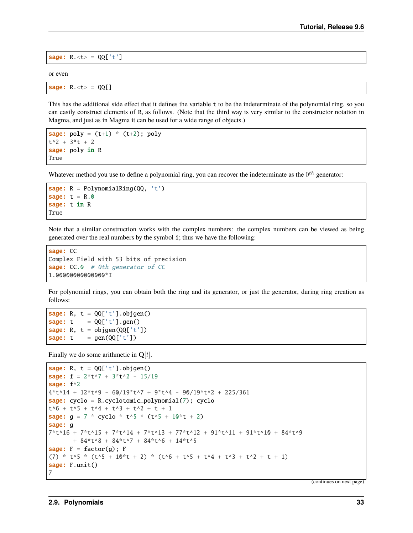sage:  $R. < t > = QQ['t']$ 

or even

sage:  $R. < t > = QQ[$ ]

This has the additional side effect that it defines the variable t to be the indeterminate of the polynomial ring, so you can easily construct elements of R, as follows. (Note that the third way is very similar to the constructor notation in Magma, and just as in Magma it can be used for a wide range of objects.)

```
sage: poly = (t+1) * (t+2); polyt^2 + 3*t + 2sage: poly in R
True
```
Whatever method you use to define a polynomial ring, you can recover the indeterminate as the  $0^{th}$  generator:

```
sage: R = PolynomialRing(QQ, 't')sage: t = R.0sage: t in R
True
```
Note that a similar construction works with the complex numbers: the complex numbers can be viewed as being generated over the real numbers by the symbol i; thus we have the following:

sage: CC Complex Field with 53 bits of precision sage: CC.0 # 0th generator of CC 1.00000000000000\*I

For polynomial rings, you can obtain both the ring and its generator, or just the generator, during ring creation as follows:

```
sage: R, t = QQ['t'].objgen()
sage: t = QQ['t'] .gen()sage: R, t = objgen(QQ['t'])\text{sage: } t = \text{gen}(QQ['t'])
```
Finally we do some arithmetic in  $Q[t]$ .

```
sage: R, t = QQ['t'].objgen()
sage: f = 2 * t^2 + 3 * t^2 - 15/19sage: f^{\wedge}24*t^14 + 12*t^9 - 60/19*t^7 + 9*t^4 - 90/19*t^2 + 225/361sage: cycle = R.cyclotomic\_polynomial(7); cyclet^{6} + t^{6} + t^{6} + t^{4} + t^{6} + t^{6} + t^{6} + t^{7}sage: g = 7 * cyclo * t^{5 *} (t^{5} + 10*t + 2)sage: g
7*t^16 + 7*t^15 + 7*t^14 + 7*t^13 + 77*t^12 + 91*t^11 + 91*t^10 + 84*t^9+ 84*t^8 + 84*t^7 + 84*t^6 + 14*t^5
sage: F = factor(q); F
(7) * t^5 * (t^5 + 10*t + 2) * (t^6 + t^5 + t^4 + t^3 + t^2 + t + 1)
sage: F.unit()
7
```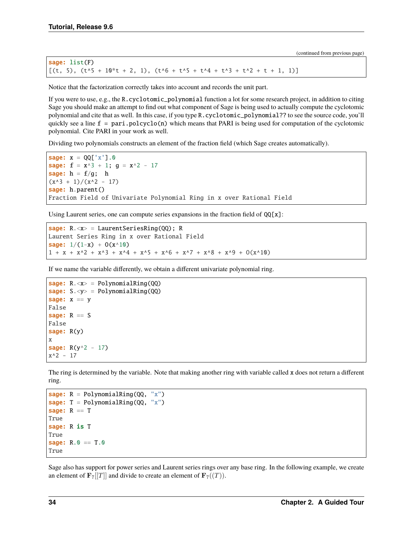sage: list(F)  $[(t, 5), (t^5 + 10^*t + 2, 1), (t^6 + t^5 + t^4 + t^3 + t^2 + t + 1, 1)]$ 

Notice that the factorization correctly takes into account and records the unit part.

If you were to use, e.g., the R.cyclotomic\_polynomial function a lot for some research project, in addition to citing Sage you should make an attempt to find out what component of Sage is being used to actually compute the cyclotomic polynomial and cite that as well. In this case, if you type R.cyclotomic\_polynomial?? to see the source code, you'll quickly see a line  $f = \text{pari.poleyclo(n)}$  which means that PARI is being used for computation of the cyclotomic polynomial. Cite PARI in your work as well.

Dividing two polynomials constructs an element of the fraction field (which Sage creates automatically).

**sage:**  $x = QQ['x']$ .0 sage:  $f = x^3 + 1$ ;  $g = x^2 - 17$ sage:  $h = f/g$ ; h  $(x^3 + 1)/(x^2 - 17)$ sage: h.parent() Fraction Field of Univariate Polynomial Ring in x over Rational Field

Using Laurent series, one can compute series expansions in the fraction field of  $QQ[x]$ :

```
sage: R \ll x = LaurentSeriesRing(QQ); R
Laurent Series Ring in x over Rational Field
sage: 1/(1-x) + O(x \land 10)1 + x + x^2 + x^3 + x^4 + x^5 + x^6 + x^7 + x^8 + x^9 + 0(x^10)
```
If we name the variable differently, we obtain a different univariate polynomial ring.

```
sage: R \times x > = PolynomialRing(QQ)
sage: S \le y \ge PolynomialRing(QQ)sage: x == yFalse
sage: R == SFalse
sage: R(y)
x
sage: R(y^2 - 17)x^2 - 17
```
The ring is determined by the variable. Note that making another ring with variable called x does not return a different ring.

```
sage: R = \text{PolynomialRing}(QQ, "x")sage: T = PolynomialRing(QQ, "x")
sage: R == TTrue
sage: R is T
True
sage: R.0 == T.0True
```
Sage also has support for power series and Laurent series rings over any base ring. In the following example, we create an element of  $\mathbf{F}_7[[T]]$  and divide to create an element of  $\mathbf{F}_7((T))$ .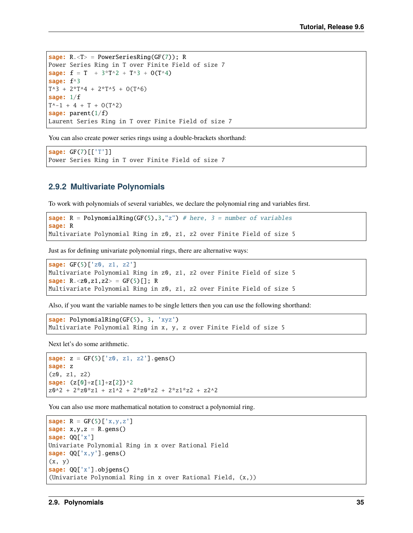```
sage: R. < T> = PowerSeriesRing(GF(7)); R
Power Series Ring in T over Finite Field of size 7
sage: f = T + 3 \times T^2 + T^3 + 0(T^4)sage: f^3
T^3 + 2*T^4 + 2*T^5 + O(T^6)
sage: 1/fT^{\wedge}-1 + 4 + T + O(T^2)
sage: parent(1/f)Laurent Series Ring in T over Finite Field of size 7
```
You can also create power series rings using a double-brackets shorthand:

sage: GF(7)[['T']] Power Series Ring in T over Finite Field of size 7

#### **2.9.2 Multivariate Polynomials**

To work with polynomials of several variables, we declare the polynomial ring and variables first.

```
sage: R = PolynomialRing(GF(5), 3, "z") # here, 3 = number of variables
sage: R
Multivariate Polynomial Ring in z0, z1, z2 over Finite Field of size 5
```
Just as for defining univariate polynomial rings, there are alternative ways:

```
sage: GF(5)['z0, z1, z2']
Multivariate Polynomial Ring in z0, z1, z2 over Finite Field of size 5
sage: R \le 20, z1, z2> = GF(5) []; R
Multivariate Polynomial Ring in z0, z1, z2 over Finite Field of size 5
```
Also, if you want the variable names to be single letters then you can use the following shorthand:

```
sage: PolynomialRing(GF(5), 3, 'xyz')
Multivariate Polynomial Ring in x, y, z over Finite Field of size 5
```
Next let's do some arithmetic.

```
sage: z = GF(5)['z0, z1, z2'].gens()
sage: z
(z0, z1, z2)
sage: (z[0]+z[1]+z[2])^2z0^2 + 2*z0*z1 + z1^2 + 2*z0*z2 + 2*z1*z2 + z2^2
```
You can also use more mathematical notation to construct a polynomial ring.

```
sage: R = GF(5)[x, y, z']sage: x, y, z = R.gens()
sage: QQ['x']
Univariate Polynomial Ring in x over Rational Field
sage: QQ['x,y'].gens()
(x, y)
sage: QQ['x'].objgens()
(Univariate Polynomial Ring in x over Rational Field, (x,))
```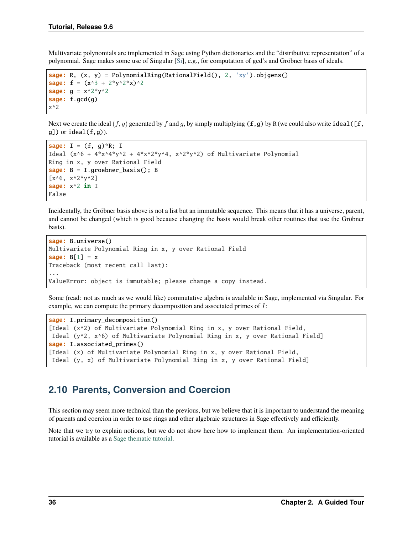Multivariate polynomials are implemented in Sage using Python dictionaries and the "distributive representation" of a polynomial. Sage makes some use of Singular [\[Si\]](#page-112-0), e.g., for computation of gcd's and Gröbner basis of ideals.

```
sage: R, (x, y) = PolynomialRing(RationalField(), 2, 'xy').objgens()
sage: f = (x^3 + 2^x y^2^x x)^2sage: g = x^2^*y^2sage: f.gcd(g)
x^2
```
Next we create the ideal  $(f, g)$  generated by f and g, by simply multiplying  $(f, g)$  by R (we could also write ideal ([f,  $g$ ]) or ideal $(f,g)$ ).

```
sage: I = (f, g) * R; I
Ideal (x^6 + 4*x^4*x^2 + 4*x^2*x^2*x^4, x^2*x^2) of Multivariate Polynomial
Ring in x, y over Rational Field
sage: B = I.groebner_basis(); B
[x^{\wedge}6, x^{\wedge}2^*y^{\wedge}2]sage: x^2 in I
False
```
Incidentally, the Gröbner basis above is not a list but an immutable sequence. This means that it has a universe, parent, and cannot be changed (which is good because changing the basis would break other routines that use the Gröbner basis).

```
sage: B.universe()
Multivariate Polynomial Ring in x, y over Rational Field
sage: B[1] = xTraceback (most recent call last):
...
ValueError: object is immutable; please change a copy instead.
```
Some (read: not as much as we would like) commutative algebra is available in Sage, implemented via Singular. For example, we can compute the primary decomposition and associated primes of  $I$ :

```
sage: I.primary_decomposition()
[Ideal (x^2) of Multivariate Polynomial Ring in x, y over Rational Field,
Ideal (y^2, x^6) of Multivariate Polynomial Ring in x, y over Rational Field]
sage: I.associated_primes()
[Ideal (x) of Multivariate Polynomial Ring in x, y over Rational Field,
Ideal (y, x) of Multivariate Polynomial Ring in x, y over Rational Field]
```
# **2.10 Parents, Conversion and Coercion**

This section may seem more technical than the previous, but we believe that it is important to understand the meaning of parents and coercion in order to use rings and other algebraic structures in Sage effectively and efficiently.

Note that we try to explain notions, but we do not show here how to implement them. An implementation-oriented tutorial is available as a [Sage thematic tutorial.](http://doc.sagemath.org/html/en/thematic_tutorials/coercion_and_categories.html)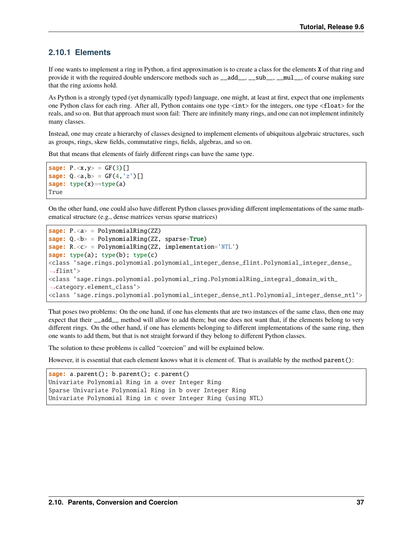### **2.10.1 Elements**

If one wants to implement a ring in Python, a first approximation is to create a class for the elements X of that ring and provide it with the required double underscore methods such as \_\_add\_\_, \_\_sub\_\_, \_\_mul\_\_, of course making sure that the ring axioms hold.

As Python is a strongly typed (yet dynamically typed) language, one might, at least at first, expect that one implements one Python class for each ring. After all, Python contains one type  $\langle$  int> for the integers, one type  $\langle$  float> for the reals, and so on. But that approach must soon fail: There are infinitely many rings, and one can not implement infinitely many classes.

Instead, one may create a hierarchy of classes designed to implement elements of ubiquitous algebraic structures, such as groups, rings, skew fields, commutative rings, fields, algebras, and so on.

But that means that elements of fairly different rings can have the same type.

```
sage: P \cdot \langle x, y \rangle = \text{GF}(3)[]sage: Q. \langle a, b \rangle = GF(4, 'z')[]
sage: type(x)==type(a)
True
```
On the other hand, one could also have different Python classes providing different implementations of the same mathematical structure (e.g., dense matrices versus sparse matrices)

```
sage: P \leq x > 0 = PolynomialRing(ZZ)
sage: Q. <b> = PolynomialRing(ZZ, sparse=True)
sage: R \leq c = PolynomialRing(ZZ, implementation='NTL')
sage: type(a); type(b); type(c)
<class 'sage.rings.polynomial.polynomial_integer_dense_flint.Polynomial_integer_dense_
\rightarrowflint'>
<class 'sage.rings.polynomial.polynomial_ring.PolynomialRing_integral_domain_with_
˓→category.element_class'>
<class 'sage.rings.polynomial.polynomial_integer_dense_ntl.Polynomial_integer_dense_ntl'>
```
That poses two problems: On the one hand, if one has elements that are two instances of the same class, then one may expect that their \_\_add\_\_ method will allow to add them; but one does not want that, if the elements belong to very different rings. On the other hand, if one has elements belonging to different implementations of the same ring, then one wants to add them, but that is not straight forward if they belong to different Python classes.

The solution to these problems is called "coercion" and will be explained below.

However, it is essential that each element knows what it is element of. That is available by the method parent ():

sage: a.parent(); b.parent(); c.parent() Univariate Polynomial Ring in a over Integer Ring Sparse Univariate Polynomial Ring in b over Integer Ring Univariate Polynomial Ring in c over Integer Ring (using NTL)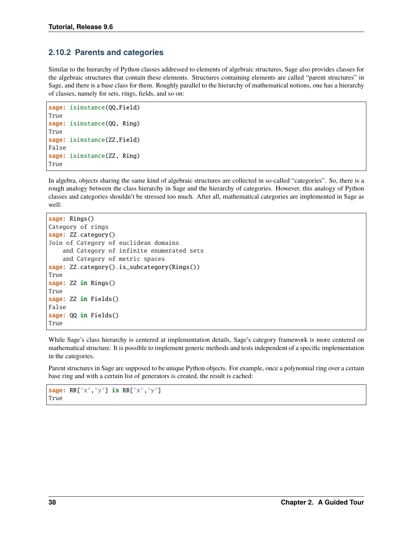#### **2.10.2 Parents and categories**

Similar to the hierarchy of Python classes addressed to elements of algebraic structures, Sage also provides classes for the algebraic structures that contain these elements. Structures containing elements are called "parent structures" in Sage, and there is a base class for them. Roughly parallel to the hierarchy of mathematical notions, one has a hierarchy of classes, namely for sets, rings, fields, and so on:

```
sage: isinstance(QQ,Field)
True
sage: isinstance(QQ, Ring)
True
sage: isinstance(ZZ,Field)
False
sage: isinstance(ZZ, Ring)
True
```
In algebra, objects sharing the same kind of algebraic structures are collected in so-called "categories". So, there is a rough analogy between the class hierarchy in Sage and the hierarchy of categories. However, this analogy of Python classes and categories shouldn't be stressed too much. After all, mathematical categories are implemented in Sage as well:

```
sage: Rings()
Category of rings
sage: ZZ.category()
Join of Category of euclidean domains
   and Category of infinite enumerated sets
    and Category of metric spaces
sage: ZZ.category().is_subcategory(Rings())
True
sage: ZZ in Rings()
True
sage: ZZ in Fields()
False
sage: QQ in Fields()
True
```
While Sage's class hierarchy is centered at implementation details, Sage's category framework is more centered on mathematical structure. It is possible to implement generic methods and tests independent of a specific implementation in the categories.

Parent structures in Sage are supposed to be unique Python objects. For example, once a polynomial ring over a certain base ring and with a certain list of generators is created, the result is cached:

```
sage: RR['x','y'] is RR['x','y']
True
```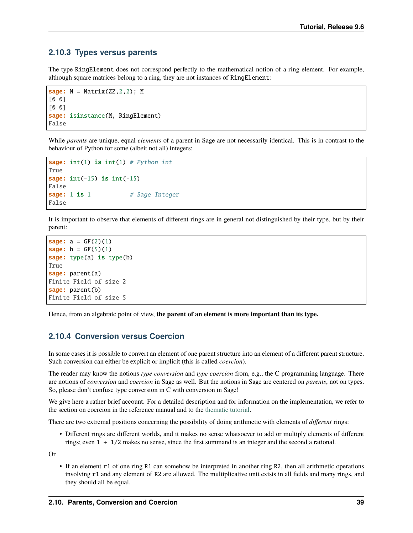### **2.10.3 Types versus parents**

The type RingElement does not correspond perfectly to the mathematical notion of a ring element. For example, although square matrices belong to a ring, they are not instances of RingElement:

```
sage: M = Matrix(ZZ, 2, 2); M
[0 0]
[0 0]
sage: isinstance(M, RingElement)
False
```
While *parents* are unique, equal *elements* of a parent in Sage are not necessarily identical. This is in contrast to the behaviour of Python for some (albeit not all) integers:

```
sage: int(1) is int(1) # Python intTrue
sage: int(-15) is int(-15)False
sage: 1 is 1 # Sage Integer
False
```
It is important to observe that elements of different rings are in general not distinguished by their type, but by their parent:

```
sage: a = GF(2)(1)sage: b = GF(5)(1)sage: type(a) is type(b)
True
sage: parent(a)
Finite Field of size 2
sage: parent(b)
Finite Field of size 5
```
Hence, from an algebraic point of view, **the parent of an element is more important than its type.**

### **2.10.4 Conversion versus Coercion**

In some cases it is possible to convert an element of one parent structure into an element of a different parent structure. Such conversion can either be explicit or implicit (this is called *coercion*).

The reader may know the notions *type conversion* and *type coercion* from, e.g., the C programming language. There are notions of *conversion* and *coercion* in Sage as well. But the notions in Sage are centered on *parents*, not on types. So, please don't confuse type conversion in C with conversion in Sage!

We give here a rather brief account. For a detailed description and for information on the implementation, we refer to the section on coercion in the reference manual and to the [thematic tutorial.](http://doc.sagemath.org/html/en/thematic_tutorials/coercion_and_categories.html)

There are two extremal positions concerning the possibility of doing arithmetic with elements of *different* rings:

• Different rings are different worlds, and it makes no sense whatsoever to add or multiply elements of different rings; even 1 + 1/2 makes no sense, since the first summand is an integer and the second a rational.

Or

• If an element r1 of one ring R1 can somehow be interpreted in another ring R2, then all arithmetic operations involving r1 and any element of R2 are allowed. The multiplicative unit exists in all fields and many rings, and they should all be equal.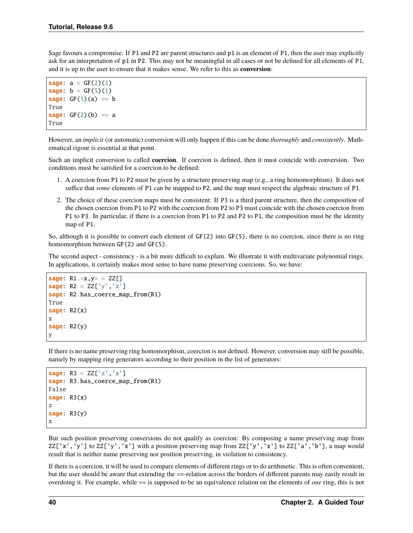Sage favours a compromise. If P1 and P2 are parent structures and p1 is an element of P1, then the user may explicitly ask for an interpretation of p1 in P2. This may not be meaningful in all cases or not be defined for all elements of P1, and it is up to the user to ensure that it makes sense. We refer to this as **conversion**:

```
sage: a = GF(2)(1)sage: b = GF(5)(1)sage: GF(5)(a) == bTrue
sage: GF(2)(b) == aTrue
```
However, an *implicit* (or automatic) conversion will only happen if this can be done *thoroughly* and *consistently*. Mathematical rigour is essential at that point.

Such an implicit conversion is called **coercion**. If coercion is defined, then it must coincide with conversion. Two conditions must be satisfied for a coercion to be defined:

- 1. A coercion from P1 to P2 must be given by a structure preserving map (e.g., a ring homomorphism). It does not suffice that *some* elements of P1 can be mapped to P2, and the map must respect the algebraic structure of P1.
- 2. The choice of these coercion maps must be consistent: If P3 is a third parent structure, then the composition of the chosen coercion from P1 to P2 with the coercion from P2 to P3 must coincide with the chosen coercion from P1 to P3. In particular, if there is a coercion from P1 to P2 and P2 to P1, the composition must be the identity map of P1.

So, although it is possible to convert each element of GF(2) into GF(5), there is no coercion, since there is no ring homomorphism between GF(2) and GF(5).

The second aspect - consistency - is a bit more difficult to explain. We illustrate it with multivariate polynomial rings. In applications, it certainly makes most sense to have name preserving coercions. So, we have:

```
sage: R1. \langle x, y \rangle = ZZsage: R2 = ZZ['y','x']sage: R2.has_coerce_map_from(R1)
True
sage: R2(x)x
sage: R2(y)y
```
If there is no name preserving ring homomorphism, coercion is not defined. However, conversion may still be possible, namely by mapping ring generators according to their position in the list of generators:

```
sage: R3 = ZZ['z','x']sage: R3.has_coerce_map_from(R1)
False
sage: R3(x)z
sage: R3(y)
x
```
But such position preserving conversions do not qualify as coercion: By composing a name preserving map from  $ZZ['x', 'y']$  to  $ZZ['y', 'x']$  with a position preserving map from  $ZZ['y', 'x']$  to  $ZZ['a', 'b']$ , a map would result that is neither name preserving nor position preserving, in violation to consistency.

If there is a coercion, it will be used to compare elements of different rings or to do arithmetic. This is often convenient, but the user should be aware that extending the ==-relation across the borders of different parents may easily result in overdoing it. For example, while == is supposed to be an equivalence relation on the elements of *one* ring, this is not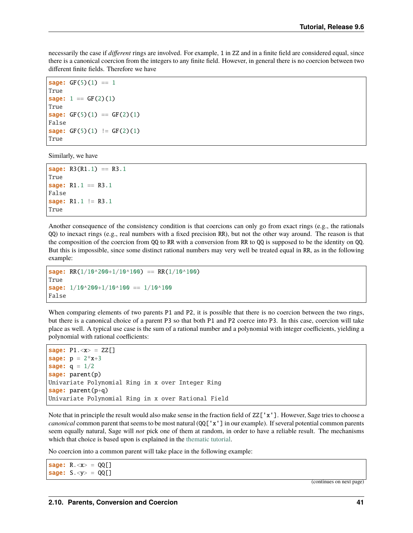necessarily the case if *different* rings are involved. For example, 1 in ZZ and in a finite field are considered equal, since there is a canonical coercion from the integers to any finite field. However, in general there is no coercion between two different finite fields. Therefore we have

```
sage: GF(5)(1) == 1True
sage: 1 == GF(2)(1)True
sage: GF(5)(1) == GF(2)(1)False
sage: GF(5)(1) := GF(2)(1)True
```
Similarly, we have

```
sage: R3(R1.1) == R3.1True
sage: R1.1 == R3.1False
sage: R1.1 != R3.1
True
```
Another consequence of the consistency condition is that coercions can only go from exact rings (e.g., the rationals QQ) to inexact rings (e.g., real numbers with a fixed precision RR), but not the other way around. The reason is that the composition of the coercion from QQ to RR with a conversion from RR to QQ is supposed to be the identity on QQ. But this is impossible, since some distinct rational numbers may very well be treated equal in RR, as in the following example:

```
sage: RR(1/10^200+1/10^100) == RR(1/10^100)
True
sage: 1/10^200+1/10^100 = 1/10^100False
```
When comparing elements of two parents P1 and P2, it is possible that there is no coercion between the two rings, but there is a canonical choice of a parent P3 so that both P1 and P2 coerce into P3. In this case, coercion will take place as well. A typical use case is the sum of a rational number and a polynomial with integer coefficients, yielding a polynomial with rational coefficients:

```
sage: P1. \langle x \rangle = ZZsage: p = 2*x+3sage: q = 1/2sage: parent(p)
Univariate Polynomial Ring in x over Integer Ring
sage: parent(p+q)
Univariate Polynomial Ring in x over Rational Field
```
Note that in principle the result would also make sense in the fraction field of  $ZZ[$ 'x']. However, Sage tries to choose a *canonical* common parent that seems to be most natural (QQ['x'] in our example). If several potential common parents seem equally natural, Sage will *not* pick one of them at random, in order to have a reliable result. The mechanisms which that choice is based upon is explained in the [thematic tutorial.](http://doc.sagemath.org/html/en/thematic_tutorials/coercion_and_categories.html)

No coercion into a common parent will take place in the following example:

sage:  $R_{\text{.}} < x > 00$ [] sage:  $S \cdot \langle y \rangle = QQ[$ ]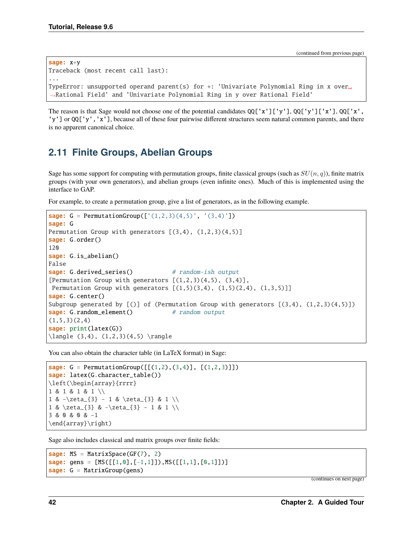```
sage: x+y
Traceback (most recent call last):
...
TypeError: unsupported operand parent(s) for +: 'Univariate Polynomial Ring in x over␣
˓→Rational Field' and 'Univariate Polynomial Ring in y over Rational Field'
```
The reason is that Sage would not choose one of the potential candidates QQ['x']['y'], QQ['y']['x'], QQ['x', 'y'] or QQ['y','x'], because all of these four pairwise different structures seem natural common parents, and there is no apparent canonical choice.

## **2.11 Finite Groups, Abelian Groups**

Sage has some support for computing with permutation groups, finite classical groups (such as  $SU(n, q)$ ), finite matrix groups (with your own generators), and abelian groups (even infinite ones). Much of this is implemented using the interface to GAP.

For example, to create a permutation group, give a list of generators, as in the following example.

```
sage: G = PermutationGroup([ '(1,2,3)(4,5)', '(3,4)'])sage: G
Permutation Group with generators [(3,4), (1,2,3)(4,5)]sage: G.order()
120
sage: G.is_abelian()
False
sage: G.derived_series() # random-ish output
[Permutation Group with generators [(1,2,3)(4,5), (3,4)],
Permutation Group with generators [(1,5)(3,4), (1,5)(2,4), (1,3,5)]]sage: G.center()
Subgroup generated by [()] of (Permutation Group with generators [(3,4), (1,2,3)(4,5)])sage: G.random_element() # random output
(1,5,3)(2,4)sage: print(latex(G))
\langle (3,4), (1,2,3)(4,5) \rangle
```
You can also obtain the character table (in LaTeX format) in Sage:

```
sage: G = PermutationGroup([[(1,2),(3,4)], [(1,2,3)]])sage: latex(G.character_table())
\left(\begin{array}{rrrr}
1 & 1 & 1 & 1 \\
1 & -\zeta_{3} - 1 & \zeta_{3} & 1 \ \1 & \zeta_{3} & -\zeta_{3} - 1 & 1 \\
3 & 0 & 0 & -1
\end{array}\right)
```
Sage also includes classical and matrix groups over finite fields:

```
sage: MS = MatrixSpace(GF(7), 2)sage: gens = [MS([1,0],[-1,1]]), MS([[1,1],[0,1]])]
sage: G = MatrixGroup(gens)
```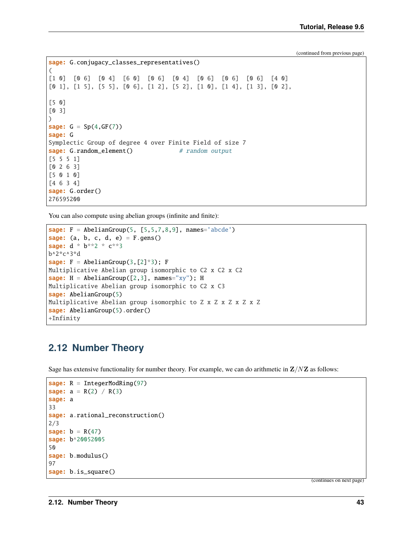```
sage: G.conjugacy_classes_representatives()
(
[1 0] [0 6] [0 4] [6 0] [0 6] [0 4] [0 6] [0 6] [0 6] [4 0]
[0 \ 1], \ [1 \ 5], \ [5 \ 5], \ [0 \ 6], \ [1 \ 2], \ [5 \ 2], \ [1 \ 0], \ [1 \ 4], \ [1 \ 3], \ [0 \ 2],[5 0]
[0 3]
)
sage: G = Sp(4, GF(7))sage: G
Symplectic Group of degree 4 over Finite Field of size 7
sage: G.random_element() # random output
[5 5 5 1]
[0 2 6 3]
[5 0 1 0]
[4 6 3 4]
sage: G.order()
276595200
```
You can also compute using abelian groups (infinite and finite):

```
sage: F = AbelianGroup(5, [5, 5, 7, 8, 9], names='abcde')sage: (a, b, c, d, e) = F.gens()sage: d * b**2 * c**3
b^2*c^3*d
sage: F = AbelianGroup(3,[2]*3); FMultiplicative Abelian group isomorphic to C2 x C2 x C2
sage: H = AbelianGroup([2,3], names="xy"); H
Multiplicative Abelian group isomorphic to C2 x C3
sage: AbelianGroup(5)
Multiplicative Abelian group isomorphic to Z x Z x Z x Z x Z
sage: AbelianGroup(5).order()
+Infinity
```
# **2.12 Number Theory**

Sage has extensive functionality for number theory. For example, we can do arithmetic in  $Z/NZ$  as follows:

```
sage: R = IntegerModRing(97)sage: a = R(2) / R(3)sage: a
33
sage: a.rational_reconstruction()
2/3
sage: b = R(47)sage: b^20052005
50
sage: b.modulus()
97
sage: b.is_square()
```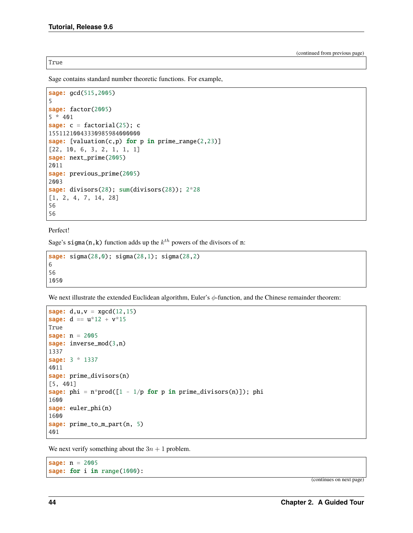#### True

(continued from previous page)

Sage contains standard number theoretic functions. For example,

```
sage: gcd(515,2005)
5
sage: factor(2005)
5 * 401
sage: c = factorial(25); c
15511210043330985984000000
sage: [valuation(c,p) for p in prime_range(2,23)]
[22, 10, 6, 3, 2, 1, 1, 1]
sage: next_prime(2005)
2011
sage: previous_prime(2005)
2003
sage: divisors(28); sum(divisors(28)); 2*28
[1, 2, 4, 7, 14, 28]
56
56
```
Perfect!

Sage's sigma(n, k) function adds up the  $k^{th}$  powers of the divisors of n:

```
sage: sigma(28,0); sigma(28,1); sigma(28,2)
6
56
1050
```
We next illustrate the extended Euclidean algorithm, Euler's  $\phi$ -function, and the Chinese remainder theorem:

```
sage: d, u, v = xgcd(12, 15)sage: d == u*12 + v*15True
sage: n = 2005sage: inverse_mod(3,n)
1337
sage: 3 * 1337
4011
sage: prime_divisors(n)
[5, 401]
sage: phi = n*prod([1 - 1/p for p in prime-divisors(n)]); phi
1600
sage: euler_phi(n)
1600
sage: prime_to_m_part(n, 5)
401
```
We next verify something about the  $3n + 1$  problem.

```
sage: n = 2005
sage: for i in range(1000):
```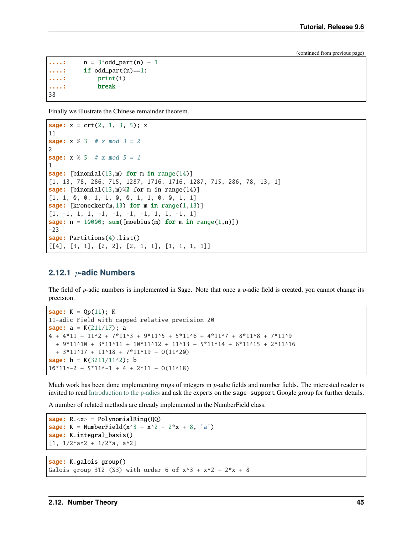```
....: n = 3 * odd\_part(n) + 1\dots: if odd_part(n)==1:
....: print(i)
....: break
38
```
Finally we illustrate the Chinese remainder theorem.

```
sage: x = \text{crt}(2, 1, 3, 5); x
11
sage: x % 3  # x mod 3 = 22
sage: x % 5 # x mod 5 = 11
sage: [binomial(13,m) for m in range(14)]
[1, 13, 78, 286, 715, 1287, 1716, 1716, 1287, 715, 286, 78, 13, 1]
sage: [binomial(13,m)%2 for m in range(14)][1, 1, 0, 0, 1, 1, 0, 0, 1, 1, 0, 0, 1, 1]
sage: [kronecker(m, 13) for m in range(1, 13)]
[1, -1, 1, 1, -1, -1, -1, -1, 1, 1, -1, 1]sage: n = 10000; sum([moebius(m) for m in range(1,n)])
-23
sage: Partitions(4).list()
\lbrack 1, 3, 1], \lbrack 2, 2], \lbrack 2, 1, 1], \lbrack 1, 1, 1, 1]
```
#### **2.12.1** *p***-adic Numbers**

The field of  $p$ -adic numbers is implemented in Sage. Note that once a  $p$ -adic field is created, you cannot change its precision.

```
sage: K = Qp(11); K
11-adic Field with capped relative precision 20
sage: a = K(211/17); a
4 + 4*11 + 11^2 + 7*11^3 + 9*11^5 + 5*11^6 + 4*11^7 + 8*11^8 + 7*11^9+ 9*11^10 + 3*11^11 + 10*11^12 + 11^13 + 5*11^14 + 6*11^15 + 2*11^16
 + 3*11^17 + 11^18 + 7*11^19 + O(11^20)
sage: b = K(3211/11^{2}); b
10*11^{\wedge}-2 + 5*11^{\wedge}-1 + 4 + 2*11 + 0(11^{\wedge}18)
```
Much work has been done implementing rings of integers in  $p$ -adic fields and number fields. The interested reader is invited to read [Introduction to the p-adics](../../../html/en/reference/padics/sage/rings/padics/tutorial.html#sage-rings-padics-tutorial) and ask the experts on the sage-support Google group for further details.

A number of related methods are already implemented in the NumberField class.

```
sage: R \ll x = PolynomialRing(QQ)
sage: K = NumberField(x^3 + x^2 - 2*x + 8, 'a')
sage: K.integral_basis()
[1, 1/2^*a^2 + 1/2^*a, a^2]
```

```
sage: K.galois_group()
Galois group 3T2 (S3) with order 6 of x^3 + x^2 - 2*x + 8
```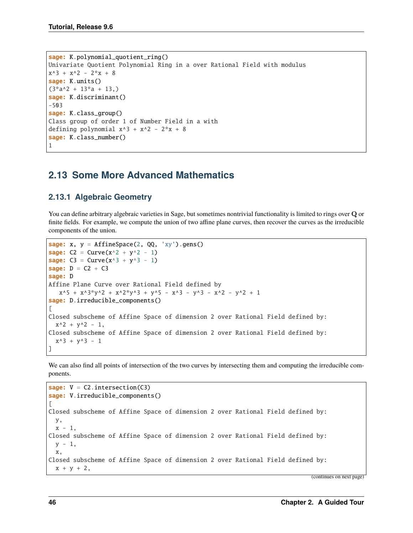```
sage: K.polynomial_quotient_ring()
Univariate Quotient Polynomial Ring in a over Rational Field with modulus
x^3 + x^2 - 2*x + 8sage: K.units()
(3 * a^2 + 13 * a + 13)sage: K.discriminant()
-503
sage: K.class_group()
Class group of order 1 of Number Field in a with
defining polynomial x^3 + x^2 - 2*x + 8sage: K.class_number()
1
```
## **2.13 Some More Advanced Mathematics**

### **2.13.1 Algebraic Geometry**

You can define arbitrary algebraic varieties in Sage, but sometimes nontrivial functionality is limited to rings over Q or finite fields. For example, we compute the union of two affine plane curves, then recover the curves as the irreducible components of the union.

```
sage: x, y = AffineSpace(2, QQ, 'xy') .gens()sage: C2 = Curve(x^2 + y^2 - 1)sage: C3 = Curve(x^3 + y^3 - 1)sage: D = C2 + C3sage: D
Affine Plane Curve over Rational Field defined by
  x^35 + x^3*y^2 + x^2*y^3 + y^5 - x^3 - y^3 - x^2 - y^2 + 1
sage: D.irreducible_components()
\lceilClosed subscheme of Affine Space of dimension 2 over Rational Field defined by:
 x^2 + y^2 - 1,
Closed subscheme of Affine Space of dimension 2 over Rational Field defined by:
  x^3 + y^3 - 1]
```
We can also find all points of intersection of the two curves by intersecting them and computing the irreducible components.

```
sage: V = C2. intersection(C3)
sage: V.irreducible_components()
\GammaClosed subscheme of Affine Space of dimension 2 over Rational Field defined by:
 y,
 x - 1,
Closed subscheme of Affine Space of dimension 2 over Rational Field defined by:
 y - 1,
 x,
Closed subscheme of Affine Space of dimension 2 over Rational Field defined by:
  x + y + 2,
```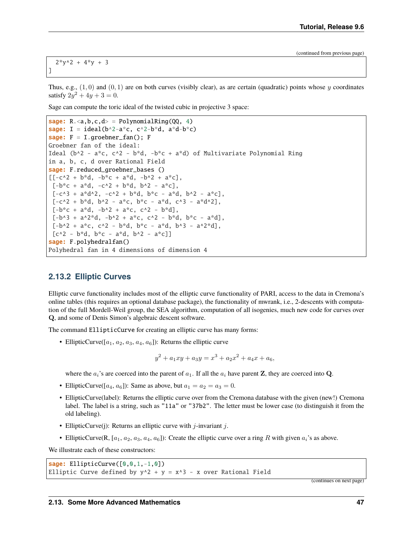$2*y^2 + 4*y + 3$ ]

Thus, e.g.,  $(1, 0)$  and  $(0, 1)$  are on both curves (visibly clear), as are certain (quadratic) points whose y coordinates satisfy  $2y^2 + 4y + 3 = 0$ .

Sage can compute the toric ideal of the twisted cubic in projective 3 space:

```
sage: R \le a, b, c, d = PolynomialRing(QQ, 4)
sage: I = ideal(b^2-a^*c, c^2-b^*d, a^*d-b^*c)sage: F = I.groebner_fan(); F
Groebner fan of the ideal:
Ideal (b^2 - a*c, c^2 - b*d, -b*c + a*d) of Multivariate Polynomial Ring
in a, b, c, d over Rational Field
sage: F.reduced_groebner_bases ()
[[-c^2 + b^*d, -b^*c + a^*d, -b^*2 + a^*c],[-b * c + a * d, -c^2 + b * d, b^2 - a * c],[-c^3 + a^*d^2, -c^2 + b^*d, b^*c - a^*d, b^2 - a^*c][-c^2 + b^*d, b^2 - a^*c, b^*c - a^*d, c^3 - a^*d^2],[-b * c + a * d, -b * 2 + a * c, c * 2 - b * d],[-b^3 + a^2^*d, -b^2 + a^*c, c^2 - b^*d, b^*c - a^*d],[-b^2 + a^*c, c^2 - b^*d, b^*c - a^*d, b^3 - a^2*d],[c^2 - b^*d, b^*c - a^*d, b^2 - a^*c]sage: F.polyhedralfan()
Polyhedral fan in 4 dimensions of dimension 4
```
#### **2.13.2 Elliptic Curves**

Elliptic curve functionality includes most of the elliptic curve functionality of PARI, access to the data in Cremona's online tables (this requires an optional database package), the functionality of mwrank, i.e., 2-descents with computation of the full Mordell-Weil group, the SEA algorithm, computation of all isogenies, much new code for curves over Q, and some of Denis Simon's algebraic descent software.

The command EllipticCurve for creating an elliptic curve has many forms:

• EllipticCurve([ $a_1, a_2, a_3, a_4, a_6$ ]): Returns the elliptic curve

$$
y^2 + a_1xy + a_3y = x^3 + a_2x^2 + a_4x + a_6,
$$

where the  $a_i$ 's are coerced into the parent of  $a_1$ . If all the  $a_i$  have parent Z, they are coerced into Q.

- EllipticCurve([ $a_4$ ,  $a_6$ ]): Same as above, but  $a_1 = a_2 = a_3 = 0$ .
- EllipticCurve(label): Returns the elliptic curve over from the Cremona database with the given (new!) Cremona label. The label is a string, such as "11a" or "37b2". The letter must be lower case (to distinguish it from the old labeling).
- EllipticCurve(j): Returns an elliptic curve with  $j$ -invariant  $j$ .
- EllipticCurve(R,  $[a_1, a_2, a_3, a_4, a_6]$ ): Create the elliptic curve over a ring R with given  $a_i$ 's as above.

We illustrate each of these constructors:

sage: EllipticCurve( $[0,0,1,-1,0]$ ) Elliptic Curve defined by  $y^2 + y = x^3 - x$  over Rational Field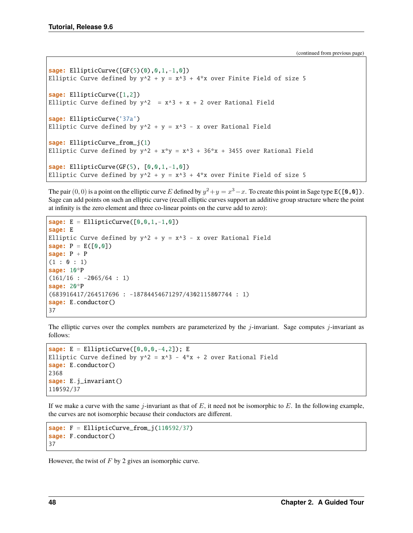```
sage: EllipticCurve([GF(5)(0), 0, 1, -1, 0])
Elliptic Curve defined by y^2 + y = x^3 + 4*x over Finite Field of size 5
sage: EllipticCurve([1,2])
Elliptic Curve defined by y^2 = x^3 + x + 2 over Rational Field
sage: EllipticCurve('37a')
Elliptic Curve defined by y^2 + y = x^3 - x over Rational Field
sage: EllipticCurve_from_j(1)
Elliptic Curve defined by y^2 + x^2y = x^3 + 36*x + 3455 over Rational Field
sage: EllipticCurve(GF(5), [0,0,1,-1,0])
Elliptic Curve defined by y^2 + y = x^3 + 4*x over Finite Field of size 5
```
The pair  $(0,0)$  is a point on the elliptic curve E defined by  $y^2 + y = x^3 - x$ . To create this point in Sage type E([0,0]). Sage can add points on such an elliptic curve (recall elliptic curves support an additive group structure where the point at infinity is the zero element and three co-linear points on the curve add to zero):

```
sage: E = EllipticCurve([0, 0, 1, -1, 0])sage: E
Elliptic Curve defined by y^2 + y = x^3 - x over Rational Field
sage: P = E([0, 0])sage: P + P(1 : 0 : 1)sage: 10*P
(161/16 : -2065/64 : 1)sage: 20*P
(683916417/264517696 : -18784454671297/4302115807744 : 1)
sage: E.conductor()
37
```
The elliptic curves over the complex numbers are parameterized by the  $i$ -invariant. Sage computes  $i$ -invariant as follows:

```
sage: E = EllipticCurve([0, 0, 0, -4, 2]); E
Elliptic Curve defined by y^2 = x^3 - 4*x + 2 over Rational Field
sage: E.conductor()
2368
sage: E.j_invariant()
110592/37
```
If we make a curve with the same j-invariant as that of  $E$ , it need not be isomorphic to  $E$ . In the following example, the curves are not isomorphic because their conductors are different.

```
sage: F = EllipticCurve\_from_j(110592/37)sage: F.conductor()
37
```
However, the twist of  $F$  by 2 gives an isomorphic curve.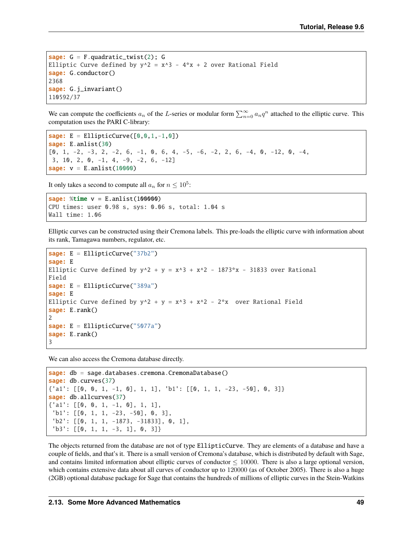```
sage: G = F.quadratic_twist(2); G = F.Elliptic Curve defined by y^2 = x^3 - 4*x + 2 over Rational Field
sage: G.conductor()
2368
sage: G.j_invariant()
110592/37
```
We can compute the coefficients  $a_n$  of the L-series or modular form  $\sum_{n=0}^{\infty} a_n q^n$  attached to the elliptic curve. This computation uses the PARI C-library:

```
sage: E = EllipticCurve([0, 0, 1, -1, 0])sage: E.anlist(30)
[0, 1, -2, -3, 2, -2, 6, -1, 0, 6, 4, -5, -6, -2, 2, 6, -4, 0, -12, 0, -4,3, 10, 2, 0, -1, 4, -9, -2, 6, -12]
sage: v = E. anlist(10000)
```
It only takes a second to compute all  $a_n$  for  $n \leq 10^5$ :

```
sage: %time v = E.anlist(100000)
CPU times: user 0.98 s, sys: 0.06 s, total: 1.04 s
Wall time: 1.06
```
Elliptic curves can be constructed using their Cremona labels. This pre-loads the elliptic curve with information about its rank, Tamagawa numbers, regulator, etc.

```
sage: E = EllipticCurve("37b2")
sage: E
Elliptic Curve defined by y^2 + y = x^3 + x^2 - 1873*x - 31833 over Rational
Field
sage: E = EllipticCurve("389a")
sage: E
Elliptic Curve defined by y^2 + y = x^3 + x^2 - 2*x over Rational Field
sage: E.rank()
2
sage: E = EllipticCurve("5077a")
sage: E.rank()
3
```
We can also access the Cremona database directly.

```
sage: db = sage.databases.cremona.CremonaDatabase()
sage: db.curves(37)
\{ 'a1': [[0, 0, 1, -1, 0], 1, 1], 'b1': [[0, 1, 1, -23, -50], 0, 3] \}sage: db.allcurves(37)
{al': [0, 0, 1, -1, 0], 1, 1],}'b1': [[0, 1, 1, -23, -50], 0, 3],'b2': [[0, 1, 1, -1873, -31833], 0, 1],
 'b3': [[0, 1, 1, -3, 1], 0, 3]}
```
The objects returned from the database are not of type EllipticCurve. They are elements of a database and have a couple of fields, and that's it. There is a small version of Cremona's database, which is distributed by default with Sage, and contains limited information about elliptic curves of conductor  $\leq 10000$ . There is also a large optional version, which contains extensive data about all curves of conductor up to 120000 (as of October 2005). There is also a huge (2GB) optional database package for Sage that contains the hundreds of millions of elliptic curves in the Stein-Watkins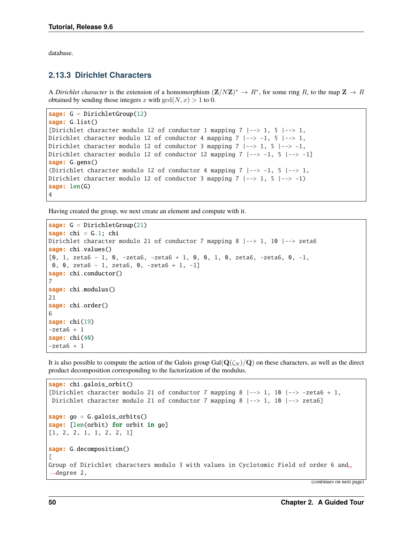database.

#### **2.13.3 Dirichlet Characters**

A *Dirichlet character* is the extension of a homomorphism  $(Z/NZ)^* \to R^*$ , for some ring R, to the map  $Z \to R$ obtained by sending those integers x with  $gcd(N, x) > 1$  to 0.

```
sage: G = DirichletGroup(12)
sage: G.list()
[Dirichlet character modulo 12 of conductor 1 mapping 7 |--> 1, 5|->1, 1, 1|Dirichlet character modulo 12 of conductor 4 mapping 7 |-->-1, 5|-->1,Dirichlet character modulo 12 of conductor 3 mapping 7 \left(-\right) -2 1, 5 \left(-\right) -1,
Dirichlet character modulo 12 of conductor 12 mapping 7 |-->-1, 5|---1]sage: G.gens()
(Dirichlet character modulo 12 of conductor 4 mapping 7 \left(-\right) -1, 5 \left(-\right) 1,
Dirichlet character modulo 12 of conductor 3 mapping 7 \vert --> 1, 5 \vert --> -1)sage: len(G)
4
```
Having created the group, we next create an element and compute with it.

```
sage: G = DirichletGroup(21)sage: chi = G.1; chi
Dirichlet character modulo 21 of conductor 7 mapping 8 |--> 1, 10 |---> zeta6
sage: chi.values()
[0, 1, zeta6 - 1, 0, -zeta6, -zeta + 1, 0, 0, 1, 0, zeta6, -zeta6, 0, -1,0, 0, zeta6 - 1, zeta6, 0, -zeta6 + 1, -1]
sage: chi.conductor()
7
sage: chi.modulus()
21
sage: chi.order()
6
sage: chi(19)
-zeta6 + 1sage: chi(40)
-zeta6 + 1
```
It is also possible to compute the action of the Galois group Gal( $\mathbf{Q}(\zeta_N)/\mathbf{Q}$ ) on these characters, as well as the direct product decomposition corresponding to the factorization of the modulus.

```
sage: chi.galois_orbit()
[Dirichlet character modulo 21 of conductor 7 mapping 8 |-->1, 10 |-->-zeta6 + 1,
Dirichlet character modulo 21 of conductor 7 mapping 8 \vert - \rangle 1, 10 \vert - \rangle zeta6]
sage: go = G.galois_orbits()sage: [len(orbit) for orbit in go]
[1, 2, 2, 1, 1, 2, 2, 1]
sage: G.decomposition()
\GammaGroup of Dirichlet characters modulo 3 with values in Cyclotomic Field of order 6 and␣
˓→degree 2,
```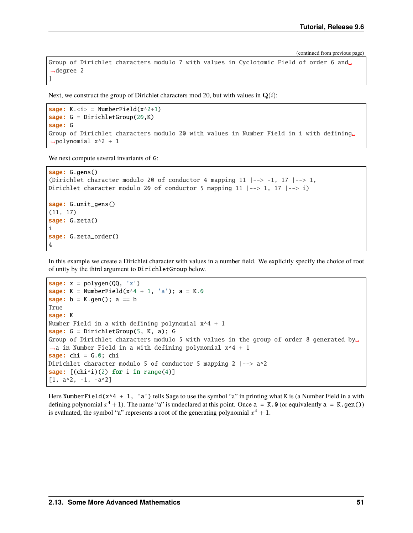```
Group of Dirichlet characters modulo 7 with values in Cyclotomic Field of order 6 and␣
˓→degree 2
]
```
Next, we construct the group of Dirichlet characters mod 20, but with values in  $Q(i)$ :

```
sage: K.
sage: G = DirichletGroup(20, K)sage: G
Group of Dirichlet characters modulo 20 with values in Number Field in i with defining
˓→polynomial x^2 + 1
```
We next compute several invariants of G:

```
sage: G.gens()
(Dirichlet character modulo 20 of conductor 4 mapping 11 \left|-->-1, 17\right| \left|-->1,Dirichlet character modulo 20 of conductor 5 mapping 11 \vert - \rangle 1, 17 \vert - \rangle i)
sage: G.unit_gens()
(11, 17)
sage: G.zeta()
i
sage: G.zeta_order()
4
```
In this example we create a Dirichlet character with values in a number field. We explicitly specify the choice of root of unity by the third argument to DirichletGroup below.

```
sage: x = polygen(QQ, 'x')sage: K = NumberField(x^4 + 1, 'a'); a = K.0sage: b = K \cdot gen(); a == bTrue
sage: K
Number Field in a with defining polynomial x^4 + 1sage: G = DirichletGroup(5, K, a); GGroup of Dirichlet characters modulo 5 with values in the group of order 8 generated by<sub>u</sub>
\rightarrowa in Number Field in a with defining polynomial x^4 + 1
sage: chi = G.0; chi
Dirichlet character modulo 5 of conductor 5 mapping 2 \left| \right| --> a^2
sage: [(chi^i)(2) for i in range(4)]
[1, a^2, -1, -a^2]
```
Here NumberField( $x^4 + 1$ , 'a') tells Sage to use the symbol "a" in printing what K is (a Number Field in a with defining polynomial  $x^4 + 1$ ). The name "a" is undeclared at this point. Once  $a = K.0$  (or equivalently  $a = K.gen()$ ) is evaluated, the symbol "a" represents a root of the generating polynomial  $x^4 + 1$ .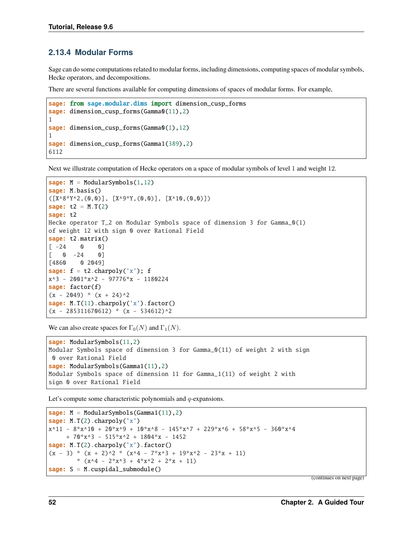#### **2.13.4 Modular Forms**

Sage can do some computations related to modular forms, including dimensions, computing spaces of modular symbols, Hecke operators, and decompositions.

There are several functions available for computing dimensions of spaces of modular forms. For example,

```
sage: from sage.modular.dims import dimension_cusp_forms
sage: dimension_cusp_forms(Gamma0(11),2)
1
sage: dimension_cusp_forms(Gamma0(1),12)
1
sage: dimension_cusp_forms(Gamma1(389),2)
6112
```
Next we illustrate computation of Hecke operators on a space of modular symbols of level 1 and weight 12.

```
sage: M = ModularSymbols(1, 12)sage: M.basis()
([X^8*Y^2,(0,0)], [X^9*Y,(0,0)], [X^10,(0,0)]sage: t2 = M.T(2)sage: t2
Hecke operator T_2 on Modular Symbols space of dimension 3 for Gamma_0(1)
of weight 12 with sign 0 over Rational Field
sage: t2.matrix()
[-24 \ 0 \ 0][ 0 -24 0]
[4860 0 2049]
sage: f = t2.charpoly('x'); f
x^3 - 2001*x^2 - 97776*x - 1180224
sage: factor(f)
(x - 2049) * (x + 24)^2sage: M.T(11).charpoly('x').factor()
(x - 285311670612) * (x - 534612)^2
```
We can also create spaces for  $\Gamma_0(N)$  and  $\Gamma_1(N)$ .

```
sage: ModularSymbols(11,2)
Modular Symbols space of dimension 3 for Gamma_0(11) of weight 2 with sign
0 over Rational Field
sage: ModularSymbols(Gamma1(11),2)
Modular Symbols space of dimension 11 for Gamma_1(11) of weight 2 with
sign 0 over Rational Field
```
Let's compute some characteristic polynomials and  $q$ -expansions.

```
sage: M = ModularSymbols(Gamma1(11),2)
sage: M.T(2).charpoly('x')
x^11 - 8*x^10 + 20*x^9 + 10*x^8 - 145*x^7 + 229*x^6 + 58*x^5 - 360*x^4+ 70*x^3 - 515*x^2 + 1804*x - 1452
sage: M.T(2).charpoly('x').factor()
(x - 3) * (x + 2)^{2} * (x^4 - 7*x^3 + 19*x^2 - 23*x + 11)* (x^4 - 2*x^3 + 4*x^2 + 2*x + 11)sage: S = M.cuspidal\_submodule()
```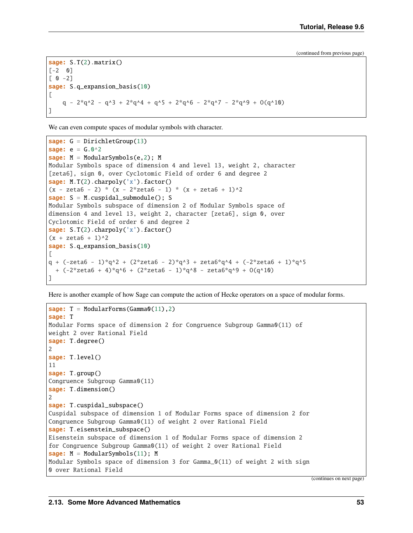```
sage: S.T(2).matrix()
[-2 \ 0][ 0 -2]sage: S.q_expansion_basis(10)
[
    q - 2^{*}q^{2} - q^{3} + 2^{*}q^{4} + q^{5} + 2^{*}q^{6} - 2^{*}q^{7} - 2^{*}q^{9} + 0(q^{10})]
```
We can even compute spaces of modular symbols with character.

```
sage: G = DirichletGroup(13)sage: e = G.0^{\wedge}2sage: M = ModularSymbols(e, 2); M
Modular Symbols space of dimension 4 and level 13, weight 2, character
[zeta6], sign 0, over Cyclotomic Field of order 6 and degree 2
sage: M.T(2).charpoly('x').factor()
(x - zeta - 2) * (x - 2zeta - 1) * (x + zeta + 1)^2sage: S = M.cuspidal_submodule(); S
Modular Symbols subspace of dimension 2 of Modular Symbols space of
dimension 4 and level 13, weight 2, character [zeta6], sign 0, over
Cyclotomic Field of order 6 and degree 2
sage: S.T(2).charpoly('x').factor()
(x + zeta + 1)^2sage: S.q_expansion_basis(10)
\Gammaq + (-zeta6 - 1)*q^2 + (2*zeta6 - 2)*q^3 + zeta6*q^4 + (-2*zeta6 + 1)*q^5
  + (-2 \times z \cdot 6 + 4) \times q \cdot 6 + (2 \times z \cdot 6 - 1) \times q \cdot 8 - z \cdot 6 \times q \cdot 9 + O(q \cdot 10)]
```
Here is another example of how Sage can compute the action of Hecke operators on a space of modular forms.

```
sage: T = ModularForms(Gamma0(11), 2)sage: T
Modular Forms space of dimension 2 for Congruence Subgroup Gamma0(11) of
weight 2 over Rational Field
sage: T.degree()
2
sage: T.level()
11
sage: T.group()
Congruence Subgroup Gamma0(11)
sage: T.dimension()
2
sage: T.cuspidal_subspace()
Cuspidal subspace of dimension 1 of Modular Forms space of dimension 2 for
Congruence Subgroup Gamma0(11) of weight 2 over Rational Field
sage: T.eisenstein_subspace()
Eisenstein subspace of dimension 1 of Modular Forms space of dimension 2
for Congruence Subgroup Gamma0(11) of weight 2 over Rational Field
sage: M = ModularSymbols(11); M
Modular Symbols space of dimension 3 for Gamma_0(11) of weight 2 with sign
0 over Rational Field
```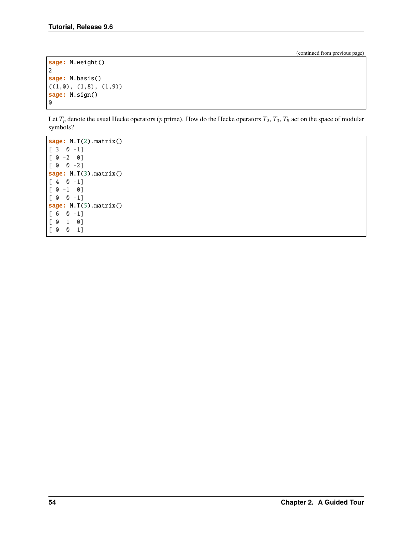```
sage: M.weight()
2
sage: M.basis()
((1,0), (1,8), (1,9))sage: M.sign()
0
```
Let  $T_p$  denote the usual Hecke operators (p prime). How do the Hecke operators  $T_2$ ,  $T_3$ ,  $T_5$  act on the space of modular symbols?

```
sage: M.T(2).matrix()
[3 \ 0 \ -1][ 0 -2 0 ][ 0 0 -2]sage: M.T(3).matrix()
[4 \ 0 \ -1][ 0 -1 0 ][ 0 0 -1]sage: M.T(5).matrix()
[ 6 0 -1][ 0 1 0]
[ 0 0 1]
```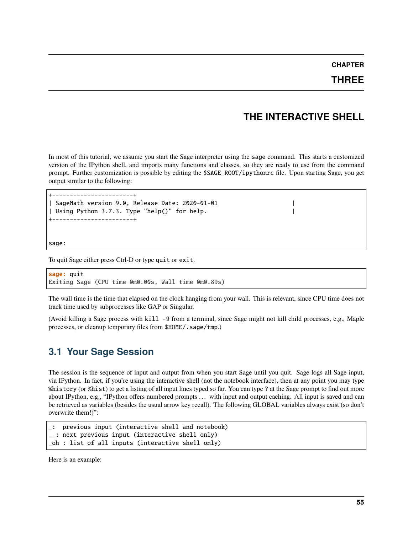### **THE INTERACTIVE SHELL**

In most of this tutorial, we assume you start the Sage interpreter using the sage command. This starts a customized version of the IPython shell, and imports many functions and classes, so they are ready to use from the command prompt. Further customization is possible by editing the \$SAGE\_ROOT/ipythonrc file. Upon starting Sage, you get output similar to the following:

```
+——————————————————————–+
| SageMath version 9.0, Release Date: 2020-01-01 |
| Using Python 3.7.3. Type "help()" for help. |
          +——————————————————————–+
```
sage:

To quit Sage either press Ctrl-D or type quit or exit.

sage: quit Exiting Sage (CPU time 0m0.00s, Wall time 0m0.89s)

The wall time is the time that elapsed on the clock hanging from your wall. This is relevant, since CPU time does not track time used by subprocesses like GAP or Singular.

(Avoid killing a Sage process with kill -9 from a terminal, since Sage might not kill child processes, e.g., Maple processes, or cleanup temporary files from \$HOME/.sage/tmp.)

### **3.1 Your Sage Session**

The session is the sequence of input and output from when you start Sage until you quit. Sage logs all Sage input, via IPython. In fact, if you're using the interactive shell (not the notebook interface), then at any point you may type %history (or %hist) to get a listing of all input lines typed so far. You can type ? at the Sage prompt to find out more about IPython, e.g., "IPython offers numbered prompts ... with input and output caching. All input is saved and can be retrieved as variables (besides the usual arrow key recall). The following GLOBAL variables always exist (so don't overwrite them!)":

```
_: previous input (interactive shell and notebook)
__: next previous input (interactive shell only)
_oh : list of all inputs (interactive shell only)
```
Here is an example: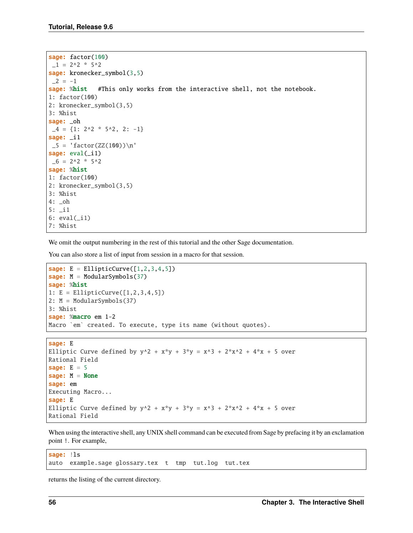```
sage: factor(100)
-1 = 2^2 * 5^2
sage: kronecker_symbol(3,5)
-2 = -1sage: %hist #This only works from the interactive shell, not the notebook.
1: factor(100)
2: kronecker_symbol(3,5)
3: %hist
sage: _oh
-4 = \{1: 2^2 * 5^2, 2: -1\}sage: _i1
-5 = 'factor(ZZ(100))\n'
sage: eval(_i1)
-6 = 2^x * 5^2
sage: %hist
1: factor(100)
2: kronecker_symbol(3,5)
3: %hist
4: _oh
5: _i1
6: eval(_i1)
7: %hist
```
We omit the output numbering in the rest of this tutorial and the other Sage documentation.

You can also store a list of input from session in a macro for that session.

```
sage: E = EllipticCurve([1, 2, 3, 4, 5])sage: M = ModularSymbols(37)
sage: %hist
1: E = EllipticCurve([1,2,3,4,5])
2: M = ModularSymbols(37)
3: %hist
sage: %macro em 1-2
Macro `em` created. To execute, type its name (without quotes).
```

```
sage: E
Elliptic Curve defined by y^2 + x^2y + 3^2y = x^3 + 2^2x^2 + 4^2x + 5 over
Rational Field
sage: E = 5sage: M = None
sage: em
Executing Macro...
sage: E
Elliptic Curve defined by y^2 + x^2y + 3^2y = x^3 + 2^2x^2 + 4^2x + 5 over
Rational Field
```
When using the interactive shell, any UNIX shell command can be executed from Sage by prefacing it by an exclamation point !. For example,

sage: !ls auto example.sage glossary.tex t tmp tut.log tut.tex

returns the listing of the current directory.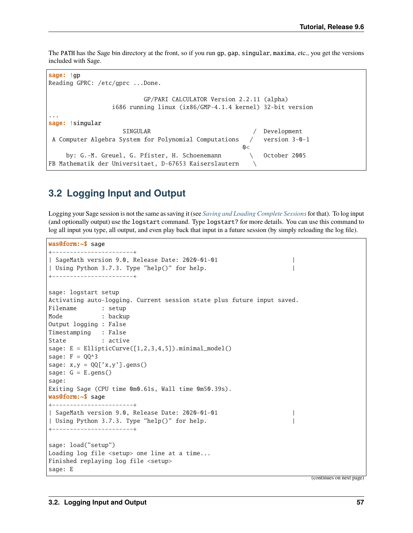The PATH has the Sage bin directory at the front, so if you run gp, gap, singular, maxima, etc., you get the versions included with Sage.

```
sage: !gp
Reading GPRC: /etc/gprc ...Done.
                         GP/PARI CALCULATOR Version 2.2.11 (alpha)
                i686 running linux (ix86/GMP-4.1.4 kernel) 32-bit version
...
sage: !singular
                   SINGULAR / Development
A Computer Algebra System for Polynomial Computations / version 3-0-1
                                                   \mathsf{N}by: G.-M. Greuel, G. Pfister, H. Schoenemann \ October 2005
FB Mathematik der Universitaet, D-67653 Kaiserslautern \
```
## **3.2 Logging Input and Output**

Logging your Sage session is not the same as saving it (see *[Saving and Loading Complete Sessions](#page-69-0)*for that). To log input (and optionally output) use the logstart command. Type logstart? for more details. You can use this command to log all input you type, all output, and even play back that input in a future session (by simply reloading the log file).

```
was@form:~$ sage
+——————————————————————–+
| SageMath version 9.0, Release Date: 2020-01-01 |
| Using Python 3.7.3. Type "help()" for help. |
+——————————————————————–+
sage: logstart setup
Activating auto-logging. Current session state plus future input saved.
Filename : setup
Mode : backup
Output logging : False
Timestamping : False
State : active
sage: E = EllipticCurve([1,2,3,4,5]) .minimal_model()sage: F = QQ^3sage: x, y = QQ['x, y'].gens()
sage: G = E.gens()sage:
Exiting Sage (CPU time 0m0.61s, Wall time 0m50.39s).
was@form:~$ sage
+——————————————————————–+
| SageMath version 9.0, Release Date: 2020-01-01 |
| Using Python 3.7.3. Type "help()" for help. |
+——————————————————————–+
sage: load("setup")
Loading log file <setup> one line at a time...
Finished replaying log file <setup>
sage: E
```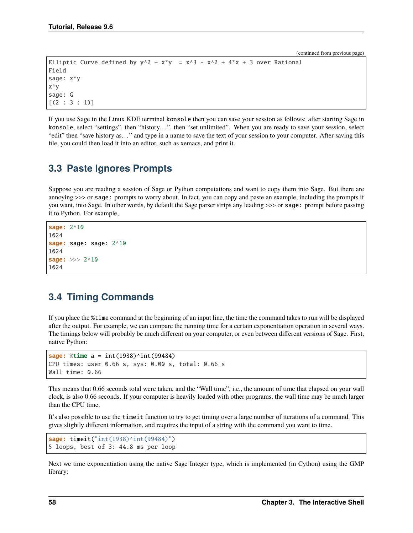```
Elliptic Curve defined by y^2 + x^2y = x^3 - x^2 + 4^2x + 3 over Rational
Field
sage: x*y
x*y
sage: G
[(2 : 3 : 1)]
```
If you use Sage in the Linux KDE terminal konsole then you can save your session as follows: after starting Sage in konsole, select "settings", then "history...", then "set unlimited". When you are ready to save your session, select "edit" then "save history as. . . " and type in a name to save the text of your session to your computer. After saving this file, you could then load it into an editor, such as xemacs, and print it.

### **3.3 Paste Ignores Prompts**

Suppose you are reading a session of Sage or Python computations and want to copy them into Sage. But there are annoying >>> or sage: prompts to worry about. In fact, you can copy and paste an example, including the prompts if you want, into Sage. In other words, by default the Sage parser strips any leading >>> or sage: prompt before passing it to Python. For example,

```
sage: 2^10
1024
sage: sage: 2^10
1024
sage: >> 2^{\wedge}101024
```
### **3.4 Timing Commands**

If you place the %time command at the beginning of an input line, the time the command takes to run will be displayed after the output. For example, we can compare the running time for a certain exponentiation operation in several ways. The timings below will probably be much different on your computer, or even between different versions of Sage. First, native Python:

```
sage: %time a = int(1938)^{\text{A}}int(99484)CPU times: user 0.66 s, sys: 0.00 s, total: 0.66 s
Wall time: 0.66
```
This means that 0.66 seconds total were taken, and the "Wall time", i.e., the amount of time that elapsed on your wall clock, is also 0.66 seconds. If your computer is heavily loaded with other programs, the wall time may be much larger than the CPU time.

It's also possible to use the timeit function to try to get timing over a large number of iterations of a command. This gives slightly different information, and requires the input of a string with the command you want to time.

```
sage: timeit("int(1938)^int(99484)")
5 loops, best of 3: 44.8 ms per loop
```
Next we time exponentiation using the native Sage Integer type, which is implemented (in Cython) using the GMP library: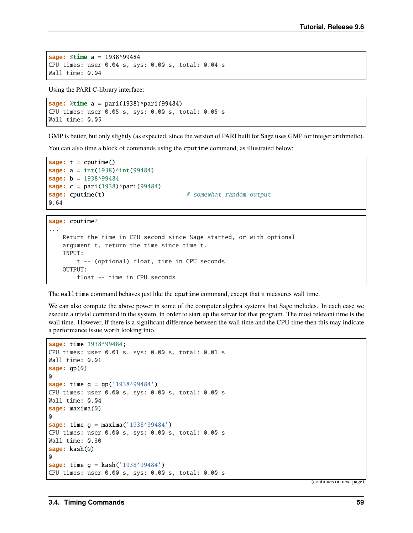```
sage: %time a = 1938^99484
CPU times: user 0.04 s, sys: 0.00 s, total: 0.04 s
Wall time: 0.04
```
Using the PARI C-library interface:

```
sage: %time a = pair(1938)^npari(99484)
CPU times: user 0.05 s, sys: 0.00 s, total: 0.05 s
Wall time: 0.05
```
GMP is better, but only slightly (as expected, since the version of PARI built for Sage uses GMP for integer arithmetic).

You can also time a block of commands using the cputime command, as illustrated below:

```
sage: t = \text{cputime}()sage: a = int(1938)^{n}int(99484)sage: b = 1938^099484sage: c = \text{pari}(1938)^{\wedge} \text{pari}(99484)sage: cputime(t) \qquad \qquad \qquad \# \; somewhat random output
0.64
```

```
sage: cputime?
...
   Return the time in CPU second since Sage started, or with optional
   argument t, return the time since time t.
   INPUT:
        t -- (optional) float, time in CPU seconds
   OUTPUT:
        float -- time in CPU seconds
```
The walltime command behaves just like the cputime command, except that it measures wall time.

We can also compute the above power in some of the computer algebra systems that Sage includes. In each case we execute a trivial command in the system, in order to start up the server for that program. The most relevant time is the wall time. However, if there is a significant difference between the wall time and the CPU time then this may indicate a performance issue worth looking into.

```
sage: time 1938^99484;
CPU times: user 0.01 s, sys: 0.00 s, total: 0.01 s
Wall time: 0.01
sage: gp(0)
0
sage: time g = gp('1938^99484')
CPU times: user 0.00 s, sys: 0.00 s, total: 0.00 s
Wall time: 0.04
sage: maxima(0)
0
sage: time g = maxima('1938^99484')
CPU times: user 0.00 s, sys: 0.00 s, total: 0.00 s
Wall time: 0.30
sage: kash(0)
0
sage: time g = kash('1938^99484')
CPU times: user 0.00 s, sys: 0.00 s, total: 0.00 s
```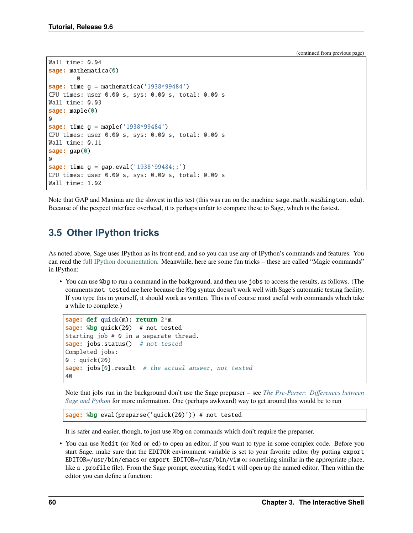```
Wall time: 0.04
sage: mathematica(0)
        0
sage: time g = \text{mathematica('1938^99484')}CPU times: user 0.00 s, sys: 0.00 s, total: 0.00 s
Wall time: 0.03
sage: maple(0)
0
sage: time q = \text{maple}('1938^09484')CPU times: user 0.00 s, sys: 0.00 s, total: 0.00 s
Wall time: 0.11
sage: gap(0)
\Omegasage: time g = gap.eval('1938^99484;;')
CPU times: user 0.00 s, sys: 0.00 s, total: 0.00 s
Wall time: 1.02
```
Note that GAP and Maxima are the slowest in this test (this was run on the machine sage.math.washington.edu). Because of the pexpect interface overhead, it is perhaps unfair to compare these to Sage, which is the fastest.

## **3.5 Other IPython tricks**

As noted above, Sage uses IPython as its front end, and so you can use any of IPython's commands and features. You can read the [full IPython documentation.](http://ipython.scipy.org/moin/Documentation) Meanwhile, here are some fun tricks – these are called "Magic commands" in IPython:

• You can use %bg to run a command in the background, and then use jobs to access the results, as follows. (The comments not tested are here because the %bg syntax doesn't work well with Sage's automatic testing facility. If you type this in yourself, it should work as written. This is of course most useful with commands which take a while to complete.)

```
sage: def quick(m): return 2*m
sage: %bg quick(20) # not tested
Starting job # 0 in a separate thread.
sage: jobs.status() # not tested
Completed jobs:
0 : quick(20)
sage: jobs[0].result # the actual answer, not tested
40
```
Note that jobs run in the background don't use the Sage preparser – see *[The Pre-Parser: Differences between](#page-103-0) [Sage and Python](#page-103-0)* for more information. One (perhaps awkward) way to get around this would be to run

```
sage: %bg eval(preparse('quick(20)')) # not tested
```
It is safer and easier, though, to just use %bg on commands which don't require the preparser.

• You can use %edit (or %ed or ed) to open an editor, if you want to type in some complex code. Before you start Sage, make sure that the EDITOR environment variable is set to your favorite editor (by putting export EDITOR=/usr/bin/emacs or export EDITOR=/usr/bin/vim or something similar in the appropriate place, like a .profile file). From the Sage prompt, executing %edit will open up the named editor. Then within the editor you can define a function: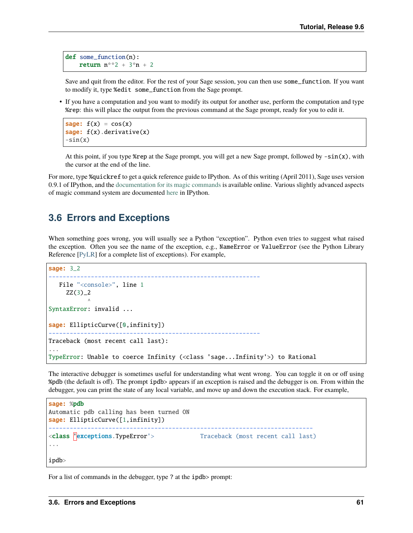def some\_function(n): return  $n^{**}2 + 3^{*}n + 2$ 

Save and quit from the editor. For the rest of your Sage session, you can then use some\_function. If you want to modify it, type %edit some\_function from the Sage prompt.

• If you have a computation and you want to modify its output for another use, perform the computation and type %rep: this will place the output from the previous command at the Sage prompt, ready for you to edit it.

```
sage: f(x) = cos(x)sage: f(x).derivative(x)
-sin(x)
```
At this point, if you type *%rep* at the Sage prompt, you will get a new Sage prompt, followed by  $-sin(x)$ , with the cursor at the end of the line.

For more, type %quickref to get a quick reference guide to IPython. As of this writing (April 2011), Sage uses version 0.9.1 of IPython, and the [documentation for its magic commands](http://ipython.org/ipython-doc/dev/interactive/tutorial.html#magic-functions) is available online. Various slightly advanced aspects of magic command system are documented [here](http://ipython.org/ipython-doc/stable/interactive/reference.html#magic-command-system) in IPython.

### **3.6 Errors and Exceptions**

When something goes wrong, you will usually see a Python "exception". Python even tries to suggest what raised the exception. Often you see the name of the exception, e.g., NameError or ValueError (see the Python Library Reference [\[PyLR\]](#page-112-1) for a complete list of exceptions). For example,

```
sage: 3_2
           ------------------------------------------------------------
   File "<console>", line 1
     ZZ(3)_{2}\wedgeSyntaxError: invalid ...
sage: EllipticCurve([0,infinity])
------------------------------------------------------------
Traceback (most recent call last):
...
TypeError: Unable to coerce Infinity (<class 'sage...Infinity'>) to Rational
```
The interactive debugger is sometimes useful for understanding what went wrong. You can toggle it on or off using %pdb (the default is off). The prompt ipdb> appears if an exception is raised and the debugger is on. From within the debugger, you can print the state of any local variable, and move up and down the execution stack. For example,

```
sage: %pdb
Automatic pdb calling has been turned ON
sage: EllipticCurve([1,infinity])
---------------------------------------------------------------------------
<class <sup>"</sup>exceptions.TypeError'> Traceback (most recent call last)
...
ipdb>
```
For a list of commands in the debugger, type ? at the ipdb> prompt: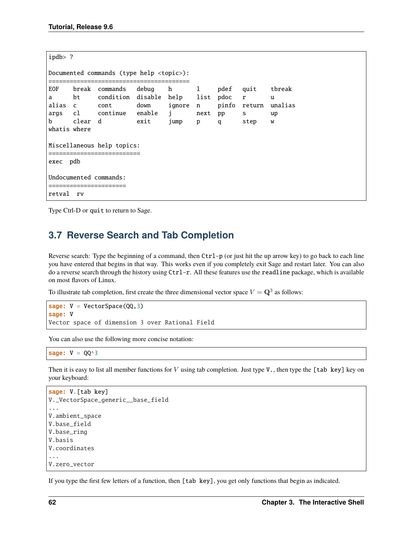```
ipdb> ?
Documented commands (type help <topic>):
========================================
EOF break commands debug h l pdef quit tbreak
a bt condition disable help list pdoc r u
alias c cont down ignore n pinfo return unalias
args cl continue enable j next pp s up
b clear d exit jump p q step w
whatis where
Miscellaneous help topics:
==========================
exec pdb
Undocumented commands:
======================
retval rv
```
Type Ctrl-D or quit to return to Sage.

# **3.7 Reverse Search and Tab Completion**

Reverse search: Type the beginning of a command, then Ctrl-p (or just hit the up arrow key) to go back to each line you have entered that begins in that way. This works even if you completely exit Sage and restart later. You can also do a reverse search through the history using Ctrl-r. All these features use the readline package, which is available on most flavors of Linux.

To illustrate tab completion, first create the three dimensional vector space  $V = \mathbf{Q}^3$  as follows:

```
sage: V = VectorSpace(QQ, 3)sage: V
Vector space of dimension 3 over Rational Field
```
You can also use the following more concise notation:

sage:  $V = QQ^3$ 

Then it is easy to list all member functions for  $V$  using tab completion. Just type  $V$  , then type the [tab key] key on your keyboard:

```
sage: V.[tab key]
V._VectorSpace_generic__base_field
...
V.ambient_space
V.base_field
V.base_ring
V.basis
V.coordinates
...
V.zero_vector
```
If you type the first few letters of a function, then [tab key], you get only functions that begin as indicated.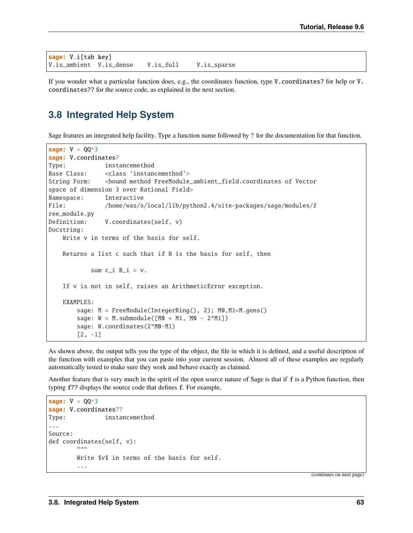sage: V.i[tab key] V.is\_ambient V.is\_dense V.is\_full V.is\_sparse

If you wonder what a particular function does, e.g., the coordinates function, type V.coordinates? for help or V. coordinates?? for the source code, as explained in the next section.

# **3.8 Integrated Help System**

Sage features an integrated help facility. Type a function name followed by ? for the documentation for that function.

```
sage: V = QQ^3sage: V.coordinates?
Type: instancemethod
Base Class: <class 'instancemethod'>
String Form: <bound method FreeModule_ambient_field.coordinates of Vector
space of dimension 3 over Rational Field>
Namespace: Interactive
File: //home/was/s/local/lib/python2.4/site-packages/sage/modules/f
ree_module.py
Definition: V.coordinates(self, v)
Docstring:
   Write v in terms of the basis for self.
   Returns a list c such that if B is the basis for self, then
           sum c_i B_i = v.
   If v is not in self, raises an ArithmeticError exception.
   EXAMPLES:
       sage: M = FreeModule(IntegerRing(), 2); M0,M1=M.gens()
       sage: W = M.submodule([M0 + M1, M0 - 2*M1])
       sage: W.coordinates(2*M0-M1)
        [2, -1]
```
As shown above, the output tells you the type of the object, the file in which it is defined, and a useful description of the function with examples that you can paste into your current session. Almost all of these examples are regularly automatically tested to make sure they work and behave exactly as claimed.

Another feature that is very much in the spirit of the open source nature of Sage is that if f is a Python function, then typing f?? displays the source code that defines f. For example,

```
sage: V = QQ^3sage: V.coordinates??
Type: instancemethod
...
Source:
def coordinates(self, v):
        """
       Write $v$ in terms of the basis for self.
        ...
```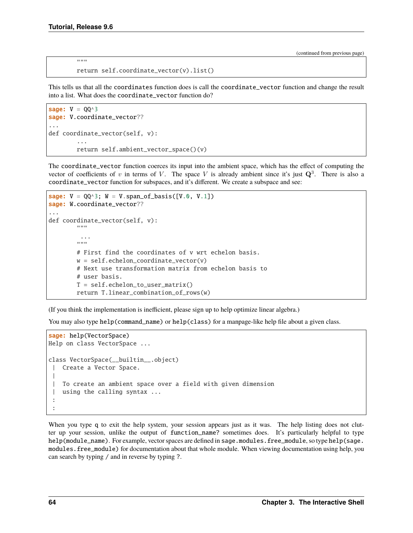....

(continued from previous page)

```
return self.coordinate_vector(v).list()
```
This tells us that all the coordinates function does is call the coordinate\_vector function and change the result into a list. What does the coordinate\_vector function do?

```
sage: V = QQ^3sage: V.coordinate_vector??
...
def coordinate_vector(self, v):
        ...
        return self.ambient_vector_space()(v)
```
The coordinate\_vector function coerces its input into the ambient space, which has the effect of computing the vector of coefficients of v in terms of V. The space V is already ambient since it's just  $\mathbf{Q}^3$ . There is also a coordinate\_vector function for subspaces, and it's different. We create a subspace and see:

```
sage: V = QQ^3; W = V.span_of_basis([V.0, V.1])
sage: W.coordinate_vector??
...
def coordinate_vector(self, v):
        """
         ...
        """
        # First find the coordinates of v wrt echelon basis.
        w = self.echelon\_coordinate\_vector(v)# Next use transformation matrix from echelon basis to
        # user basis.
        T = self.echelon_to_user_matrix()
        return T.linear_combination_of_rows(w)
```
(If you think the implementation is inefficient, please sign up to help optimize linear algebra.)

You may also type help(command\_name) or help(class) for a manpage-like help file about a given class.

```
sage: help(VectorSpace)
Help on class VectorSpace ...
class VectorSpace(__builtin__.object)
| Create a Vector Space.
 |
   To create an ambient space over a field with given dimension
 | using the calling syntax ...
 :
 :
```
When you type q to exit the help system, your session appears just as it was. The help listing does not clutter up your session, unlike the output of function\_name? sometimes does. It's particularly helpful to type help(module\_name). For example, vector spaces are defined in sage.modules.free\_module, so type help(sage. modules.free\_module) for documentation about that whole module. When viewing documentation using help, you can search by typing / and in reverse by typing ?.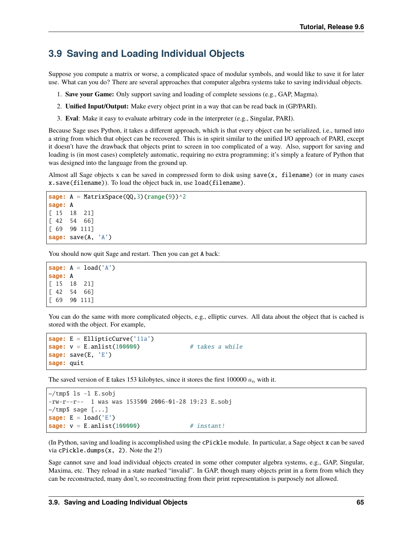### **3.9 Saving and Loading Individual Objects**

Suppose you compute a matrix or worse, a complicated space of modular symbols, and would like to save it for later use. What can you do? There are several approaches that computer algebra systems take to saving individual objects.

- 1. **Save your Game:** Only support saving and loading of complete sessions (e.g., GAP, Magma).
- 2. **Unified Input/Output:** Make every object print in a way that can be read back in (GP/PARI).
- 3. **Eval**: Make it easy to evaluate arbitrary code in the interpreter (e.g., Singular, PARI).

Because Sage uses Python, it takes a different approach, which is that every object can be serialized, i.e., turned into a string from which that object can be recovered. This is in spirit similar to the unified I/O approach of PARI, except it doesn't have the drawback that objects print to screen in too complicated of a way. Also, support for saving and loading is (in most cases) completely automatic, requiring no extra programming; it's simply a feature of Python that was designed into the language from the ground up.

Almost all Sage objects x can be saved in compressed form to disk using  $save(x, filename)$  (or in many cases x.save(filename)). To load the object back in, use load(filename).

```
sage: A = MatrixSpace(QQ, 3)(range(9))^2sage: A
[ 15 18 21]
[ 42 54 66]
[ 69 90 111]
sage: save(A, 'A')
```
You should now quit Sage and restart. Then you can get A back:

```
sage: A = load('A')sage: A
[ 15 18 21]
[ 42 54 66]
[ 69 90 111]
```
You can do the same with more complicated objects, e.g., elliptic curves. All data about the object that is cached is stored with the object. For example,

```
sage: E = EllipticCurve('11a')sage: v = E.anlist(100000) # takes a while
sage: save(E, 'E')
sage: quit
```
The saved version of E takes 153 kilobytes, since it stores the first 100000  $a_n$  with it.

```
\sim/tmp$ ls -1 E.sobj
-rw-r--r-- 1 was was 153500 2006-01-28 19:23 E.sobj
\sim/tmp$ sage [...]
sage: E = load('E')sage: v = E.anlist(100000) # instant!
```
(In Python, saving and loading is accomplished using the cPickle module. In particular, a Sage object x can be saved via cPickle.dumps(x, 2). Note the 2!)

Sage cannot save and load individual objects created in some other computer algebra systems, e.g., GAP, Singular, Maxima, etc. They reload in a state marked "invalid". In GAP, though many objects print in a form from which they can be reconstructed, many don't, so reconstructing from their print representation is purposely not allowed.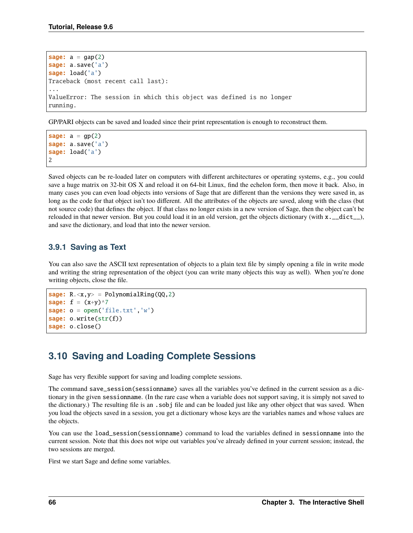```
sage: a = gap(2)sage: a.save('a')
sage: load('a')
Traceback (most recent call last):
...
ValueError: The session in which this object was defined is no longer
running.
```
GP/PARI objects can be saved and loaded since their print representation is enough to reconstruct them.

```
sage: a = gp(2)sage: a.save('a')
sage: load('a')
2
```
Saved objects can be re-loaded later on computers with different architectures or operating systems, e.g., you could save a huge matrix on 32-bit OS X and reload it on 64-bit Linux, find the echelon form, then move it back. Also, in many cases you can even load objects into versions of Sage that are different than the versions they were saved in, as long as the code for that object isn't too different. All the attributes of the objects are saved, along with the class (but not source code) that defines the object. If that class no longer exists in a new version of Sage, then the object can't be reloaded in that newer version. But you could load it in an old version, get the objects dictionary (with x.\_\_dict\_\_), and save the dictionary, and load that into the newer version.

### **3.9.1 Saving as Text**

You can also save the ASCII text representation of objects to a plain text file by simply opening a file in write mode and writing the string representation of the object (you can write many objects this way as well). When you're done writing objects, close the file.

```
sage: R \ll x, y> = PolynomialRing(QQ, 2)
sage: f = (x+y)^2sage: o = open('file.txt', 'w')sage: o.write(str(f))
sage: o.close()
```
# <span id="page-69-0"></span>**3.10 Saving and Loading Complete Sessions**

Sage has very flexible support for saving and loading complete sessions.

The command save\_session(sessionname) saves all the variables you've defined in the current session as a dictionary in the given sessionname. (In the rare case when a variable does not support saving, it is simply not saved to the dictionary.) The resulting file is an .sobj file and can be loaded just like any other object that was saved. When you load the objects saved in a session, you get a dictionary whose keys are the variables names and whose values are the objects.

You can use the load\_session(sessionname) command to load the variables defined in sessionname into the current session. Note that this does not wipe out variables you've already defined in your current session; instead, the two sessions are merged.

First we start Sage and define some variables.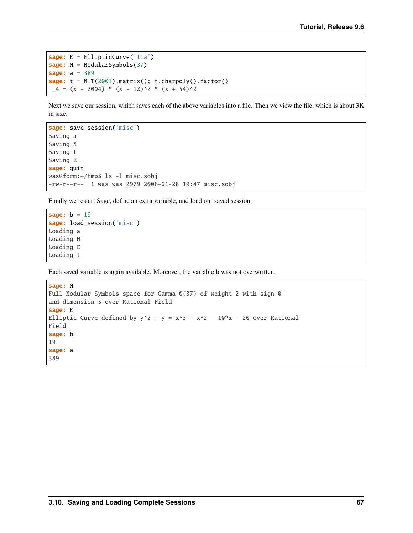```
sage: E = EllipticCurve('11a')sage: M = ModularSymbols(37)
sage: a = 389
sage: t = M.T(2003) . matrix(); t.charpoly().factor()
-4 = (x - 2004) * (x - 12)^2 * (x + 54)^2
```
Next we save our session, which saves each of the above variables into a file. Then we view the file, which is about 3K in size.

```
sage: save_session('misc')
Saving a
Saving M
Saving t
Saving E
sage: quit
was@form:~/tmp$ ls -l misc.sobj
-rw-r--r-- 1 was was 2979 2006-01-28 19:47 misc.sobj
```
Finally we restart Sage, define an extra variable, and load our saved session.

```
sage: b = 19sage: load_session('misc')
Loading a
Loading M
Loading E
Loading t
```
Each saved variable is again available. Moreover, the variable b was not overwritten.

```
sage: M
Full Modular Symbols space for Gamma_0(37) of weight 2 with sign 0
and dimension 5 over Rational Field
sage: E
Elliptic Curve defined by y^2 + y = x^3 - x^2 - 10*x - 20 over Rational
Field
sage: b
19
sage: a
389
```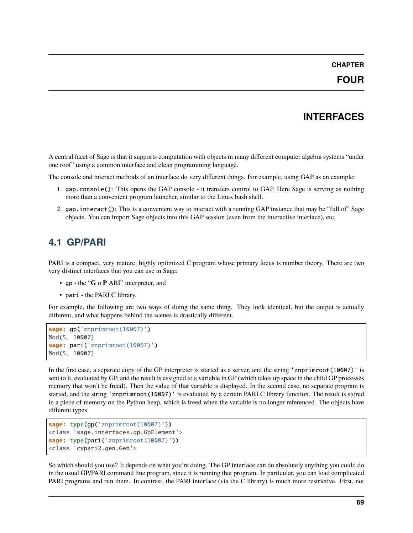#### **CHAPTER**

# **INTERFACES**

A central facet of Sage is that it supports computation with objects in many different computer algebra systems "under one roof" using a common interface and clean programming language.

The console and interact methods of an interface do very different things. For example, using GAP as an example:

- 1. gap.console(): This opens the GAP console it transfers control to GAP. Here Sage is serving as nothing more than a convenient program launcher, similar to the Linux bash shell.
- 2. gap.interact(): This is a convenient way to interact with a running GAP instance that may be "full of" Sage objects. You can import Sage objects into this GAP session (even from the interactive interface), etc.

### **4.1 GP/PARI**

PARI is a compact, very mature, highly optimized C program whose primary focus is number theory. There are two very distinct interfaces that you can use in Sage:

- gp the "**G** o **P** ARI" interpreter, and
- pari the PARI C library.

For example, the following are two ways of doing the same thing. They look identical, but the output is actually different, and what happens behind the scenes is drastically different.

```
sage: qp('znprimroot(10007)')
Mod(5, 10007)
sage: pari('znprimroot(10007)')
Mod(5, 10007)
```
In the first case, a separate copy of the GP interpreter is started as a server, and the string 'znprimroot(10007)' is sent to it, evaluated by GP, and the result is assigned to a variable in GP (which takes up space in the child GP processes memory that won't be freed). Then the value of that variable is displayed. In the second case, no separate program is started, and the string 'znprimroot(10007)' is evaluated by a certain PARI C library function. The result is stored in a piece of memory on the Python heap, which is freed when the variable is no longer referenced. The objects have different types:

```
sage: type(gp('znprimroot(10007)'))
<class 'sage.interfaces.gp.GpElement'>
sage: type(pari('znprimroot(10007)'))
<class 'cypari2.gen.Gen'>
```
So which should you use? It depends on what you're doing. The GP interface can do absolutely anything you could do in the usual GP/PARI command line program, since it is running that program. In particular, you can load complicated PARI programs and run them. In contrast, the PARI interface (via the C library) is much more restrictive. First, not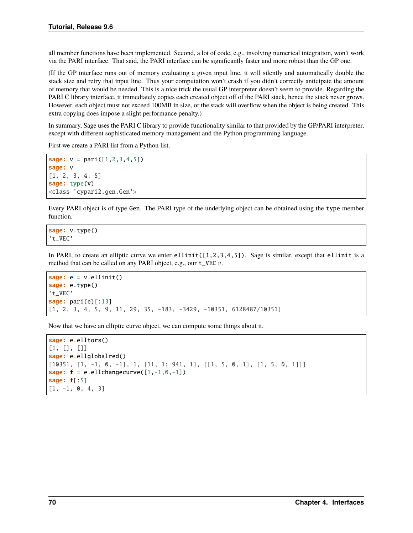all member functions have been implemented. Second, a lot of code, e.g., involving numerical integration, won't work via the PARI interface. That said, the PARI interface can be significantly faster and more robust than the GP one.

(If the GP interface runs out of memory evaluating a given input line, it will silently and automatically double the stack size and retry that input line. Thus your computation won't crash if you didn't correctly anticipate the amount of memory that would be needed. This is a nice trick the usual GP interpreter doesn't seem to provide. Regarding the PARI C library interface, it immediately copies each created object off of the PARI stack, hence the stack never grows. However, each object must not exceed 100MB in size, or the stack will overflow when the object is being created. This extra copying does impose a slight performance penalty.)

In summary, Sage uses the PARI C library to provide functionality similar to that provided by the GP/PARI interpreter, except with different sophisticated memory management and the Python programming language.

First we create a PARI list from a Python list.

```
sage: v = \text{pari}([1, 2, 3, 4, 5])sage: v
[1, 2, 3, 4, 5]sage: type(v)
<class 'cypari2.gen.Gen'>
```
Every PARI object is of type Gen. The PARI type of the underlying object can be obtained using the type member function.

sage: v.type() 't\_VEC'

In PARI, to create an elliptic curve we enter  $ell[1,2,3,4,5]$ . Sage is similar, except that ellinit is a method that can be called on any PARI object, e.g., our  $t$ \_VEC  $v$ .

```
sage: e = v. ellinit()
sage: e.type()
't_VEC'
sage: pari(e)[:13]
[1, 2, 3, 4, 5, 9, 11, 29, 35, -183, -3429, -10351, 6128487/10351]
```
Now that we have an elliptic curve object, we can compute some things about it.

```
sage: e.elltors()
[1, [], []]
sage: e.ellglobalred()
[10351, [1, -1, 0, -1], 1, [11, 1; 941, 1], [1, 5, 0, 1], [1, 5, 0, 1]]]sage: f = e.ellchangecurve([1, -1, 0, -1])
sage: f[:5]
[1, -1, 0, 4, 3]
```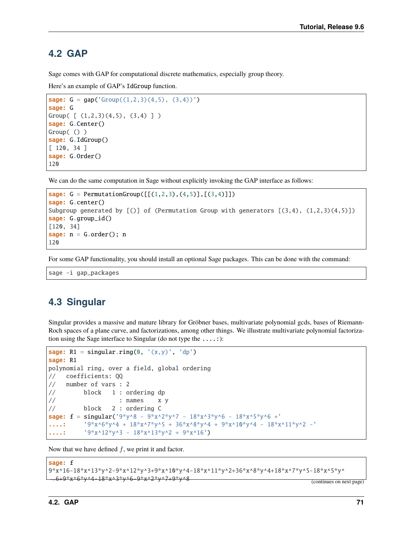### <span id="page-74-0"></span>**4.2 GAP**

Sage comes with GAP for computational discrete mathematics, especially group theory.

Here's an example of GAP's IdGroup function.

```
sage: G = gap('Group((1,2,3)(4,5), (3,4))')sage: G
Group( [ (1,2,3)(4,5), (3,4) ] )
sage: G.Center()
Group( () )
sage: G.IdGroup()
[ 120, 34 ]
sage: G.Order()
120
```
We can do the same computation in Sage without explicitly invoking the GAP interface as follows:

```
sage: G = PermutationGroup([[(1,2,3), (4,5)], [(3,4)]])sage: G.center()
Subgroup generated by [()] of (Permutation Group with generators [(3,4), (1,2,3)(4,5)])sage: G.group_id()
[120, 34]
sage: n = G.\norder(); n
120
```
For some GAP functionality, you should install an optional Sage packages. This can be done with the command:

sage -i gap\_packages

### **4.3 Singular**

Singular provides a massive and mature library for Gröbner bases, multivariate polynomial gcds, bases of Riemann-Roch spaces of a plane curve, and factorizations, among other things. We illustrate multivariate polynomial factorization using the Sage interface to Singular (do not type the ....:):

```
sage: R1 = singular.ring(0, '(x,y)', 'dp')
sage: R1
polynomial ring, over a field, global ordering
// coefficients: QQ
// number of vars : 2
// block 1 : ordering dp
\frac{1}{2} : names x y
// block 2 : ordering C
sage: f = singular('9*y^8 - 9*x^2*y^7 - 18*x^3*y^6 - 18*x^5*y^6 +'
....: '9*x^6*x^4 + 18*x^7*x^7*y^5 + 36*x^8*x^4 + 9*x^10*x^4 - 18*x^11*x^2 -'....: '9*x^12*y^3 - 18*x^13*y^2 + 9*x^16'
```
Now that we have defined  $f$ , we print it and factor.

| sage: f                                                                                   |                          |
|-------------------------------------------------------------------------------------------|--------------------------|
| $9*x^16-18*x^13*x^2-9*x^12*y^3+9*x^10*x^4-18*x^11*x^2+36*x^8*y^4+18*x^7*x^7xy-18*x^5-x^6$ |                          |
| <del>__6+9*x^6*y^4-18*x^3*y^6-9*x^2*y^7+9*y^8</del>                                       | (continues on next page) |
|                                                                                           |                          |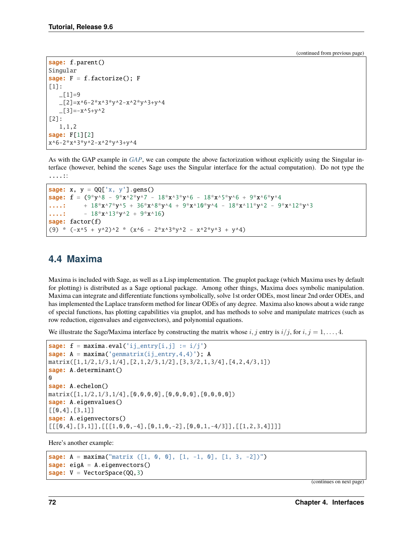```
sage: f.parent()
Singular
sage: F = f. factorize(); F
[1]:
   _{-}[1]=9_{-}[2]=x^6-2*x^3*y^2-x^2*y^3+y^4
   -[3] = -x^5+y^2[2]:
   1,1,2
sage: F[1][2]
x^6-2*x^3*y^2-x^2*y^3+y^4
```
As with the GAP example in *[GAP](#page-74-0)*, we can compute the above factorization without explicitly using the Singular interface (however, behind the scenes Sage uses the Singular interface for the actual computation). Do not type the ....::

```
sage: x, y = QQ['x, y'].gens()
sage: f = (9*y^08 - 9*x^2*y^07 - 18*x^3*y^6 - 18*x^5*y^6 + 9*x^6*y^4....: + 18*x^2*y^2 + 36*x^8*y^4 + 9*x^10*y^4 - 18*x^11*y^2 - 9*x^112*y^3....: - 18*x^2 + 9*x^1 + 9*x^16sage: factor(f)
(9) * (-x^5 + y^2)^2 * (x^6 - 2*x^3*y^2 - x^2*y^3 + y^4)
```
### **4.4 Maxima**

Maxima is included with Sage, as well as a Lisp implementation. The gnuplot package (which Maxima uses by default for plotting) is distributed as a Sage optional package. Among other things, Maxima does symbolic manipulation. Maxima can integrate and differentiate functions symbolically, solve 1st order ODEs, most linear 2nd order ODEs, and has implemented the Laplace transform method for linear ODEs of any degree. Maxima also knows about a wide range of special functions, has plotting capabilities via gnuplot, and has methods to solve and manipulate matrices (such as row reduction, eigenvalues and eigenvectors), and polynomial equations.

We illustrate the Sage/Maxima interface by constructing the matrix whose i, j entry is  $i/j$ , for  $i, j = 1, \ldots, 4$ .

```
sage: f = maxima.event('ij</u>entry[i,j] := i/j')sage: A = maxima('genmatrix(ij</u>matrix([1,1/2,1/3,1/4],[2,1,2/3,1/2],[3,3/2,1,3/4],[4,2,4/3,1])
sage: A.determinant()
0
sage: A.echelon()
matrix([1,1/2,1/3,1/4],[0,0,0,0],[0,0,0,0],[0,0,0,0])
sage: A.eigenvalues()
[0,4], [3,1]sage: A.eigenvectors()
[[[0,4], [3,1]], [[[1,0,0,-4], [0,1,0,-2], [0,0,1,-4/3]], [[1,2,3,4]]]]
```
Here's another example:

```
sage: A = maxima("matrix ([1, 0, 0], [1, -1, 0], [1, 3, -2]))")sage: eigA = A.eigenvectors()
sage: V = VectorSpace(QQ, 3)
```
(continues on next page)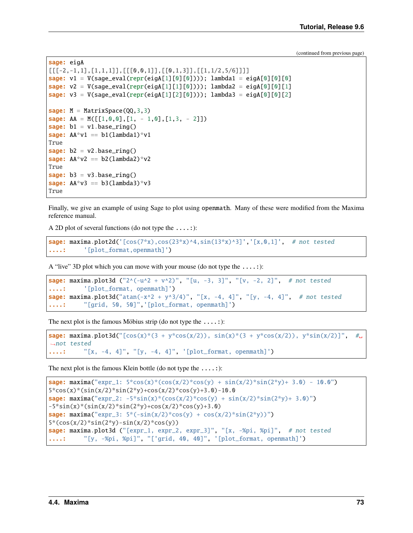```
sage: eigA
[[[-2,-1,1],[1,1,1]], [[[0,0,1]], [[0,1,3]], [[1,1/2,5/6]]]]
sage: v1 = V(sage\_eval(repr(eigA[1][0][0]))); lambda1 = eigA[0][0][0]
sage: v2 = V(sage\_eval(repr(eigA[1][1][0]))); lambda2 = eigA[0][0][1]
sage: v3 = V(sage\_eval(repr(eigA[1][2][0]))); lambda3 = eigA[0][0][2]
sage: M = MatrixSpace(QQ, 3, 3)sage: AA = M([1, 0, 0], [1, -1, 0], [1, 3, -2]])sage: b1 = v1.base\_ring()sage: AA*v1 == b1(lambda1)*v1True
sage: b2 = v2.base\_ring()sage: AA*v2 == b2(lambda2)*v2True
sage: b3 = v3.base\_ring()sage: AA*v3 == b3(lambda3)*v3True
```
Finally, we give an example of using Sage to plot using openmath. Many of these were modified from the Maxima reference manual.

A 2D plot of several functions (do not type the ....:):

```
sage: maxima.plot2d('[cos(7*x),cos(23*x)^4,sin(13*x)^3]','[x,0,1]', # not tested
....: '[plot_format,openmath]')
```
A "live" 3D plot which you can move with your mouse (do not type the ....:):

```
sage: maxima.plot3d ("2^(-u^2 + v^2)", "[u, -3, 3]", "[v, -2, 2]", # not tested
....: '[plot_format, openmath]')
sage: maxima.plot3d("atan(-x^2 + y^3/4)", "[x, -4, 4]", "[y, -4, 4]", # not tested
....: "[grid, 50, 50]",'[plot_format, openmath]')
```
The next plot is the famous Möbius strip (do not type the ....:):

```
sage: maxima.plot3d("[cos(x)*(3 + y*cos(x/2)), sin(x)*(3 + y*cos(x/2)), y*sin(x/2)]", #
˓→not tested
....: "[x, -4, 4]", "[y, -4, 4]", '[plot_format, openmath]')
```
The next plot is the famous Klein bottle (do not type the ....:):

```
sage: maxima("expr_1: 5 * cos(x) * (cos(x/2) * cos(y) + sin(x/2) * sin(2*y) + 3.0) - 10.0")5*cos(x)*(sin(x/2)*sin(2*y)+cos(x/2)*cos(y)+3.0)-10.0sage: maxima("expr_2: -5*sin(x)*(cos(x/2)*cos(y) + sin(x/2)*sin(2*y) + 3.0)")
-5*sin(x)*(sin(x/2)*sin(2*y)+cos(x/2)*cos(y)+3.0)sage: maxima("expr_3: 5*(-sin(x/2)*cos(y) + cos(x/2)*sin(2*y))")
5*(\cos(x/2)*\sin(2*y)-\sin(x/2)*\cos(y))sage: maxima.plot3d ("[expr_1, expr_2, expr_3]", "[x, -%pi, %pi]", # not tested
....: "[y, -%pi, %pi]", "['grid, 40, 40]", '[plot_format, openmath]')
```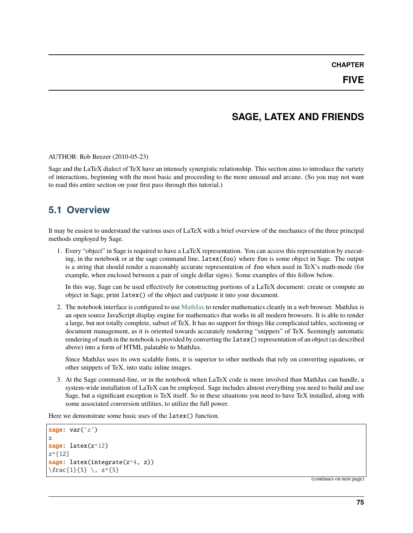#### **CHAPTER**

# **SAGE, LATEX AND FRIENDS**

AUTHOR: Rob Beezer (2010-05-23)

Sage and the LaTeX dialect of TeX have an intensely synergistic relationship. This section aims to introduce the variety of interactions, beginning with the most basic and proceeding to the more unusual and arcane. (So you may not want to read this entire section on your first pass through this tutorial.)

# **5.1 Overview**

It may be easiest to understand the various uses of LaTeX with a brief overview of the mechanics of the three principal methods employed by Sage.

1. Every "object" in Sage is required to have a LaTeX representation. You can access this representation by executing, in the notebook or at the sage command line, latex(foo) where foo is some object in Sage. The output is a string that should render a reasonably accurate representation of foo when used in TeX's math-mode (for example, when enclosed between a pair of single dollar signs). Some examples of this follow below.

In this way, Sage can be used effectively for constructing portions of a LaTeX document: create or compute an object in Sage, print latex() of the object and cut/paste it into your document.

2. The notebook interface is configured to use [MathJax](http://www.mathjax.org) to render mathematics cleanly in a web browser. MathJax is an open source JavaScript display engine for mathematics that works in all modern browsers. It is able to render a large, but not totally complete, subset of TeX. It has no support for things like complicated tables, sectioning or document management, as it is oriented towards accurately rendering "snippets" of TeX. Seemingly automatic rendering of math in the notebook is provided by converting the latex() representation of an object (as described above) into a form of HTML palatable to MathJax.

Since MathJax uses its own scalable fonts, it is superior to other methods that rely on converting equations, or other snippets of TeX, into static inline images.

3. At the Sage command-line, or in the notebook when LaTeX code is more involved than MathJax can handle, a system-wide installation of LaTeX can be employed. Sage includes almost everything you need to build and use Sage, but a significant exception is TeX itself. So in these situations you need to have TeX installed, along with some associated conversion utilities, to utilize the full power.

Here we demonstrate some basic uses of the latex() function.

```
sage: var('z')
z
sage: latex(z^12)
z^{12}
sage: latex(integrate(z^4, z))
\frac{1}{5} \, \, \, z^{5}
```
(continues on next page)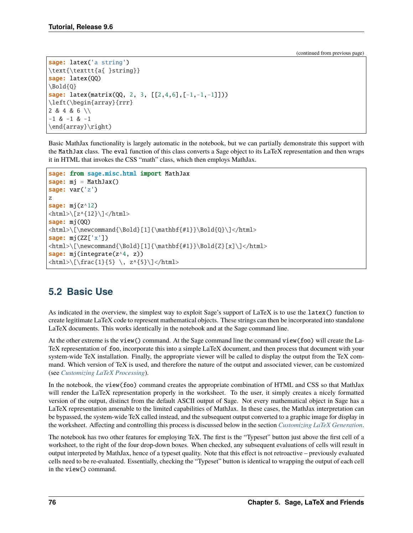```
sage: latex('a string')
\text{\texttt{a{ }string}}
sage: latex(QQ)
\boldsymbol{\delta}sage: latex(matrix(QQ, 2, 3, [2, 4, 6], [-1, -1, -1]]))
\left(\begin{array}{rrr}
2 & 4 & 6 \\
-1 & -1 & -1\end{array}\right)
```
Basic MathJax functionality is largely automatic in the notebook, but we can partially demonstrate this support with the MathJax class. The eval function of this class converts a Sage object to its LaTeX representation and then wraps it in HTML that invokes the CSS "math" class, which then employs MathJax.

```
sage: from sage.misc.html import MathJax
sage: mj = MathJax()sage: var('z')
z
sage: mj(z^{\wedge}12)\frac{\frac{1}{2}^{\frac{1}{2}}}{\frac{12}{\frac{12}{\frac{1}{2}}}}sage: mj(QQ)
<html>\[\newcommand{\Bold}[1]{\mathbf{#1}}\Bold{Q}\]</html>
sage: mj(ZZ['x'])
<html>\[\newcommand{\Bold}[1]{\mathbf{#1}}\Bold{Z}[x]\]</html>
sage: mj(integrate(z^4, z))
\verb|<html>\{}_{frac{1}{5} \ , z^*[5]\]}<\verb|html>
```
# **5.2 Basic Use**

As indicated in the overview, the simplest way to exploit Sage's support of LaTeX is to use the latex() function to create legitimate LaTeX code to represent mathematical objects. These strings can then be incorporated into standalone LaTeX documents. This works identically in the notebook and at the Sage command line.

At the other extreme is the view() command. At the Sage command line the command view(foo) will create the La-TeX representation of foo, incorporate this into a simple LaTeX document, and then process that document with your system-wide TeX installation. Finally, the appropriate viewer will be called to display the output from the TeX command. Which version of TeX is used, and therefore the nature of the output and associated viewer, can be customized (see *[Customizing LaTeX Processing](#page-82-0)*).

In the notebook, the view(foo) command creates the appropriate combination of HTML and CSS so that MathJax will render the LaTeX representation properly in the worksheet. To the user, it simply creates a nicely formatted version of the output, distinct from the default ASCII output of Sage. Not every mathematical object in Sage has a LaTeX representation amenable to the limited capabilities of MathJax. In these cases, the MathJax interpretation can be bypassed, the system-wide TeX called instead, and the subsequent output converted to a graphic image for display in the worksheet. Affecting and controlling this process is discussed below in the section *[Customizing LaTeX Generation](#page-80-0)*.

The notebook has two other features for employing TeX. The first is the "Typeset" button just above the first cell of a worksheet, to the right of the four drop-down boxes. When checked, any subsequent evaluations of cells will result in output interpreted by MathJax, hence of a typeset quality. Note that this effect is not retroactive – previously evaluated cells need to be re-evaluated. Essentially, checking the "Typeset" button is identical to wrapping the output of each cell in the view() command.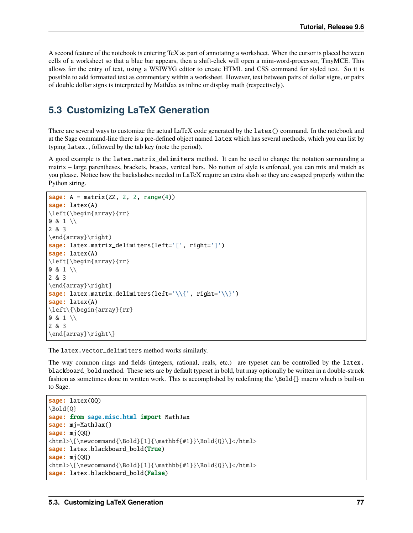A second feature of the notebook is entering TeX as part of annotating a worksheet. When the cursor is placed between cells of a worksheet so that a blue bar appears, then a shift-click will open a mini-word-processor, TinyMCE. This allows for the entry of text, using a WSIWYG editor to create HTML and CSS command for styled text. So it is possible to add formatted text as commentary within a worksheet. However, text between pairs of dollar signs, or pairs of double dollar signs is interpreted by MathJax as inline or display math (respectively).

## <span id="page-80-0"></span>**5.3 Customizing LaTeX Generation**

There are several ways to customize the actual LaTeX code generated by the latex() command. In the notebook and at the Sage command-line there is a pre-defined object named latex which has several methods, which you can list by typing latex., followed by the tab key (note the period).

A good example is the latex.matrix\_delimiters method. It can be used to change the notation surrounding a matrix – large parentheses, brackets, braces, vertical bars. No notion of style is enforced, you can mix and match as you please. Notice how the backslashes needed in LaTeX require an extra slash so they are escaped properly within the Python string.

```
sage: A = matrix(ZZ, 2, 2, range(4))sage: latex(A)
\left(\begin{array}{rr}
0 & 1 \ \backslash \2 & 3
\end{array}\right)
sage: latex.matrix_delimiters(left='[', right=']')
sage: latex(A)
\left[\begin{array}{rr}
0 & 1 \ \backslash \2 & 3
\end{array}\right]
sage: latex.matrix_delimiters(left='\\{', right='\\}')
sage: latex(A)
\left\{\begin{array}{rr}
0 & 1 \ \backslash \2 & 3
\end{array}\right\}
```
The latex.vector\_delimiters method works similarly.

The way common rings and fields (integers, rational, reals, etc.) are typeset can be controlled by the latex. blackboard\_bold method. These sets are by default typeset in bold, but may optionally be written in a double-struck fashion as sometimes done in written work. This is accomplished by redefining the \Bold{} macro which is built-in to Sage.

```
sage: latex(QQ)
\Bbb Bold{0}
sage: from sage.misc.html import MathJax
sage: mj=MathJax()
sage: mj(QQ)
<html>\[\newcommand{\Bold}[1]{\mathbf{#1}}\Bold{Q}\]</html>
sage: latex.blackboard_bold(True)
sage: mj(QQ)
<html>\[\newcommand{\Bold}[1]{\mathbb{#1}}\Bold{Q}\]</html>
sage: latex.blackboard_bold(False)
```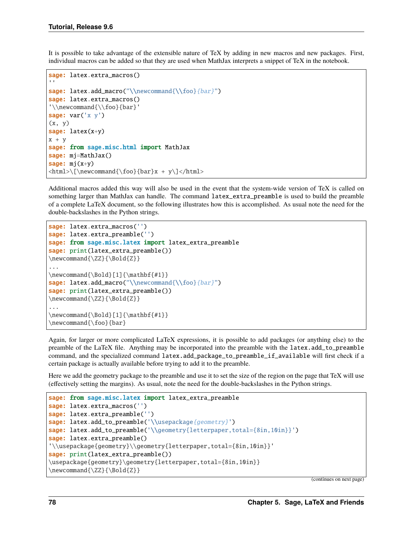It is possible to take advantage of the extensible nature of TeX by adding in new macros and new packages. First, individual macros can be added so that they are used when MathJax interprets a snippet of TeX in the notebook.

```
sage: latex.extra_macros()
''
sage: latex.add_macro("\\newcommand{\\foo}{bar}")
sage: latex.extra_macros()
'\\newcommand{\\foo}{bar}'
sage: var('x y')
(x, y)
sage: lates(x+y)x + ysage: from sage.misc.html import MathJax
sage: mj=MathJax()
sage: mj(x+y)
\thickceq\lambda \[\newcommand{\foo}{bar}x + y\]</html>
```
Additional macros added this way will also be used in the event that the system-wide version of TeX is called on something larger than MathJax can handle. The command latex\_extra\_preamble is used to build the preamble of a complete LaTeX document, so the following illustrates how this is accomplished. As usual note the need for the double-backslashes in the Python strings.

```
sage: latex.extra_macros('')
sage: latex.extra_preamble('')
sage: from sage.misc.latex import latex_extra_preamble
sage: print(latex_extra_preamble())
\newcommand{\ZZ}{\B0ld{Z}}...
\newcommand{\Bold}[1]{\mathbf{#1}}
sage: latex.add_macro("\\newcommand{\\foo}{bar}")
sage: print(latex_extra_preamble())
\newcommand{\ZZ}{\Bold{Z}}
...
\newcommand{\Bold}[1]{\mathbf{#1}}
\newcommand{\foo}{bar}
```
Again, for larger or more complicated LaTeX expressions, it is possible to add packages (or anything else) to the preamble of the LaTeX file. Anything may be incorporated into the preamble with the latex.add\_to\_preamble command, and the specialized command latex.add\_package\_to\_preamble\_if\_available will first check if a certain package is actually available before trying to add it to the preamble.

Here we add the geometry package to the preamble and use it to set the size of the region on the page that TeX will use (effectively setting the margins). As usual, note the need for the double-backslashes in the Python strings.

```
sage: from sage.misc.latex import latex_extra_preamble
sage: latex.extra_macros('')
sage: latex.extra_preamble('')
sage: latex.add_to_preamble('\\usepackage{geometry}')
sage: latex.add_to_preamble('\\geometry{letterpaper,total={8in,10in}}')
sage: latex.extra_preamble()
'\\usepackage{geometry}\\geometry{letterpaper,total={8in,10in}}'
sage: print(latex_extra_preamble())
\usepackage{geometry}\geometry{letterpaper,total={8in,10in}}
\newcommand{\ZZ}{\Bold{Z}}
```
(continues on next page)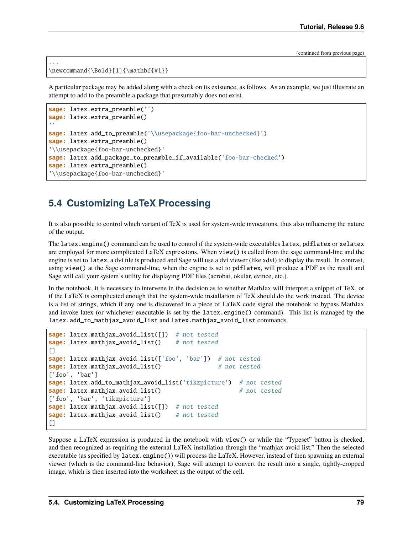```
...
\newcommand{\Bold}[1]{\mathbf{#1}}
```
A particular package may be added along with a check on its existence, as follows. As an example, we just illustrate an attempt to add to the preamble a package that presumably does not exist.

```
sage: latex.extra_preamble('')
sage: latex.extra_preamble()
''sage: latex.add_to_preamble('\\usepackage{foo-bar-unchecked}')
sage: latex.extra_preamble()
'\\usepackage{foo-bar-unchecked}'
sage: latex.add_package_to_preamble_if_available('foo-bar-checked')
sage: latex.extra_preamble()
'\\usepackage{foo-bar-unchecked}'
```
# <span id="page-82-0"></span>**5.4 Customizing LaTeX Processing**

It is also possible to control which variant of TeX is used for system-wide invocations, thus also influencing the nature of the output.

The latex.engine() command can be used to control if the system-wide executables latex, pdflatex or xelatex are employed for more complicated LaTeX expressions. When view() is called from the sage command-line and the engine is set to latex, a dvi file is produced and Sage will use a dvi viewer (like xdvi) to display the result. In contrast, using view() at the Sage command-line, when the engine is set to pdflatex, will produce a PDF as the result and Sage will call your system's utility for displaying PDF files (acrobat, okular, evince, etc.).

In the notebook, it is necessary to intervene in the decision as to whether MathJax will interpret a snippet of TeX, or if the LaTeX is complicated enough that the system-wide installation of TeX should do the work instead. The device is a list of strings, which if any one is discovered in a piece of LaTeX code signal the notebook to bypass MathJax and invoke latex (or whichever executable is set by the latex.engine() command). This list is managed by the latex.add\_to\_mathjax\_avoid\_list and latex.mathjax\_avoid\_list commands.

```
sage: latex.mathjax_avoid_list([]) # not tested
sage: latex.mathjax_avoid_list() # not tested
[]
sage: latex.mathjax_avoid_list(['foo', 'bar']) # not tested
sage: latex.mathjax_avoid_list() # not tested['foo', 'bar']
sage: latex.add_to_mathjax_avoid_list('tikzpicture') # not tested
sage: latex.mathjax_avoid_list() # not tested['foo', 'bar', 'tikzpicture']
sage: latex.mathjax_avoid_list([]) # not tested
sage: latex.mathjax_avoid_list() # not tested
[]
```
Suppose a LaTeX expression is produced in the notebook with view() or while the "Typeset" button is checked, and then recognized as requiring the external LaTeX installation through the "mathjax avoid list." Then the selected executable (as specified by latex.engine()) will process the LaTeX. However, instead of then spawning an external viewer (which is the command-line behavior), Sage will attempt to convert the result into a single, tightly-cropped image, which is then inserted into the worksheet as the output of the cell.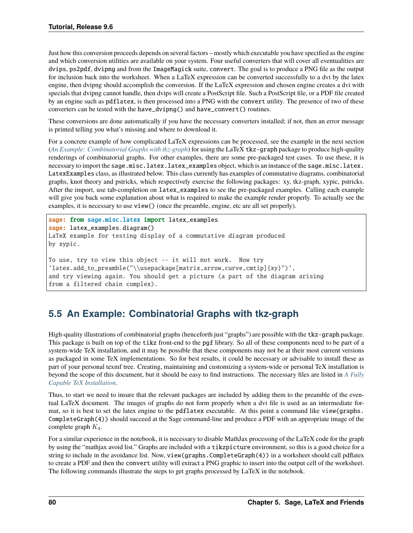Just how this conversion proceeds depends on several factors – mostly which executable you have specified as the engine and which conversion utilities are available on your system. Four useful converters that will cover all eventualities are dvips, ps2pdf, dvipng and from the ImageMagick suite, convert. The goal is to produce a PNG file as the output for inclusion back into the worksheet. When a LaTeX expression can be converted successfully to a dvi by the latex engine, then dvipng should accomplish the conversion. If the LaTeX expression and chosen engine creates a dvi with specials that dvipng cannot handle, then dvips will create a PostScript file. Such a PostScript file, or a PDF file created by an engine such as pdflatex, is then processed into a PNG with the convert utility. The presence of two of these converters can be tested with the have\_dvipng() and have\_convert() routines.

These conversions are done automatically if you have the necessary converters installed; if not, then an error message is printed telling you what's missing and where to download it.

For a concrete example of how complicated LaTeX expressions can be processed, see the example in the next section (*[An Example: Combinatorial Graphs with tkz-graph](#page-83-0)*) for using the LaTeX tkz-graph package to produce high-quality renderings of combinatorial graphs. For other examples, there are some pre-packaged test cases. To use these, it is necessary to import the sage.misc.latex.latex\_examples object, which is an instance of the sage.misc.latex. LatexExamples class, as illustrated below. This class currently has examples of commutative diagrams, combinatorial graphs, knot theory and pstricks, which respectively exercise the following packages: xy, tkz-graph, xypic, pstricks. After the import, use tab-completion on latex\_examples to see the pre-packaged examples. Calling each example will give you back some explanation about what is required to make the example render properly. To actually see the examples, it is necessary to use view() (once the preamble, engine, etc are all set properly).

```
sage: from sage.misc.latex import latex_examples
sage: latex_examples.diagram()
LaTeX example for testing display of a commutative diagram produced
by xypic.
To use, try to view this object -- it will not work. Now try
'latex.add_to_preamble("\\usepackage[matrix,arrow,curve,cmtip]{xy}")',
and try viewing again. You should get a picture (a part of the diagram arising
from a filtered chain complex).
```
# <span id="page-83-0"></span>**5.5 An Example: Combinatorial Graphs with tkz-graph**

High-quality illustrations of combinatorial graphs (henceforth just "graphs") are possible with the tkz-graph package. This package is built on top of the tikz front-end to the pgf library. So all of these components need to be part of a system-wide TeX installation, and it may be possible that these components may not be at their most current versions as packaged in some TeX implementations. So for best results, it could be necessary or advisable to install these as part of your personal texmf tree. Creating, maintaining and customizing a system-wide or personal TeX installation is beyond the scope of this document, but it should be easy to find instructions. The necessary files are listed in *[A Fully](#page-84-0) [Capable TeX Installation](#page-84-0)*.

Thus, to start we need to insure that the relevant packages are included by adding them to the preamble of the eventual LaTeX document. The images of graphs do not form properly when a dvi file is used as an intermediate format, so it is best to set the latex engine to the pdflatex executable. At this point a command like view(graphs. CompleteGraph(4)) should succeed at the Sage command-line and produce a PDF with an appropriate image of the complete graph  $K_4$ .

For a similar experience in the notebook, it is necessary to disable MathJax processing of the LaTeX code for the graph by using the "mathjax avoid list." Graphs are included with a tikzpicture environment, so this is a good choice for a string to include in the avoidance list. Now, view(graphs.CompleteGraph(4)) in a worksheet should call pdflatex to create a PDF and then the convert utility will extract a PNG graphic to insert into the output cell of the worksheet. The following commands illustrate the steps to get graphs processed by LaTeX in the notebook.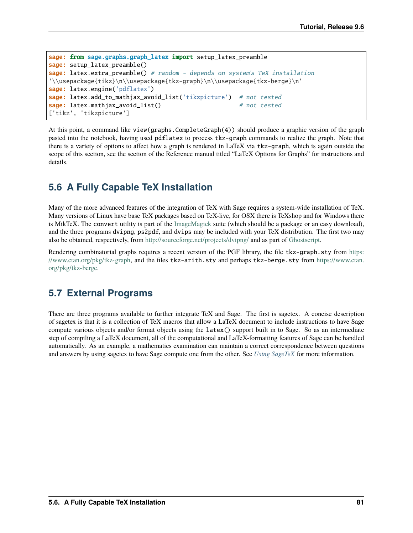```
sage: from sage.graphs.graph_latex import setup_latex_preamble
sage: setup_latex_preamble()
sage: latex.extra_preamble() # random - depends on system's TeX installation
'\\usepackage{tikz}\n\\usepackage{tkz-graph}\n\\usepackage{tkz-berge}\n'
sage: latex.engine('pdflatex')
sage: latex.add_to_mathjax_avoid_list('tikzpicture') # not tested
sage: latex.mathjax_avoid_list() # not tested
['tikz', 'tikzpicture']
```
At this point, a command like view(graphs.CompleteGraph(4)) should produce a graphic version of the graph pasted into the notebook, having used pdflatex to process tkz-graph commands to realize the graph. Note that there is a variety of options to affect how a graph is rendered in LaTeX via tkz-graph, which is again outside the scope of this section, see the section of the Reference manual titled "LaTeX Options for Graphs" for instructions and details.

## <span id="page-84-0"></span>**5.6 A Fully Capable TeX Installation**

Many of the more advanced features of the integration of TeX with Sage requires a system-wide installation of TeX. Many versions of Linux have base TeX packages based on TeX-live, for OSX there is TeXshop and for Windows there is MikTeX. The convert utility is part of the [ImageMagick](http://www.imagemagick.org/) suite (which should be a package or an easy download), and the three programs dvipng, ps2pdf, and dvips may be included with your TeX distribution. The first two may also be obtained, respectively, from <http://sourceforge.net/projects/dvipng/> and as part of [Ghostscript.](http://www.ghostscript.com/)

Rendering combinatorial graphs requires a recent version of the PGF library, the file tkz-graph.sty from [https:](https://www.ctan.org/pkg/tkz-graph) [//www.ctan.org/pkg/tkz-graph,](https://www.ctan.org/pkg/tkz-graph) and the files tkz-arith.sty and perhaps tkz-berge.sty from [https://www.ctan.](https://www.ctan.org/pkg/tkz-berge) [org/pkg/tkz-berge.](https://www.ctan.org/pkg/tkz-berge)

### **5.7 External Programs**

There are three programs available to further integrate TeX and Sage. The first is sagetex. A concise description of sagetex is that it is a collection of TeX macros that allow a LaTeX document to include instructions to have Sage compute various objects and/or format objects using the latex() support built in to Sage. So as an intermediate step of compiling a LaTeX document, all of the computational and LaTeX-formatting features of Sage can be handled automatically. As an example, a mathematics examination can maintain a correct correspondence between questions and answers by using sagetex to have Sage compute one from the other. See *[Using SageTeX](#page-98-0)* for more information.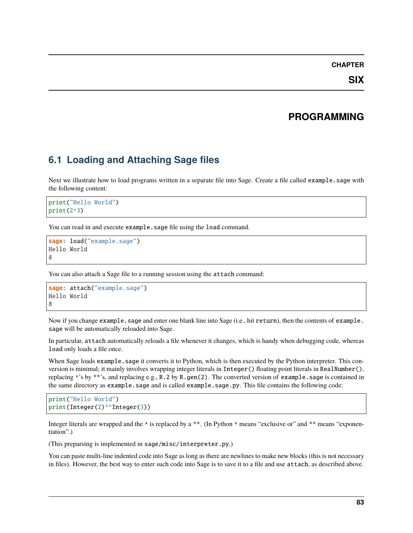### **CHAPTER**

### **PROGRAMMING**

### **6.1 Loading and Attaching Sage files**

Next we illustrate how to load programs written in a separate file into Sage. Create a file called example.sage with the following content:

```
print("Hello World")
print(2^{\wedge}3)
```
You can read in and execute example.sage file using the load command.

```
sage: load("example.sage")
Hello World
8
```
You can also attach a Sage file to a running session using the attach command:

```
sage: attach("example.sage")
Hello World
8
```
Now if you change example.sage and enter one blank line into Sage (i.e., hit return), then the contents of example. sage will be automatically reloaded into Sage.

In particular, attach automatically reloads a file whenever it changes, which is handy when debugging code, whereas load only loads a file once.

When Sage loads example.sage it converts it to Python, which is then executed by the Python interpreter. This conversion is minimal; it mainly involves wrapping integer literals in Integer() floating point literals in RealNumber(), replacing  $^{\wedge}$ 's by  $^{**}$ 's, and replacing e.g., R.2 by R.gen(2). The converted version of example.sage is contained in the same directory as example.sage and is called example.sage.py. This file contains the following code:

```
print("Hello World")
print(Integer(2)**Integer(3))
```
Integer literals are wrapped and the  $\land$  is replaced by a \*\*. (In Python  $\land$  means "exclusive or" and \*\* means "exponentiation".)

(This preparsing is implemented in sage/misc/interpreter.py.)

You can paste multi-line indented code into Sage as long as there are newlines to make new blocks (this is not necessary in files). However, the best way to enter such code into Sage is to save it to a file and use attach, as described above.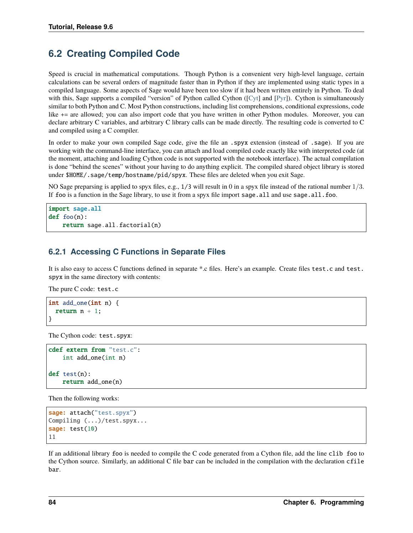## **6.2 Creating Compiled Code**

Speed is crucial in mathematical computations. Though Python is a convenient very high-level language, certain calculations can be several orders of magnitude faster than in Python if they are implemented using static types in a compiled language. Some aspects of Sage would have been too slow if it had been written entirely in Python. To deal with this, Sage supports a compiled "version" of Python called Cython ([\[Cyt\]](#page-112-0) and [\[Pyr\]](#page-112-1)). Cython is simultaneously similar to both Python and C. Most Python constructions, including list comprehensions, conditional expressions, code like += are allowed; you can also import code that you have written in other Python modules. Moreover, you can declare arbitrary C variables, and arbitrary C library calls can be made directly. The resulting code is converted to C and compiled using a C compiler.

In order to make your own compiled Sage code, give the file an .spyx extension (instead of .sage). If you are working with the command-line interface, you can attach and load compiled code exactly like with interpreted code (at the moment, attaching and loading Cython code is not supported with the notebook interface). The actual compilation is done "behind the scenes" without your having to do anything explicit. The compiled shared object library is stored under \$HOME/.sage/temp/hostname/pid/spyx. These files are deleted when you exit Sage.

NO Sage preparsing is applied to spyx files, e.g., 1/3 will result in 0 in a spyx file instead of the rational number 1/3. If foo is a function in the Sage library, to use it from a spyx file import sage.all and use sage.all.foo.

```
import sage.all
def foo(n):
    return sage.all.factorial(n)
```
### **6.2.1 Accessing C Functions in Separate Files**

It is also easy to access C functions defined in separate \*.c files. Here's an example. Create files test.c and test. spyx in the same directory with contents:

The pure C code: test.c

```
int add_one(int n) {
  return n + 1;
}
```
The Cython code: test.spyx:

```
cdef extern from "test.c":
    int add_one(int n)
def test(n):
    return add_one(n)
```
Then the following works:

```
sage: attach("test.spyx")
Compiling (...)/test.spyx...
sage: test(10)
11
```
If an additional library foo is needed to compile the C code generated from a Cython file, add the line clib foo to the Cython source. Similarly, an additional C file bar can be included in the compilation with the declaration cfile bar.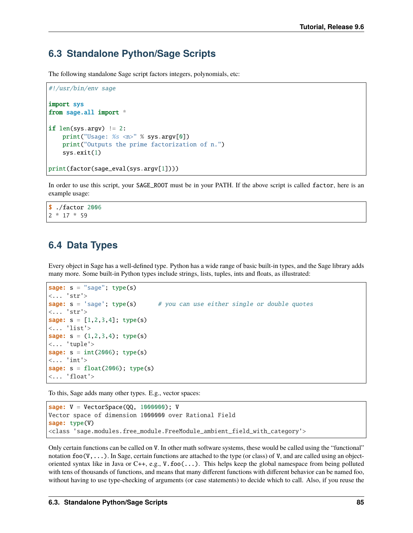### **6.3 Standalone Python/Sage Scripts**

The following standalone Sage script factors integers, polynomials, etc:

```
#!/usr/bin/env sage
import sys
from sage.all import *
if len(sys.argv) != 2:
   print("Usage: %s <n>" % sys.argv[0])
   print("Outputs the prime factorization of n.")
    sys.exit(1)
```
print(factor(sage\_eval(sys.argv[1])))

In order to use this script, your SAGE\_ROOT must be in your PATH. If the above script is called factor, here is an example usage:

\$ ./factor 2006  $2 * 17 * 59$ 

## **6.4 Data Types**

Every object in Sage has a well-defined type. Python has a wide range of basic built-in types, and the Sage library adds many more. Some built-in Python types include strings, lists, tuples, ints and floats, as illustrated:

```
sage: s = "sage"; type(s)<... 'str'>
sage: s = 'sage'; type(s) # you can use either single or double quotes
<... 'str'>
sage: s = [1, 2, 3, 4]; type(s)
<... 'list'>
sage: s = (1, 2, 3, 4); type(s)
<... 'tuple'>
sage: s = int(2006); type(s)
<... 'int'>
sage: s = float(2006); type(s)
<... 'float'>
```
To this, Sage adds many other types. E.g., vector spaces:

```
sage: V = VectorSpace(QQ, 1000000); V
Vector space of dimension 1000000 over Rational Field
sage: type(V)
<class 'sage.modules.free_module.FreeModule_ambient_field_with_category'>
```
Only certain functions can be called on V. In other math software systems, these would be called using the "functional" notation  $foo(V,\ldots)$ . In Sage, certain functions are attached to the type (or class) of V, and are called using an objectoriented syntax like in Java or  $C_{++}$ , e.g., V.foo $(\ldots)$ . This helps keep the global namespace from being polluted with tens of thousands of functions, and means that many different functions with different behavior can be named foo, without having to use type-checking of arguments (or case statements) to decide which to call. Also, if you reuse the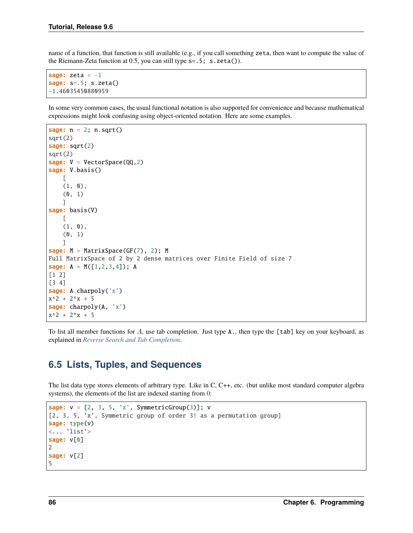name of a function, that function is still available (e.g., if you call something zeta, then want to compute the value of the Riemann-Zeta function at 0.5, you can still type s=.5; s.zeta()).

```
sage: zeta = -1sage: s=.5; s.zeta()
-1.46035450880959
```
In some very common cases, the usual functional notation is also supported for convenience and because mathematical expressions might look confusing using object-oriented notation. Here are some examples.

```
sage: n = 2; n.sqrt()sqrt(2)
sage: sqrt(2)
sqrt(2)
sage: V = VectorSpace(QQ, 2)sage: V.basis()
    \mathbb{L}(1, 0),
    (0, 1)
    ]
sage: basis(V)
    \Gamma(1, 0),
    (0, 1)
    ]
sage: M = MatrixSpace(GF(7), 2); MFull MatrixSpace of 2 by 2 dense matrices over Finite Field of size 7
sage: A = M([1, 2, 3, 4]); A
[1 2]
[3 4]
sage: A.charpoly('x')
x^2 + 2*x + 5sage: charpoly(A, 'x')
x^2 + 2*x + 5
```
To list all member functions for  $A$ , use tab completion. Just type  $A_1$ , then type the  $[tab]$  key on your keyboard, as explained in *[Reverse Search and Tab Completion](#page-65-0)*.

### **6.5 Lists, Tuples, and Sequences**

The list data type stores elements of arbitrary type. Like in C, C++, etc. (but unlike most standard computer algebra systems), the elements of the list are indexed starting from 0:

```
sage: v = [2, 3, 5, 'x', SymmetricGroup(3)]; v[2, 3, 5, 'x', Symmetric group of order 3! as a permutation group]
sage: type(v)
<... 'list'>
sage: v[0]
2
sage: v[2]
5
```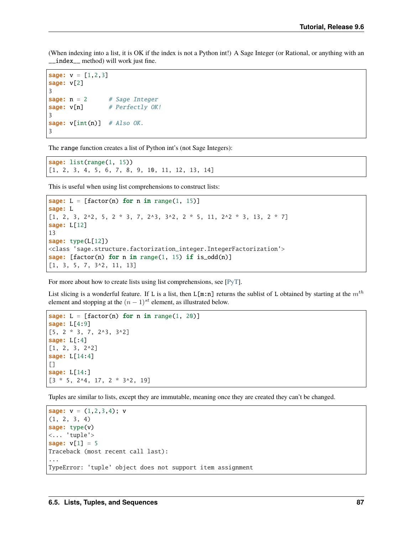(When indexing into a list, it is OK if the index is not a Python int!) A Sage Integer (or Rational, or anything with an \_\_index\_\_ method) will work just fine.

```
sage: v = [1, 2, 3]sage: v[2]
3
sage: n = 2 # Sage Integer
sage: v[n] # Perfectly OK!
3
sage: v(int(n)] # Also OK.
3
```
The range function creates a list of Python int's (not Sage Integers):

sage: list(range(1, 15)) [1, 2, 3, 4, 5, 6, 7, 8, 9, 10, 11, 12, 13, 14]

This is useful when using list comprehensions to construct lists:

```
sage: L = [factor(n) for n in range(1, 15)]sage: L
[1, 2, 3, 2^2, 5, 2^*3, 7, 2^3, 3^2, 2^*5, 11, 2^2^*3, 13, 2^*7]sage: L[12]
13
sage: type(L[12])
<class 'sage.structure.factorization_integer.IntegerFactorization'>
sage: [factor(n) for n in range(1, 15) if is_odd(n)][1, 3, 5, 7, 3^2, 11, 13]
```
For more about how to create lists using list comprehensions, see [\[PyT\]](#page-112-2).

List slicing is a wonderful feature. If L is a list, then L[m:n] returns the sublist of L obtained by starting at the  $m<sup>th</sup>$ element and stopping at the  $(n - 1)^{st}$  element, as illustrated below.

```
sage: L = \left[ \text{factor}(n) \text{ for } n \text{ in } \text{range}(1, 20) \right]sage: L[4:9]
[5, 2 * 3, 7, 2^3, 3^2]
sage: L[:4]
[1, 2, 3, 2^2]
sage: L[14:4]
\Boxsage: L[14:]
[3 * 5, 2^4, 17, 2 * 3^2, 19]
```
Tuples are similar to lists, except they are immutable, meaning once they are created they can't be changed.

```
sage: v = (1, 2, 3, 4); v
(1, 2, 3, 4)
sage: type(v)
<... 'tuple'>
sage: v[1] = 5Traceback (most recent call last):
...
TypeError: 'tuple' object does not support item assignment
```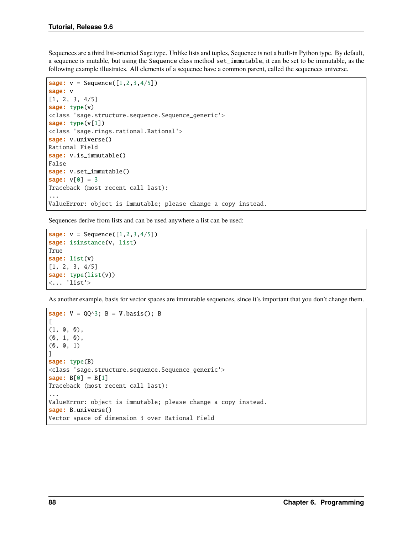Sequences are a third list-oriented Sage type. Unlike lists and tuples, Sequence is not a built-in Python type. By default, a sequence is mutable, but using the Sequence class method set\_immutable, it can be set to be immutable, as the following example illustrates. All elements of a sequence have a common parent, called the sequences universe.

```
sage: v = \text{Sequence}([1, 2, 3, 4/5])sage: v
[1, 2, 3, 4/5]
sage: type(v)
<class 'sage.structure.sequence.Sequence_generic'>
sage: type(v[1])
<class 'sage.rings.rational.Rational'>
sage: v.universe()
Rational Field
sage: v.is_immutable()
False
sage: v.set_immutable()
sage: v[0] = 3Traceback (most recent call last):
...
ValueError: object is immutable; please change a copy instead.
```
Sequences derive from lists and can be used anywhere a list can be used:

```
sage: v = \text{Sequence}([1, 2, 3, 4/5])sage: isinstance(v, list)
True
sage: list(v)
[1, 2, 3, 4/5]
sage: type(list(v))
<... 'list'>
```
As another example, basis for vector spaces are immutable sequences, since it's important that you don't change them.

```
sage: V = QQ^3; B = V.basis(); B
\Gamma(1, 0, 0),
(0, 1, 0),
(0, 0, 1)
]
sage: type(B)
<class 'sage.structure.sequence.Sequence_generic'>
sage: B[0] = B[1]Traceback (most recent call last):
...
ValueError: object is immutable; please change a copy instead.
sage: B.universe()
Vector space of dimension 3 over Rational Field
```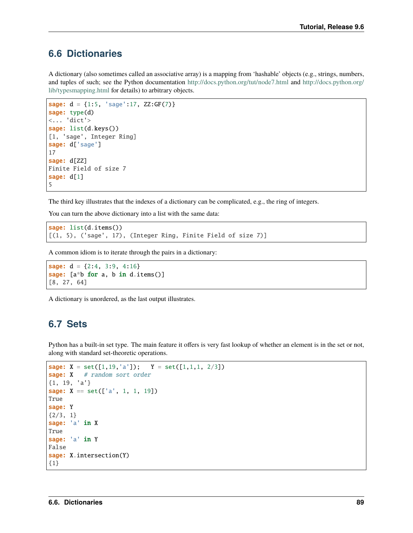### **6.6 Dictionaries**

A dictionary (also sometimes called an associative array) is a mapping from 'hashable' objects (e.g., strings, numbers, and tuples of such; see the Python documentation <http://docs.python.org/tut/node7.html> and [http://docs.python.org/](http://docs.python.org/lib/typesmapping.html) [lib/typesmapping.html](http://docs.python.org/lib/typesmapping.html) for details) to arbitrary objects.

```
sage: d = {1:5, 'sage':17, ZZ:GF(7)}
sage: type(d)
<... 'dict'>
sage: list(d.keys())
[1, 'sage', Integer Ring]
sage: d['sage']
17
sage: d[ZZ]
Finite Field of size 7
sage: d[1]
5
```
The third key illustrates that the indexes of a dictionary can be complicated, e.g., the ring of integers.

You can turn the above dictionary into a list with the same data:

```
sage: list(d.items())
[(1, 5), ('sage', 17), (Integer Ring, Finite Field of size 7)]
```
A common idiom is to iterate through the pairs in a dictionary:

```
sage: d = {2:4, 3:9, 4:16}
sage: [a*b for a, b in d.items()]
[8, 27, 64]
```
A dictionary is unordered, as the last output illustrates.

### **6.7 Sets**

Python has a built-in set type. The main feature it offers is very fast lookup of whether an element is in the set or not, along with standard set-theoretic operations.

```
sage: X = set([1, 19, 'a']); Y = set([1, 1, 1, 2/3])sage: X # random sort order
{1, 19, 'a'}
sage: X == set([ 'a', 1, 1, 19])True
sage: Y
{2/3, 1}sage: 'a' in X
True
sage: 'a' in Y
False
sage: X.intersection(Y)
{1}
```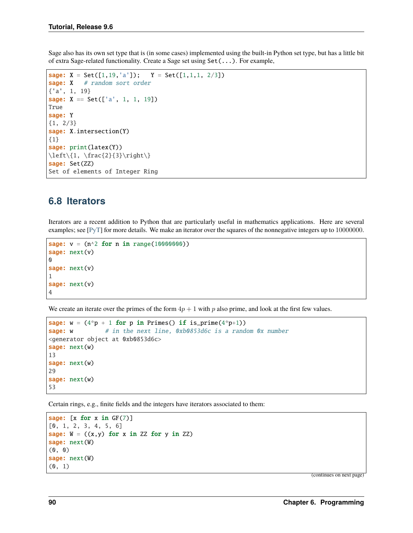Sage also has its own set type that is (in some cases) implemented using the built-in Python set type, but has a little bit of extra Sage-related functionality. Create a Sage set using Set(...). For example,

```
sage: X = Set([1, 19, 'a']); Y = Set([1, 1, 1, 2/3])sage: X # random sort order
{'a', 1, 19}
sage: X == Set(['a', 1, 1, 19])True
sage: Y
{1, 2/3}
sage: X.intersection(Y)
{1}
sage: print(latex(Y))
\left\{\{1, \frac{2}{3}\right\}\right\}sage: Set(ZZ)
Set of elements of Integer Ring
```
### **6.8 Iterators**

Iterators are a recent addition to Python that are particularly useful in mathematics applications. Here are several examples; see [\[PyT\]](#page-112-2) for more details. We make an iterator over the squares of the nonnegative integers up to 10000000.

```
sage: v = (n^2 \text{ for } n \text{ in } range(10000000))sage: next(v)
\Omegasage: next(v)
1
sage: next(v)
4
```
We create an iterate over the primes of the form  $4p + 1$  with p also prime, and look at the first few values.

```
sage: w = (4*p + 1 for p in Primes() if is_prime(4*p+1))
sage: w \# in the next line, 0xb0853d6c is a random 0x number
<generator object at 0xb0853d6c>
sage: next(w)
13
sage: next(w)
29
sage: next(w)
53
```
Certain rings, e.g., finite fields and the integers have iterators associated to them:

```
sage: [x for x in GF(7)][0, 1, 2, 3, 4, 5, 6]sage: W = ((x,y) for x in ZZ for y in ZZ)
sage: next(W)
(0, 0)
sage: next(W)
(0, 1)
```
(continues on next page)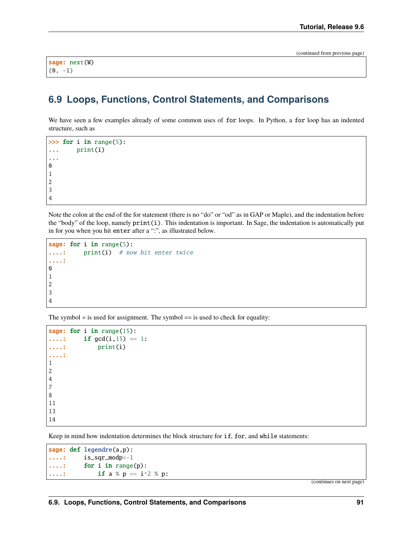```
sage: next(W)
(0, -1)
```
## **6.9 Loops, Functions, Control Statements, and Comparisons**

We have seen a few examples already of some common uses of for loops. In Python, a for loop has an indented structure, such as

```
\gg for i in range(5):
... print(i)
...
0
1
2
3
4
```
Note the colon at the end of the for statement (there is no "do" or "od" as in GAP or Maple), and the indentation before the "body" of the loop, namely print(i). This indentation is important. In Sage, the indentation is automatically put in for you when you hit enter after a ":", as illustrated below.

```
sage: for i in range(5):
....: print(i) # now hit enter twice
....:
0
1
2
3
4
```
The symbol  $=$  is used for assignment. The symbol  $=$  is used to check for equality:

```
sage: for i in range(15):
....: if gcd(i, 15) == 1:
....: print(i)
....:
1
2
4
7
8
11
13
14
```
Keep in mind how indentation determines the block structure for if, for, and while statements:

```
sage: def legendre(a,p):
....: is_sqr_modp=-1
....: for i in range(p):
....: if a % p = i^2 % p:
```
(continues on next page)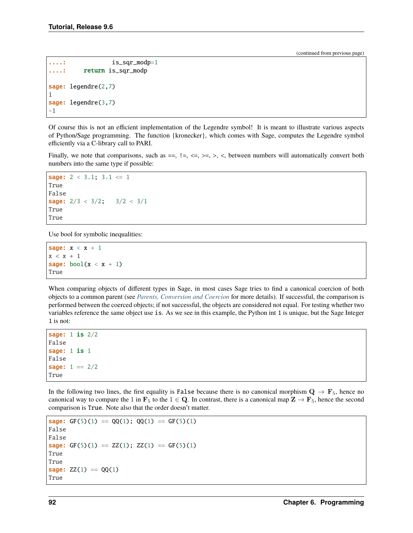```
....: is_sqr_modp=1
....: return is_sqr_modp
sage: legendre(2,7)
1
sage: legendre(3,7)
-1
```
Of course this is not an efficient implementation of the Legendre symbol! It is meant to illustrate various aspects of Python/Sage programming. The function {kronecker}, which comes with Sage, computes the Legendre symbol efficiently via a C-library call to PARI.

Finally, we note that comparisons, such as  $==$ ,  $!=$ ,  $<=$ ,  $>=$ ,  $>,$   $\le$ , between numbers will automatically convert both numbers into the same type if possible:

```
sage: 2 < 3.1; 3.1 < 1True
False
sage: 2/3 < 3/2; 3/2 < 3/1True
True
```
Use bool for symbolic inequalities:

```
sage: x < x + 1x < x + 1sage: bool(x < x + 1)True
```
When comparing objects of different types in Sage, in most cases Sage tries to find a canonical coercion of both objects to a common parent (see *[Parents, Conversion and Coercion](#page-39-0)* for more details). If successful, the comparison is performed between the coerced objects; if not successful, the objects are considered not equal. For testing whether two variables reference the same object use is. As we see in this example, the Python int 1 is unique, but the Sage Integer 1 is not:

```
sage: 1 is 2/2
False
sage: 1 is 1
False
sage: 1 == 2/2True
```
In the following two lines, the first equality is False because there is no canonical morphism  $Q \to F_5$ , hence no canonical way to compare the 1 in  $\mathbf{F}_5$  to the 1  $\in \mathbf{Q}$ . In contrast, there is a canonical map  $\mathbf{Z} \to \mathbf{F}_5$ , hence the second comparison is True. Note also that the order doesn't matter.

```
sage: GF(5)(1) == QQ(1); QQ(1) == GF(5)(1)False
False
sage: GF(5)(1) == ZZ(1); ZZ(1) == GF(5)(1)True
True
sage: ZZ(1) == QQ(1)True
```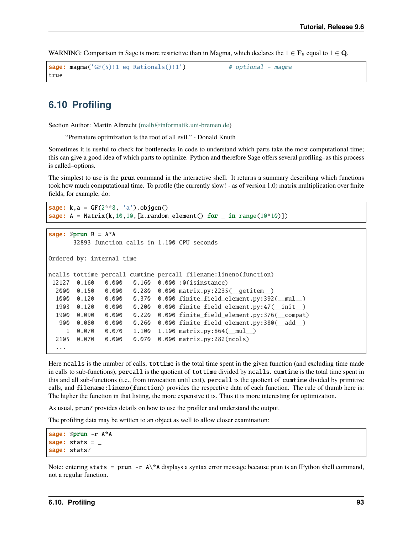WARNING: Comparison in Sage is more restrictive than in Magma, which declares the  $1 \in \mathbf{F}_5$  equal to  $1 \in \mathbf{Q}$ .

```
sage: magma('GF(5)!1 eq Rationals()!1') # optional - magma
true
```
### **6.10 Profiling**

Section Author: Martin Albrecht [\(malb@informatik.uni-bremen.de\)](mailto:malb@informatik.uni-bremen.de)

"Premature optimization is the root of all evil." - Donald Knuth

Sometimes it is useful to check for bottlenecks in code to understand which parts take the most computational time; this can give a good idea of which parts to optimize. Python and therefore Sage offers several profiling–as this process is called–options.

The simplest to use is the prun command in the interactive shell. It returns a summary describing which functions took how much computational time. To profile (the currently slow! - as of version 1.0) matrix multiplication over finite fields, for example, do:

sage:  $k$ ,  $a = GF(2**8, 'a')$ . objgen() sage:  $A = \text{Matrix}(k, 10, 10, [k.random-element() for _ in range(10*10)])$ 

```
sage: %prun B = A*A32893 function calls in 1.100 CPU seconds
Ordered by: internal time
ncalls tottime percall cumtime percall filename:lineno(function)
12127 0.160 0.000 0.160 0.000 :0(isinstance)
 2000 0.150 0.000 0.280 0.000 matrix.py:2235(__getitem__)
 1000 0.120 0.000 0.370 0.000 finite_field_element.py:392(__mul__)
 1903 0.120 0.000 0.200 0.000 finite_field_element.py:47(__init__)
 1900 0.090 0.000 0.220 0.000 finite_field_element.py:376(__compat)
  900 0.080 0.000 0.260 0.000 finite_field_element.py:380(__add__)
    1 0.070 0.070 1.100 1.100 matrix.py:864(__mul__)
 2105 0.070 0.000 0.070 0.000 matrix.py:282(ncols)
  ...
```
Here ncalls is the number of calls, tottime is the total time spent in the given function (and excluding time made in calls to sub-functions), percall is the quotient of tottime divided by ncalls. cumtime is the total time spent in this and all sub-functions (i.e., from invocation until exit), percall is the quotient of cumtime divided by primitive calls, and filename:lineno(function) provides the respective data of each function. The rule of thumb here is: The higher the function in that listing, the more expensive it is. Thus it is more interesting for optimization.

As usual, prun? provides details on how to use the profiler and understand the output.

The profiling data may be written to an object as well to allow closer examination:

```
sage: %prun -r A*A
sage: stats = -sage: stats?
```
Note: entering stats = prun -r  $A\^*A$  displays a syntax error message because prun is an IPython shell command, not a regular function.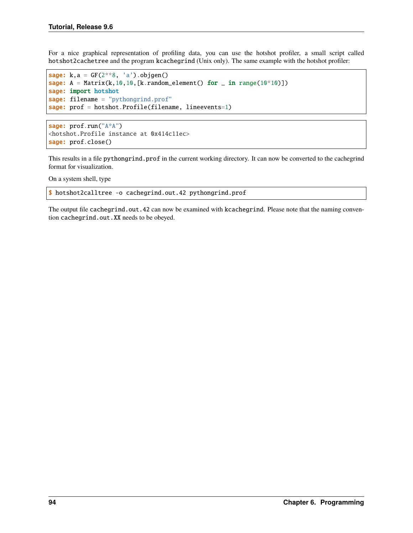For a nice graphical representation of profiling data, you can use the hotshot profiler, a small script called hotshot2cachetree and the program kcachegrind (Unix only). The same example with the hotshot profiler:

```
sage: k, a = GF(2**8, 'a') \n.objgen()
sage: A = Matrix(k, 10, 10, [k.random-element]) for _ in range(10*10)))
sage: import hotshot
sage: filename = "pythongrind.prof"
sage: prof = hotshot.Profile(filename, lineevents=1)
```

```
sage: prof.run("A*A")
<hotshot.Profile instance at 0x414c11ec>
sage: prof.close()
```
This results in a file pythongrind.prof in the current working directory. It can now be converted to the cachegrind format for visualization.

On a system shell, type

\$ hotshot2calltree -o cachegrind.out.42 pythongrind.prof

The output file cachegrind.out.42 can now be examined with kcachegrind. Please note that the naming convention cachegrind.out.XX needs to be obeyed.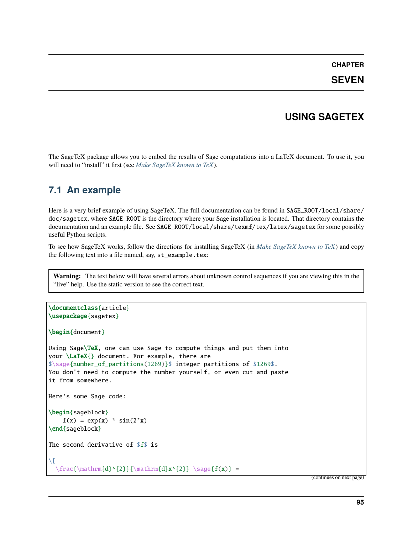#### **CHAPTER**

### **SEVEN**

# **USING SAGETEX**

<span id="page-98-0"></span>The SageTeX package allows you to embed the results of Sage computations into a LaTeX document. To use it, you will need to "install" it first (see *[Make SageTeX known to TeX](#page-99-0)*).

## **7.1 An example**

Here is a very brief example of using SageTeX. The full documentation can be found in SAGE\_ROOT/local/share/ doc/sagetex, where SAGE\_ROOT is the directory where your Sage installation is located. That directory contains the documentation and an example file. See SAGE\_ROOT/local/share/texmf/tex/latex/sagetex for some possibly useful Python scripts.

To see how SageTeX works, follow the directions for installing SageTeX (in *[Make SageTeX known to TeX](#page-99-0)*) and copy the following text into a file named, say, st\_example.tex:

**Warning:** The text below will have several errors about unknown control sequences if you are viewing this in the "live" help. Use the static version to see the correct text.

```
\documentclass{article}
\usepackage{sagetex}
\begin{document}
Using Sage\TeX, one can use Sage to compute things and put them into
your \LaTeX{} document. For example, there are
$\sage{number_of_partitions(1269)}$ integer partitions of $1269$.
You don't need to compute the number yourself, or even cut and paste
it from somewhere.
Here's some Sage code:
\begin{sageblock}
    f(x) = exp(x) * sin(2*x)\end{sageblock}
The second derivative of $f$ is
\sqrt{2}\frac{\mathrm{d}^{2}}{\mathrm{d}x^{2}} \
```
(continues on next page)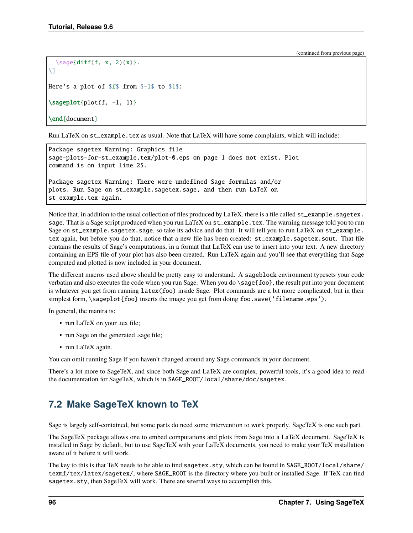```
\simeq\{diff(f, x, 2)(x)\}.\setminus]
Here's a plot of $f$ from $-1$ to $1$:
\simeq \simeq \{plot(f, -1, 1)\}\end{document}
```
Run LaTeX on st\_example.tex as usual. Note that LaTeX will have some complaints, which will include:

```
Package sagetex Warning: Graphics file
sage-plots-for-st_example.tex/plot-0.eps on page 1 does not exist. Plot
command is on input line 25.
Package sagetex Warning: There were undefined Sage formulas and/or
plots. Run Sage on st_example.sagetex.sage, and then run LaTeX on
st_example.tex again.
```
Notice that, in addition to the usual collection of files produced by LaTeX, there is a file called  $st\_example.sagetex.$ sage. That is a Sage script produced when you run LaTeX on  $st$ -example.tex. The warning message told you to run Sage on st\_example.sagetex.sage, so take its advice and do that. It will tell you to run LaTeX on st\_example. tex again, but before you do that, notice that a new file has been created: st\_example.sagetex.sout. That file contains the results of Sage's computations, in a format that LaTeX can use to insert into your text. A new directory containing an EPS file of your plot has also been created. Run LaTeX again and you'll see that everything that Sage computed and plotted is now included in your document.

The different macros used above should be pretty easy to understand. A sageblock environment typesets your code verbatim and also executes the code when you run Sage. When you do \sage{foo}, the result put into your document is whatever you get from running  $\text{later}(\text{foo})$  inside Sage. Plot commands are a bit more complicated, but in their simplest form, \sageplot{foo} inserts the image you get from doing foo.save('filename.eps').

In general, the mantra is:

- run LaTeX on your .tex file;
- run Sage on the generated .sage file;
- run LaTeX again.

You can omit running Sage if you haven't changed around any Sage commands in your document.

There's a lot more to SageTeX, and since both Sage and LaTeX are complex, powerful tools, it's a good idea to read the documentation for SageTeX, which is in SAGE\_ROOT/local/share/doc/sagetex.

# <span id="page-99-0"></span>**7.2 Make SageTeX known to TeX**

Sage is largely self-contained, but some parts do need some intervention to work properly. SageTeX is one such part.

The SageTeX package allows one to embed computations and plots from Sage into a LaTeX document. SageTeX is installed in Sage by default, but to use SageTeX with your LaTeX documents, you need to make your TeX installation aware of it before it will work.

The key to this is that TeX needs to be able to find sagetex.sty, which can be found in SAGE\_ROOT/local/share/ texmf/tex/latex/sagetex/, where SAGE\_ROOT is the directory where you built or installed Sage. If TeX can find sagetex.sty, then SageTeX will work. There are several ways to accomplish this.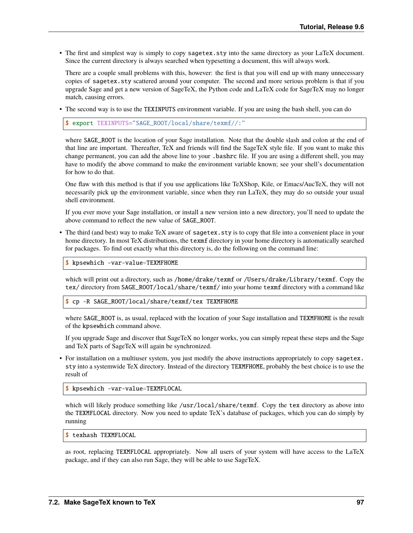• The first and simplest way is simply to copy sagetex. sty into the same directory as your LaTeX document. Since the current directory is always searched when typesetting a document, this will always work.

There are a couple small problems with this, however: the first is that you will end up with many unnecessary copies of sagetex.sty scattered around your computer. The second and more serious problem is that if you upgrade Sage and get a new version of SageTeX, the Python code and LaTeX code for SageTeX may no longer match, causing errors.

• The second way is to use the TEXINPUTS environment variable. If you are using the bash shell, you can do

\$ export TEXINPUTS="SAGE\_ROOT/local/share/texmf//:"

where SAGE\_ROOT is the location of your Sage installation. Note that the double slash and colon at the end of that line are important. Thereafter, TeX and friends will find the SageTeX style file. If you want to make this change permanent, you can add the above line to your .bashrc file. If you are using a different shell, you may have to modify the above command to make the environment variable known; see your shell's documentation for how to do that.

One flaw with this method is that if you use applications like TeXShop, Kile, or Emacs/AucTeX, they will not necessarily pick up the environment variable, since when they run LaTeX, they may do so outside your usual shell environment.

If you ever move your Sage installation, or install a new version into a new directory, you'll need to update the above command to reflect the new value of SAGE\_ROOT.

• The third (and best) way to make TeX aware of sagetex.sty is to copy that file into a convenient place in your home directory. In most TeX distributions, the texmf directory in your home directory is automatically searched for packages. To find out exactly what this directory is, do the following on the command line:

\$ kpsewhich -var-value=TEXMFHOME

which will print out a directory, such as /home/drake/texmf or /Users/drake/Library/texmf. Copy the tex/ directory from SAGE\_ROOT/local/share/texmf/ into your home texmf directory with a command like

\$ cp -R SAGE\_ROOT/local/share/texmf/tex TEXMFHOME

where SAGE\_ROOT is, as usual, replaced with the location of your Sage installation and TEXMFHOME is the result of the kpsewhich command above.

If you upgrade Sage and discover that SageTeX no longer works, you can simply repeat these steps and the Sage and TeX parts of SageTeX will again be synchronized.

• For installation on a multiuser system, you just modify the above instructions appropriately to copy sagetex. sty into a systemwide TeX directory. Instead of the directory TEXMFHOME, probably the best choice is to use the result of

\$ kpsewhich -var-value=TEXMFLOCAL

which will likely produce something like /usr/local/share/texmf. Copy the tex directory as above into the TEXMFLOCAL directory. Now you need to update TeX's database of packages, which you can do simply by running

\$ texhash TEXMFLOCAL

as root, replacing TEXMFLOCAL appropriately. Now all users of your system will have access to the LaTeX package, and if they can also run Sage, they will be able to use SageTeX.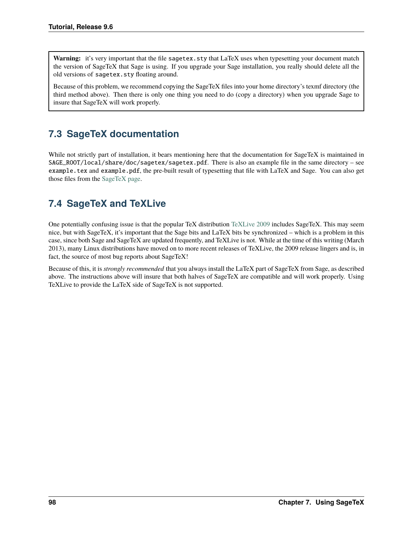Warning: it's very important that the file sagetex.sty that LaTeX uses when typesetting your document match the version of SageTeX that Sage is using. If you upgrade your Sage installation, you really should delete all the old versions of sagetex.sty floating around.

Because of this problem, we recommend copying the SageTeX files into your home directory's texmf directory (the third method above). Then there is only one thing you need to do (copy a directory) when you upgrade Sage to insure that SageTeX will work properly.

# **7.3 SageTeX documentation**

While not strictly part of installation, it bears mentioning here that the documentation for SageTeX is maintained in SAGE\_ROOT/local/share/doc/sagetex/sagetex.pdf. There is also an example file in the same directory – see example.tex and example.pdf, the pre-built result of typesetting that file with LaTeX and Sage. You can also get those files from the [SageTeX page.](https://github.com/sagemath/sagetex)

# **7.4 SageTeX and TeXLive**

One potentially confusing issue is that the popular TeX distribution [TeXLive 2009](http://www.tug.org/texlive/) includes SageTeX. This may seem nice, but with SageTeX, it's important that the Sage bits and LaTeX bits be synchronized – which is a problem in this case, since both Sage and SageTeX are updated frequently, and TeXLive is not. While at the time of this writing (March 2013), many Linux distributions have moved on to more recent releases of TeXLive, the 2009 release lingers and is, in fact, the source of most bug reports about SageTeX!

Because of this, it is *strongly recommended* that you always install the LaTeX part of SageTeX from Sage, as described above. The instructions above will insure that both halves of SageTeX are compatible and will work properly. Using TeXLive to provide the LaTeX side of SageTeX is not supported.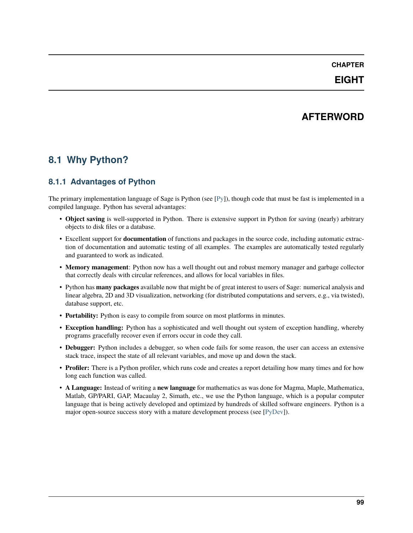### **CHAPTER**

### **EIGHT**

# **AFTERWORD**

### **8.1 Why Python?**

### **8.1.1 Advantages of Python**

The primary implementation language of Sage is Python (see  $[Py]$ ), though code that must be fast is implemented in a compiled language. Python has several advantages:

- **Object saving** is well-supported in Python. There is extensive support in Python for saving (nearly) arbitrary objects to disk files or a database.
- Excellent support for **documentation** of functions and packages in the source code, including automatic extraction of documentation and automatic testing of all examples. The examples are automatically tested regularly and guaranteed to work as indicated.
- **Memory management**: Python now has a well thought out and robust memory manager and garbage collector that correctly deals with circular references, and allows for local variables in files.
- Python has **many packages** available now that might be of great interest to users of Sage: numerical analysis and linear algebra, 2D and 3D visualization, networking (for distributed computations and servers, e.g., via twisted), database support, etc.
- **Portability:** Python is easy to compile from source on most platforms in minutes.
- **Exception handling:** Python has a sophisticated and well thought out system of exception handling, whereby programs gracefully recover even if errors occur in code they call.
- **Debugger:** Python includes a debugger, so when code fails for some reason, the user can access an extensive stack trace, inspect the state of all relevant variables, and move up and down the stack.
- **Profiler:** There is a Python profiler, which runs code and creates a report detailing how many times and for how long each function was called.
- **A Language:** Instead of writing a **new language** for mathematics as was done for Magma, Maple, Mathematica, Matlab, GP/PARI, GAP, Macaulay 2, Simath, etc., we use the Python language, which is a popular computer language that is being actively developed and optimized by hundreds of skilled software engineers. Python is a major open-source success story with a mature development process (see [\[PyDev\]](#page-112-4)).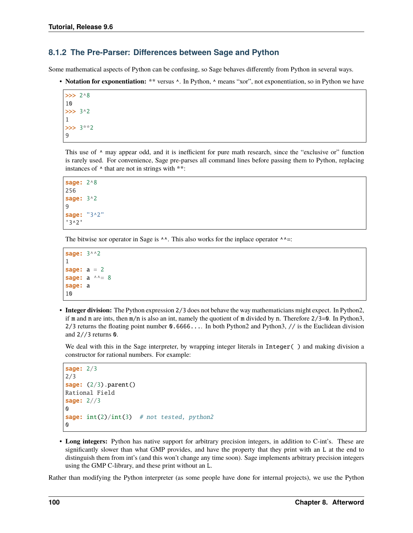### **8.1.2 The Pre-Parser: Differences between Sage and Python**

Some mathematical aspects of Python can be confusing, so Sage behaves differently from Python in several ways.

• **Notation for exponentiation:** \*\* versus  $\land$ . In Python,  $\land$  means "xor", not exponentiation, so in Python we have

```
>> 2^810
>> 3^2
1
>>> 3**2
9
```
This use of  $\land$  may appear odd, and it is inefficient for pure math research, since the "exclusive or" function is rarely used. For convenience, Sage pre-parses all command lines before passing them to Python, replacing instances of  $\wedge$  that are not in strings with \*\*:

```
sage: 2<sup>^8</sup>
256
sage: 3^29
sage: "3^2"
'3^2'
```
The bitwise xor operator in Sage is  $\wedge \wedge$ . This also works for the inplace operator  $\wedge \wedge =$ :

```
sage: 3^{\wedge}21
sage: a = 2sage: a^{\wedge^{\wedge}=8}sage: a
10
```
• **Integer division:** The Python expression 2/3 does not behave the way mathematicians might expect. In Python2, if m and n are ints, then m/n is also an int, namely the quotient of m divided by n. Therefore 2/3=0. In Python3, 2/3 returns the floating point number 0.6666.... In both Python2 and Python3, // is the Euclidean division and  $2//3$  returns 0.

We deal with this in the Sage interpreter, by wrapping integer literals in Integer () and making division a constructor for rational numbers. For example:

```
sage: 2/3
2/3
sage: (2/3).parent()
Rational Field
sage: 2//3
\Omegasage: int(2)/int(3) # not tested, python2
0
```
• Long integers: Python has native support for arbitrary precision integers, in addition to C-int's. These are significantly slower than what GMP provides, and have the property that they print with an L at the end to distinguish them from int's (and this won't change any time soon). Sage implements arbitrary precision integers using the GMP C-library, and these print without an L.

Rather than modifying the Python interpreter (as some people have done for internal projects), we use the Python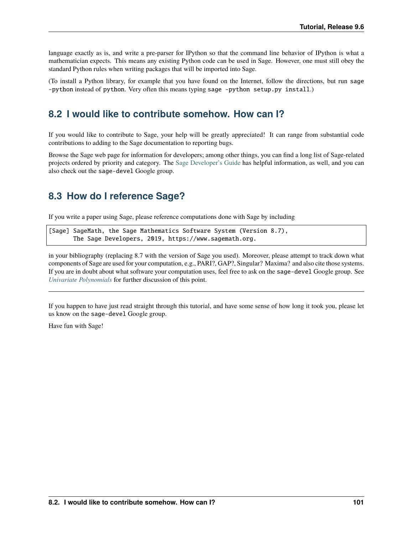language exactly as is, and write a pre-parser for IPython so that the command line behavior of IPython is what a mathematician expects. This means any existing Python code can be used in Sage. However, one must still obey the standard Python rules when writing packages that will be imported into Sage.

(To install a Python library, for example that you have found on the Internet, follow the directions, but run sage -python instead of python. Very often this means typing sage -python setup.py install.)

## **8.2 I would like to contribute somehow. How can I?**

If you would like to contribute to Sage, your help will be greatly appreciated! It can range from substantial code contributions to adding to the Sage documentation to reporting bugs.

Browse the Sage web page for information for developers; among other things, you can find a long list of Sage-related projects ordered by priority and category. The [Sage Developer's Guide](http://doc.sagemath.org/html/en/developer/) has helpful information, as well, and you can also check out the sage-devel Google group.

## **8.3 How do I reference Sage?**

If you write a paper using Sage, please reference computations done with Sage by including

[Sage] SageMath, the Sage Mathematics Software System (Version 8.7), The Sage Developers, 2019, https://www.sagemath.org.

in your bibliography (replacing 8.7 with the version of Sage you used). Moreover, please attempt to track down what components of Sage are used for your computation, e.g., PARI?, GAP?, Singular? Maxima? and also cite those systems. If you are in doubt about what software your computation uses, feel free to ask on the sage-devel Google group. See *[Univariate Polynomials](#page-35-0)* for further discussion of this point.

If you happen to have just read straight through this tutorial, and have some sense of how long it took you, please let us know on the sage-devel Google group.

Have fun with Sage!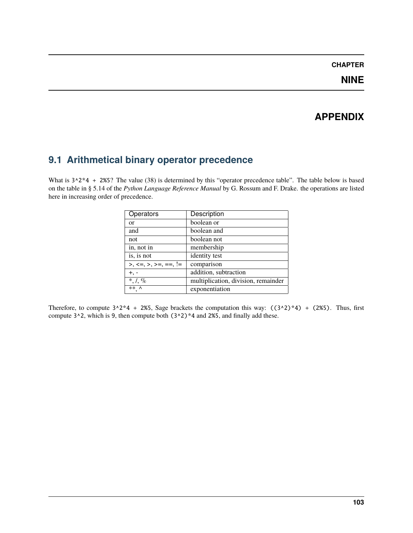#### **CHAPTER**

## **NINE**

## **APPENDIX**

## **9.1 Arithmetical binary operator precedence**

What is  $3^2*4 + 2*5$ ? The value (38) is determined by this "operator precedence table". The table below is based on the table in § 5.14 of the *Python Language Reference Manual* by G. Rossum and F. Drake. the operations are listed here in increasing order of precedence.

| Operators                | Description                         |
|--------------------------|-------------------------------------|
| or                       | boolean or                          |
| and                      | boolean and                         |
| not                      | boolean not                         |
| in, not in               | membership                          |
| is, is not               | identity test                       |
| $>, \leq, >, >=, ==, !=$ | comparison                          |
| $+, -$                   | addition, subtraction               |
| *, $/$ , $\%$            | multiplication, division, remainder |
| $***$ $\wedge$           | exponentiation                      |
|                          |                                     |

Therefore, to compute  $3^2*4 + 2*5$ , Sage brackets the computation this way:  $((3^2)^*4) + (2^2)^*$ . Thus, first compute 3^2, which is 9, then compute both (3^2)\*4 and 2%5, and finally add these.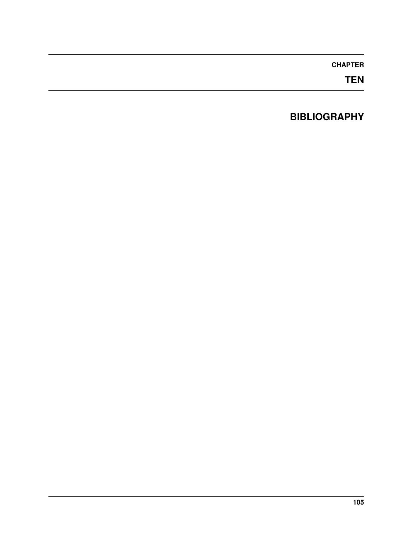**CHAPTER**

**TEN**

## **BIBLIOGRAPHY**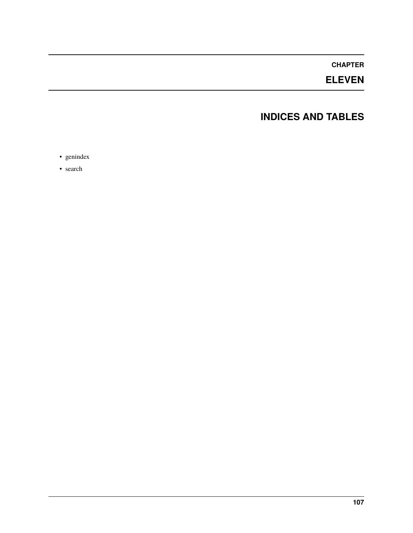#### **CHAPTER**

# **ELEVEN**

### **INDICES AND TABLES**

• genindex

• search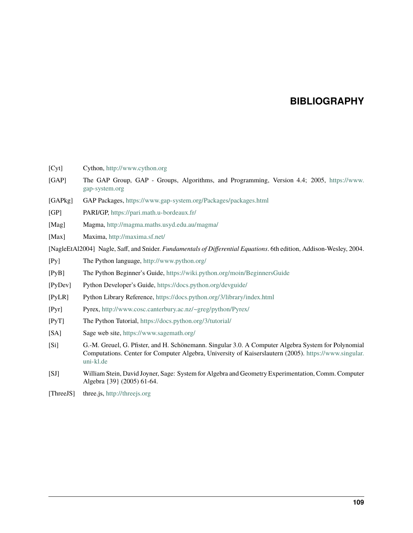#### **BIBLIOGRAPHY**

- [Cyt] Cython, <http://www.cython.org>
- [GAP] The GAP Group, GAP Groups, Algorithms, and Programming, Version 4.4; 2005, [https://www.](https://www.gap-system.org) [gap-system.org](https://www.gap-system.org)
- [GAPkg] GAP Packages, <https://www.gap-system.org/Packages/packages.html>
- [GP] PARI/GP, <https://pari.math.u-bordeaux.fr/>
- [Mag] Magma, <http://magma.maths.usyd.edu.au/magma/>
- [Max] Maxima, <http://maxima.sf.net/>

[NagleEtAl2004] Nagle, Saff, and Snider. *Fundamentals of Differential Equations*. 6th edition, Addison-Wesley, 2004.

- [Py] The Python language, <http://www.python.org/>
- [PyB] The Python Beginner's Guide, <https://wiki.python.org/moin/BeginnersGuide>
- [PyDev] Python Developer's Guide, <https://docs.python.org/devguide/>
- [PyLR] Python Library Reference, <https://docs.python.org/3/library/index.html>
- [Pyr] Pyrex, <http://www.cosc.canterbury.ac.nz/~greg/python/Pyrex/>
- [PyT] The Python Tutorial, <https://docs.python.org/3/tutorial/>
- [SA] Sage web site, <https://www.sagemath.org/>
- [Si] G.-M. Greuel, G. Pfister, and H. Schönemann. Singular 3.0. A Computer Algebra System for Polynomial Computations. Center for Computer Algebra, University of Kaiserslautern (2005). [https://www.singular.](https://www.singular.uni-kl.de) [uni-kl.de](https://www.singular.uni-kl.de)
- [SJ] William Stein, David Joyner, Sage: System for Algebra and Geometry Experimentation, Comm. Computer Algebra {39} (2005) 61-64.
- [ThreeJS] three.js, <http://threejs.org>